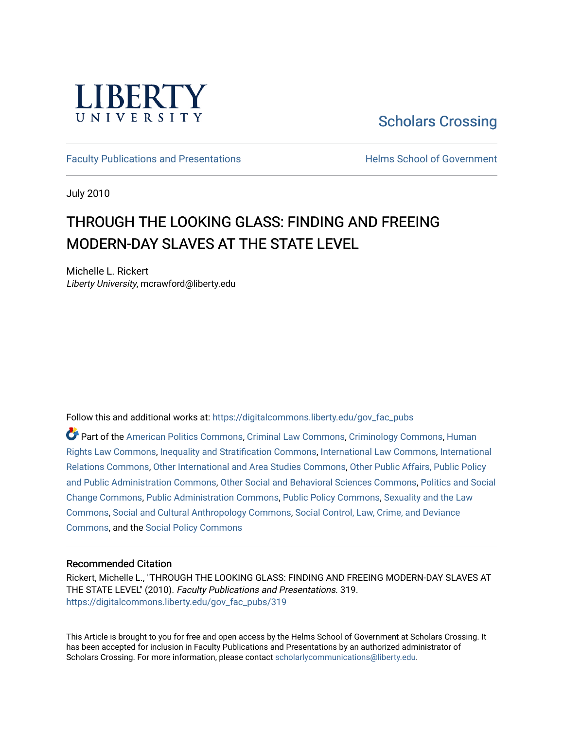

[Scholars Crossing](https://digitalcommons.liberty.edu/) 

[Faculty Publications and Presentations](https://digitalcommons.liberty.edu/gov_fac_pubs) **Exercise School of Government** 

July 2010

# THROUGH THE LOOKING GLASS: FINDING AND FREEING MODERN-DAY SLAVES AT THE STATE LEVEL

Michelle L. Rickert Liberty University, mcrawford@liberty.edu

Follow this and additional works at: [https://digitalcommons.liberty.edu/gov\\_fac\\_pubs](https://digitalcommons.liberty.edu/gov_fac_pubs?utm_source=digitalcommons.liberty.edu%2Fgov_fac_pubs%2F319&utm_medium=PDF&utm_campaign=PDFCoverPages)

Part of the [American Politics Commons,](http://network.bepress.com/hgg/discipline/387?utm_source=digitalcommons.liberty.edu%2Fgov_fac_pubs%2F319&utm_medium=PDF&utm_campaign=PDFCoverPages) [Criminal Law Commons,](http://network.bepress.com/hgg/discipline/912?utm_source=digitalcommons.liberty.edu%2Fgov_fac_pubs%2F319&utm_medium=PDF&utm_campaign=PDFCoverPages) [Criminology Commons,](http://network.bepress.com/hgg/discipline/417?utm_source=digitalcommons.liberty.edu%2Fgov_fac_pubs%2F319&utm_medium=PDF&utm_campaign=PDFCoverPages) [Human](http://network.bepress.com/hgg/discipline/847?utm_source=digitalcommons.liberty.edu%2Fgov_fac_pubs%2F319&utm_medium=PDF&utm_campaign=PDFCoverPages)  [Rights Law Commons,](http://network.bepress.com/hgg/discipline/847?utm_source=digitalcommons.liberty.edu%2Fgov_fac_pubs%2F319&utm_medium=PDF&utm_campaign=PDFCoverPages) [Inequality and Stratification Commons,](http://network.bepress.com/hgg/discipline/421?utm_source=digitalcommons.liberty.edu%2Fgov_fac_pubs%2F319&utm_medium=PDF&utm_campaign=PDFCoverPages) [International Law Commons,](http://network.bepress.com/hgg/discipline/609?utm_source=digitalcommons.liberty.edu%2Fgov_fac_pubs%2F319&utm_medium=PDF&utm_campaign=PDFCoverPages) [International](http://network.bepress.com/hgg/discipline/389?utm_source=digitalcommons.liberty.edu%2Fgov_fac_pubs%2F319&utm_medium=PDF&utm_campaign=PDFCoverPages)  [Relations Commons,](http://network.bepress.com/hgg/discipline/389?utm_source=digitalcommons.liberty.edu%2Fgov_fac_pubs%2F319&utm_medium=PDF&utm_campaign=PDFCoverPages) [Other International and Area Studies Commons,](http://network.bepress.com/hgg/discipline/365?utm_source=digitalcommons.liberty.edu%2Fgov_fac_pubs%2F319&utm_medium=PDF&utm_campaign=PDFCoverPages) [Other Public Affairs, Public Policy](http://network.bepress.com/hgg/discipline/403?utm_source=digitalcommons.liberty.edu%2Fgov_fac_pubs%2F319&utm_medium=PDF&utm_campaign=PDFCoverPages)  [and Public Administration Commons,](http://network.bepress.com/hgg/discipline/403?utm_source=digitalcommons.liberty.edu%2Fgov_fac_pubs%2F319&utm_medium=PDF&utm_campaign=PDFCoverPages) [Other Social and Behavioral Sciences Commons](http://network.bepress.com/hgg/discipline/437?utm_source=digitalcommons.liberty.edu%2Fgov_fac_pubs%2F319&utm_medium=PDF&utm_campaign=PDFCoverPages), [Politics and Social](http://network.bepress.com/hgg/discipline/425?utm_source=digitalcommons.liberty.edu%2Fgov_fac_pubs%2F319&utm_medium=PDF&utm_campaign=PDFCoverPages)  [Change Commons](http://network.bepress.com/hgg/discipline/425?utm_source=digitalcommons.liberty.edu%2Fgov_fac_pubs%2F319&utm_medium=PDF&utm_campaign=PDFCoverPages), [Public Administration Commons,](http://network.bepress.com/hgg/discipline/398?utm_source=digitalcommons.liberty.edu%2Fgov_fac_pubs%2F319&utm_medium=PDF&utm_campaign=PDFCoverPages) [Public Policy Commons,](http://network.bepress.com/hgg/discipline/400?utm_source=digitalcommons.liberty.edu%2Fgov_fac_pubs%2F319&utm_medium=PDF&utm_campaign=PDFCoverPages) [Sexuality and the Law](http://network.bepress.com/hgg/discipline/877?utm_source=digitalcommons.liberty.edu%2Fgov_fac_pubs%2F319&utm_medium=PDF&utm_campaign=PDFCoverPages) [Commons](http://network.bepress.com/hgg/discipline/877?utm_source=digitalcommons.liberty.edu%2Fgov_fac_pubs%2F319&utm_medium=PDF&utm_campaign=PDFCoverPages), [Social and Cultural Anthropology Commons](http://network.bepress.com/hgg/discipline/323?utm_source=digitalcommons.liberty.edu%2Fgov_fac_pubs%2F319&utm_medium=PDF&utm_campaign=PDFCoverPages), [Social Control, Law, Crime, and Deviance](http://network.bepress.com/hgg/discipline/429?utm_source=digitalcommons.liberty.edu%2Fgov_fac_pubs%2F319&utm_medium=PDF&utm_campaign=PDFCoverPages)  [Commons](http://network.bepress.com/hgg/discipline/429?utm_source=digitalcommons.liberty.edu%2Fgov_fac_pubs%2F319&utm_medium=PDF&utm_campaign=PDFCoverPages), and the [Social Policy Commons](http://network.bepress.com/hgg/discipline/1030?utm_source=digitalcommons.liberty.edu%2Fgov_fac_pubs%2F319&utm_medium=PDF&utm_campaign=PDFCoverPages)

# Recommended Citation

Rickert, Michelle L., "THROUGH THE LOOKING GLASS: FINDING AND FREEING MODERN-DAY SLAVES AT THE STATE LEVEL" (2010). Faculty Publications and Presentations. 319. [https://digitalcommons.liberty.edu/gov\\_fac\\_pubs/319](https://digitalcommons.liberty.edu/gov_fac_pubs/319?utm_source=digitalcommons.liberty.edu%2Fgov_fac_pubs%2F319&utm_medium=PDF&utm_campaign=PDFCoverPages)

This Article is brought to you for free and open access by the Helms School of Government at Scholars Crossing. It has been accepted for inclusion in Faculty Publications and Presentations by an authorized administrator of Scholars Crossing. For more information, please contact [scholarlycommunications@liberty.edu.](mailto:scholarlycommunications@liberty.edu)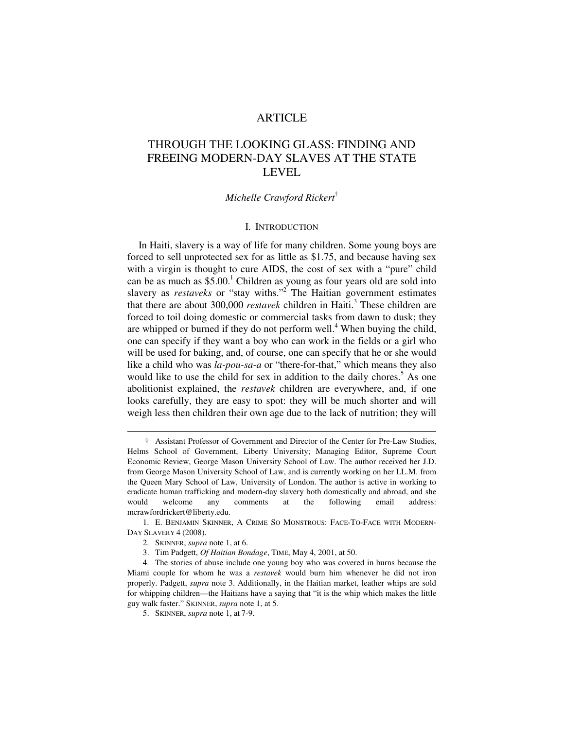# ARTICLE

# THROUGH THE LOOKING GLASS: FINDING AND FREEING MODERN-DAY SLAVES AT THE STATE LEVEL

### *Michelle Crawford Rickert*†

#### I. INTRODUCTION

In Haiti, slavery is a way of life for many children. Some young boys are forced to sell unprotected sex for as little as \$1.75, and because having sex with a virgin is thought to cure AIDS, the cost of sex with a "pure" child can be as much as  $$5.00$ .<sup>1</sup> Children as young as four years old are sold into slavery as *restaveks* or "stay withs."<sup>2</sup> The Haitian government estimates that there are about 300,000 *restavek* children in Haiti.<sup>3</sup> These children are forced to toil doing domestic or commercial tasks from dawn to dusk; they are whipped or burned if they do not perform well.<sup>4</sup> When buying the child, one can specify if they want a boy who can work in the fields or a girl who will be used for baking, and, of course, one can specify that he or she would like a child who was *la-pou-sa-a* or "there-for-that," which means they also would like to use the child for sex in addition to the daily chores.<sup>5</sup> As one abolitionist explained, the *restavek* children are everywhere, and, if one looks carefully, they are easy to spot: they will be much shorter and will weigh less then children their own age due to the lack of nutrition; they will

 $\ddot{\phantom{a}}$ 

 <sup>†</sup> Assistant Professor of Government and Director of the Center for Pre-Law Studies, Helms School of Government, Liberty University; Managing Editor, Supreme Court Economic Review, George Mason University School of Law. The author received her J.D. from George Mason University School of Law, and is currently working on her LL.M. from the Queen Mary School of Law, University of London. The author is active in working to eradicate human trafficking and modern-day slavery both domestically and abroad, and she would welcome any comments at the following email address: mcrawfordrickert@liberty.edu.

 <sup>1.</sup> E. BENJAMIN SKINNER, A CRIME SO MONSTROUS: FACE-TO-FACE WITH MODERN-DAY SLAVERY 4 (2008).

 <sup>2.</sup> SKINNER, *supra* note 1, at 6.

 <sup>3.</sup> Tim Padgett, *Of Haitian Bondage*, TIME, May 4, 2001, at 50.

 <sup>4.</sup> The stories of abuse include one young boy who was covered in burns because the Miami couple for whom he was a *restavek* would burn him whenever he did not iron properly. Padgett, *supra* note 3. Additionally, in the Haitian market, leather whips are sold for whipping children—the Haitians have a saying that "it is the whip which makes the little guy walk faster." SKINNER, *supra* note 1, at 5.

 <sup>5.</sup> SKINNER, *supra* note 1, at 7-9.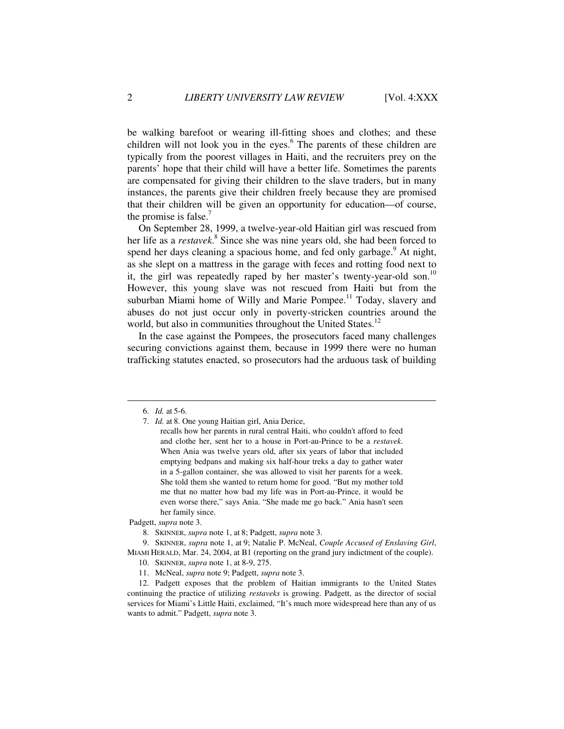be walking barefoot or wearing ill-fitting shoes and clothes; and these children will not look you in the eyes.<sup>6</sup> The parents of these children are typically from the poorest villages in Haiti, and the recruiters prey on the parents' hope that their child will have a better life. Sometimes the parents are compensated for giving their children to the slave traders, but in many instances, the parents give their children freely because they are promised that their children will be given an opportunity for education—of course, the promise is false. $<sup>7</sup>$ </sup>

On September 28, 1999, a twelve-year-old Haitian girl was rescued from her life as a *restavek*.<sup>8</sup> Since she was nine years old, she had been forced to spend her days cleaning a spacious home, and fed only garbage.<sup>9</sup> At night, as she slept on a mattress in the garage with feces and rotting food next to it, the girl was repeatedly raped by her master's twenty-year-old son.<sup>10</sup> However, this young slave was not rescued from Haiti but from the suburban Miami home of Willy and Marie Pompee.<sup>11</sup> Today, slavery and abuses do not just occur only in poverty-stricken countries around the world, but also in communities throughout the United States.<sup>12</sup>

In the case against the Pompees, the prosecutors faced many challenges securing convictions against them, because in 1999 there were no human trafficking statutes enacted, so prosecutors had the arduous task of building

 $\ddot{\phantom{a}}$ 

Padgett, *supra* note 3.

 9. SKINNER, *supra* note 1, at 9; Natalie P. McNeal, *Couple Accused of Enslaving Girl*, MIAMI HERALD, Mar. 24, 2004, at B1 (reporting on the grand jury indictment of the couple).

 <sup>6.</sup> *Id.* at 5-6.

 <sup>7.</sup> *Id.* at 8. One young Haitian girl, Ania Derice,

recalls how her parents in rural central Haiti, who couldn't afford to feed and clothe her, sent her to a house in Port-au-Prince to be a *restavek*. When Ania was twelve years old, after six years of labor that included emptying bedpans and making six half-hour treks a day to gather water in a 5-gallon container, she was allowed to visit her parents for a week. She told them she wanted to return home for good. "But my mother told me that no matter how bad my life was in Port-au-Prince, it would be even worse there," says Ania. "She made me go back." Ania hasn't seen her family since.

 <sup>8.</sup> SKINNER, *supra* note 1, at 8; Padgett, *supra* note 3.

 <sup>10.</sup> SKINNER, *supra* note 1, at 8-9, 275.

 <sup>11.</sup> McNeal, *supra* note 9; Padgett, *supra* note 3.

 <sup>12.</sup> Padgett exposes that the problem of Haitian immigrants to the United States continuing the practice of utilizing *restaveks* is growing. Padgett, as the director of social services for Miami's Little Haiti, exclaimed, "It's much more widespread here than any of us wants to admit." Padgett, *supra* note 3.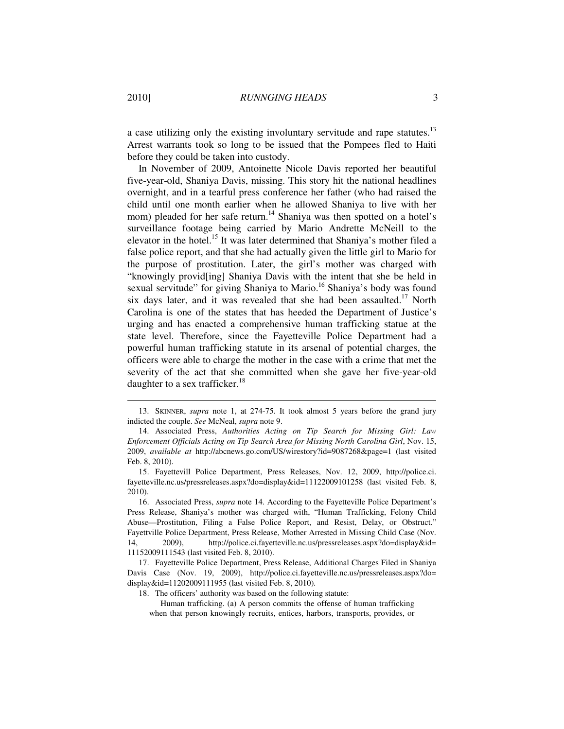a case utilizing only the existing involuntary servitude and rape statutes.<sup>13</sup> Arrest warrants took so long to be issued that the Pompees fled to Haiti before they could be taken into custody.

In November of 2009, Antoinette Nicole Davis reported her beautiful five-year-old, Shaniya Davis, missing. This story hit the national headlines overnight, and in a tearful press conference her father (who had raised the child until one month earlier when he allowed Shaniya to live with her mom) pleaded for her safe return.<sup>14</sup> Shaniya was then spotted on a hotel's surveillance footage being carried by Mario Andrette McNeill to the elevator in the hotel.<sup>15</sup> It was later determined that Shaniya's mother filed a false police report, and that she had actually given the little girl to Mario for the purpose of prostitution. Later, the girl's mother was charged with "knowingly provid[ing] Shaniya Davis with the intent that she be held in sexual servitude" for giving Shaniya to Mario.<sup>16</sup> Shaniya's body was found six days later, and it was revealed that she had been assaulted.<sup>17</sup> North Carolina is one of the states that has heeded the Department of Justice's urging and has enacted a comprehensive human trafficking statue at the state level. Therefore, since the Fayetteville Police Department had a powerful human trafficking statute in its arsenal of potential charges, the officers were able to charge the mother in the case with a crime that met the severity of the act that she committed when she gave her five-year-old daughter to a sex trafficker.<sup>18</sup>

 $\ddot{\phantom{a}}$ 

 <sup>13.</sup> SKINNER, *supra* note 1, at 274-75. It took almost 5 years before the grand jury indicted the couple. *See* McNeal, *supra* note 9.

 <sup>14.</sup> Associated Press, *Authorities Acting on Tip Search for Missing Girl: Law Enforcement Officials Acting on Tip Search Area for Missing North Carolina Girl*, Nov. 15, 2009, *available at* http://abcnews.go.com/US/wirestory?id=9087268&page=1 (last visited Feb. 8, 2010).

 <sup>15.</sup> Fayettevill Police Department, Press Releases, Nov. 12, 2009, http://police.ci. fayetteville.nc.us/pressreleases.aspx?do=display&id=11122009101258 (last visited Feb. 8, 2010).

 <sup>16.</sup> Associated Press, *supra* note 14. According to the Fayetteville Police Department's Press Release, Shaniya's mother was charged with, "Human Trafficking, Felony Child Abuse—Prostitution, Filing a False Police Report, and Resist, Delay, or Obstruct." Fayettville Police Department, Press Release, Mother Arrested in Missing Child Case (Nov. 14, 2009), http://police.ci.fayetteville.nc.us/pressreleases.aspx?do=display&id= 11152009111543 (last visited Feb. 8, 2010).

 <sup>17.</sup> Fayetteville Police Department, Press Release, Additional Charges Filed in Shaniya Davis Case (Nov. 19, 2009), http://police.ci.fayetteville.nc.us/pressreleases.aspx?do= display&id=11202009111955 (last visited Feb. 8, 2010).

 <sup>18.</sup> The officers' authority was based on the following statute:

Human trafficking. (a) A person commits the offense of human trafficking when that person knowingly recruits, entices, harbors, transports, provides, or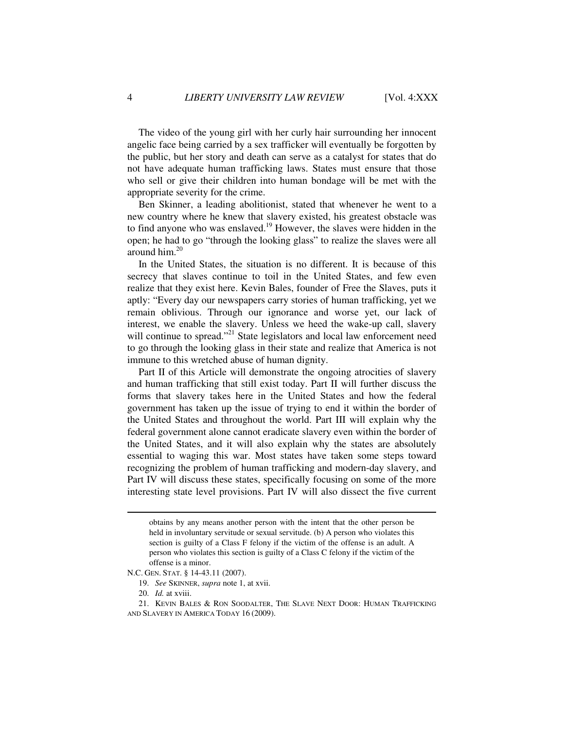The video of the young girl with her curly hair surrounding her innocent angelic face being carried by a sex trafficker will eventually be forgotten by the public, but her story and death can serve as a catalyst for states that do not have adequate human trafficking laws. States must ensure that those who sell or give their children into human bondage will be met with the appropriate severity for the crime.

Ben Skinner, a leading abolitionist, stated that whenever he went to a new country where he knew that slavery existed, his greatest obstacle was to find anyone who was enslaved.<sup>19</sup> However, the slaves were hidden in the open; he had to go "through the looking glass" to realize the slaves were all around him.<sup>20</sup>

In the United States, the situation is no different. It is because of this secrecy that slaves continue to toil in the United States, and few even realize that they exist here. Kevin Bales, founder of Free the Slaves, puts it aptly: "Every day our newspapers carry stories of human trafficking, yet we remain oblivious. Through our ignorance and worse yet, our lack of interest, we enable the slavery. Unless we heed the wake-up call, slavery will continue to spread."<sup>21</sup> State legislators and local law enforcement need to go through the looking glass in their state and realize that America is not immune to this wretched abuse of human dignity.

Part II of this Article will demonstrate the ongoing atrocities of slavery and human trafficking that still exist today. Part II will further discuss the forms that slavery takes here in the United States and how the federal government has taken up the issue of trying to end it within the border of the United States and throughout the world. Part III will explain why the federal government alone cannot eradicate slavery even within the border of the United States, and it will also explain why the states are absolutely essential to waging this war. Most states have taken some steps toward recognizing the problem of human trafficking and modern-day slavery, and Part IV will discuss these states, specifically focusing on some of the more interesting state level provisions. Part IV will also dissect the five current

obtains by any means another person with the intent that the other person be held in involuntary servitude or sexual servitude. (b) A person who violates this section is guilty of a Class F felony if the victim of the offense is an adult. A person who violates this section is guilty of a Class C felony if the victim of the offense is a minor.

N.C. GEN. STAT. § 14-43.11 (2007).

 <sup>19.</sup> *See* SKINNER, *supra* note 1, at xvii.

 <sup>20.</sup> *Id.* at xviii.

 <sup>21.</sup> KEVIN BALES & RON SOODALTER, THE SLAVE NEXT DOOR: HUMAN TRAFFICKING AND SLAVERY IN AMERICA TODAY 16 (2009).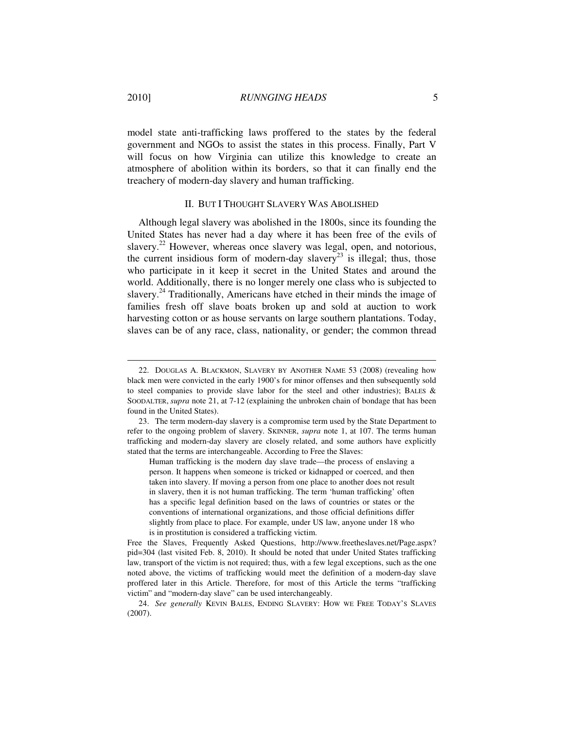model state anti-trafficking laws proffered to the states by the federal government and NGOs to assist the states in this process. Finally, Part V will focus on how Virginia can utilize this knowledge to create an atmosphere of abolition within its borders, so that it can finally end the treachery of modern-day slavery and human trafficking.

#### II. BUT I THOUGHT SLAVERY WAS ABOLISHED

Although legal slavery was abolished in the 1800s, since its founding the United States has never had a day where it has been free of the evils of slavery.<sup>22</sup> However, whereas once slavery was legal, open, and notorious, the current insidious form of modern-day slavery<sup>23</sup> is illegal; thus, those who participate in it keep it secret in the United States and around the world. Additionally, there is no longer merely one class who is subjected to slavery.<sup>24</sup> Traditionally, Americans have etched in their minds the image of families fresh off slave boats broken up and sold at auction to work harvesting cotton or as house servants on large southern plantations. Today, slaves can be of any race, class, nationality, or gender; the common thread

 <sup>22.</sup> DOUGLAS A. BLACKMON, SLAVERY BY ANOTHER NAME 53 (2008) (revealing how black men were convicted in the early 1900's for minor offenses and then subsequently sold to steel companies to provide slave labor for the steel and other industries); BALES & SOODALTER, *supra* note 21, at 7-12 (explaining the unbroken chain of bondage that has been found in the United States).

 <sup>23.</sup> The term modern-day slavery is a compromise term used by the State Department to refer to the ongoing problem of slavery. SKINNER, *supra* note 1, at 107. The terms human trafficking and modern-day slavery are closely related, and some authors have explicitly stated that the terms are interchangeable. According to Free the Slaves:

Human trafficking is the modern day slave trade—the process of enslaving a person. It happens when someone is tricked or kidnapped or coerced, and then taken into slavery. If moving a person from one place to another does not result in slavery, then it is not human trafficking. The term 'human trafficking' often has a specific legal definition based on the laws of countries or states or the conventions of international organizations, and those official definitions differ slightly from place to place. For example, under US law, anyone under 18 who is in prostitution is considered a trafficking victim.

Free the Slaves, Frequently Asked Questions, http://www.freetheslaves.net/Page.aspx? pid=304 (last visited Feb. 8, 2010). It should be noted that under United States trafficking law, transport of the victim is not required; thus, with a few legal exceptions, such as the one noted above, the victims of trafficking would meet the definition of a modern-day slave proffered later in this Article. Therefore, for most of this Article the terms "trafficking victim" and "modern-day slave" can be used interchangeably.

 <sup>24.</sup> *See generally* KEVIN BALES, ENDING SLAVERY: HOW WE FREE TODAY'S SLAVES (2007).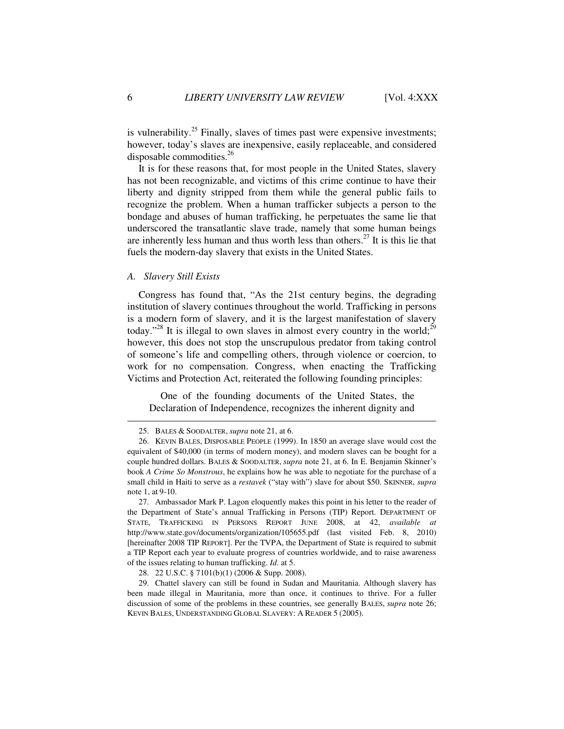is vulnerability.<sup>25</sup> Finally, slaves of times past were expensive investments; however, today's slaves are inexpensive, easily replaceable, and considered disposable commodities.<sup>26</sup>

It is for these reasons that, for most people in the United States, slavery has not been recognizable, and victims of this crime continue to have their liberty and dignity stripped from them while the general public fails to recognize the problem. When a human trafficker subjects a person to the bondage and abuses of human trafficking, he perpetuates the same lie that underscored the transatlantic slave trade, namely that some human beings are inherently less human and thus worth less than others.<sup>27</sup> It is this lie that fuels the modern-day slavery that exists in the United States.

#### *A. Slavery Still Exists*

Congress has found that, "As the 21st century begins, the degrading institution of slavery continues throughout the world. Trafficking in persons is a modern form of slavery, and it is the largest manifestation of slavery today."<sup>28</sup> It is illegal to own slaves in almost every country in the world;<sup>29</sup> however, this does not stop the unscrupulous predator from taking control of someone's life and compelling others, through violence or coercion, to work for no compensation. Congress, when enacting the Trafficking Victims and Protection Act, reiterated the following founding principles:

One of the founding documents of the United States, the Declaration of Independence, recognizes the inherent dignity and

 <sup>25.</sup> BALES & SOODALTER, *supra* note 21, at 6.

 <sup>26.</sup> KEVIN BALES, DISPOSABLE PEOPLE (1999). In 1850 an average slave would cost the equivalent of \$40,000 (in terms of modern money), and modern slaves can be bought for a couple hundred dollars. BALES & SOODALTER, *supra* note 21, at 6. In E. Benjamin Skinner's book *A Crime So Monstrous*, he explains how he was able to negotiate for the purchase of a small child in Haiti to serve as a *restavek* ("stay with") slave for about \$50. SKINNER, *supra* note 1, at 9-10.

 <sup>27.</sup> Ambassador Mark P. Lagon eloquently makes this point in his letter to the reader of the Department of State's annual Trafficking in Persons (TIP) Report. DEPARTMENT OF STATE, TRAFFICKING IN PERSONS REPORT JUNE 2008, at 42, *available at* http://www.state.gov/documents/organization/105655.pdf (last visited Feb. 8, 2010) [hereinafter 2008 TIP REPORT]. Per the TVPA, the Department of State is required to submit a TIP Report each year to evaluate progress of countries worldwide, and to raise awareness of the issues relating to human trafficking. *Id.* at 5.

 <sup>28. 22</sup> U.S.C. § 7101(b)(1) (2006 & Supp. 2008).

 <sup>29.</sup> Chattel slavery can still be found in Sudan and Mauritania. Although slavery has been made illegal in Mauritania, more than once, it continues to thrive. For a fuller discussion of some of the problems in these countries, see generally BALES, *supra* note 26; KEVIN BALES, UNDERSTANDING GLOBAL SLAVERY: A READER 5 (2005).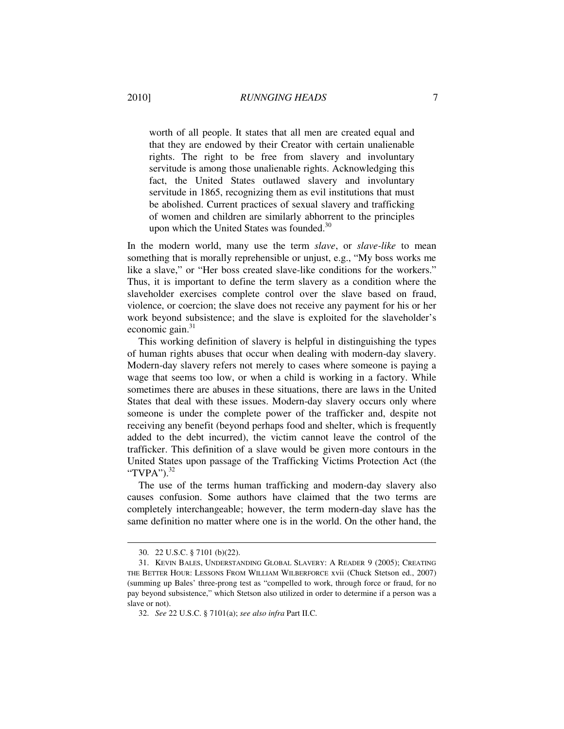worth of all people. It states that all men are created equal and that they are endowed by their Creator with certain unalienable rights. The right to be free from slavery and involuntary servitude is among those unalienable rights. Acknowledging this fact, the United States outlawed slavery and involuntary servitude in 1865, recognizing them as evil institutions that must be abolished. Current practices of sexual slavery and trafficking of women and children are similarly abhorrent to the principles upon which the United States was founded.<sup>30</sup>

In the modern world, many use the term *slave*, or *slave-like* to mean something that is morally reprehensible or unjust, e.g., "My boss works me like a slave," or "Her boss created slave-like conditions for the workers." Thus, it is important to define the term slavery as a condition where the slaveholder exercises complete control over the slave based on fraud, violence, or coercion; the slave does not receive any payment for his or her work beyond subsistence; and the slave is exploited for the slaveholder's economic gain.<sup>31</sup>

This working definition of slavery is helpful in distinguishing the types of human rights abuses that occur when dealing with modern-day slavery. Modern-day slavery refers not merely to cases where someone is paying a wage that seems too low, or when a child is working in a factory. While sometimes there are abuses in these situations, there are laws in the United States that deal with these issues. Modern-day slavery occurs only where someone is under the complete power of the trafficker and, despite not receiving any benefit (beyond perhaps food and shelter, which is frequently added to the debt incurred), the victim cannot leave the control of the trafficker. This definition of a slave would be given more contours in the United States upon passage of the Trafficking Victims Protection Act (the "TVPA"). $^{32}$ 

The use of the terms human trafficking and modern-day slavery also causes confusion. Some authors have claimed that the two terms are completely interchangeable; however, the term modern-day slave has the same definition no matter where one is in the world. On the other hand, the

 <sup>30. 22</sup> U.S.C. § 7101 (b)(22).

 <sup>31.</sup> KEVIN BALES, UNDERSTANDING GLOBAL SLAVERY: A READER 9 (2005); CREATING THE BETTER HOUR: LESSONS FROM WILLIAM WILBERFORCE xvii (Chuck Stetson ed., 2007) (summing up Bales' three-prong test as "compelled to work, through force or fraud, for no pay beyond subsistence," which Stetson also utilized in order to determine if a person was a slave or not).

 <sup>32.</sup> *See* 22 U.S.C. § 7101(a); *see also infra* Part II.C.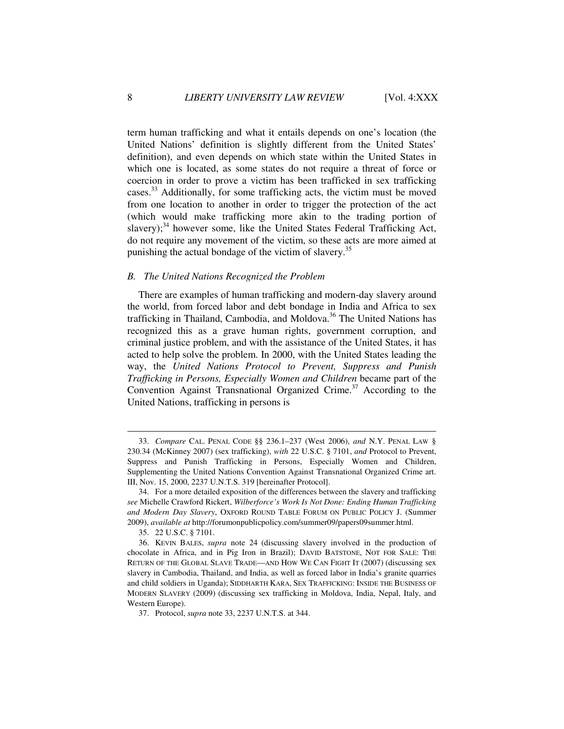term human trafficking and what it entails depends on one's location (the United Nations' definition is slightly different from the United States' definition), and even depends on which state within the United States in which one is located, as some states do not require a threat of force or coercion in order to prove a victim has been trafficked in sex trafficking cases.<sup>33</sup> Additionally, for some trafficking acts, the victim must be moved from one location to another in order to trigger the protection of the act (which would make trafficking more akin to the trading portion of slavery); $34$  however some, like the United States Federal Trafficking Act, do not require any movement of the victim, so these acts are more aimed at punishing the actual bondage of the victim of slavery.<sup>35</sup>

#### *B. The United Nations Recognized the Problem*

There are examples of human trafficking and modern-day slavery around the world, from forced labor and debt bondage in India and Africa to sex trafficking in Thailand, Cambodia, and Moldova.<sup>36</sup> The United Nations has recognized this as a grave human rights, government corruption, and criminal justice problem, and with the assistance of the United States, it has acted to help solve the problem. In 2000, with the United States leading the way, the *United Nations Protocol to Prevent, Suppress and Punish Trafficking in Persons, Especially Women and Children* became part of the Convention Against Transnational Organized Crime.<sup>37</sup> According to the United Nations, trafficking in persons is

 $\ddot{\phantom{a}}$ 

 <sup>33.</sup> *Compare* CAL. PENAL CODE §§ 236.1–237 (West 2006), *and* N.Y. PENAL LAW § 230.34 (McKinney 2007) (sex trafficking), *with* 22 U.S.C. § 7101, *and* Protocol to Prevent, Suppress and Punish Trafficking in Persons, Especially Women and Children, Supplementing the United Nations Convention Against Transnational Organized Crime art. III, Nov. 15, 2000, 2237 U.N.T.S. 319 [hereinafter Protocol].

 <sup>34.</sup> For a more detailed exposition of the differences between the slavery and trafficking *see* Michelle Crawford Rickert, *Wilberforce's Work Is Not Done: Ending Human Trafficking and Modern Day Slavery*, OXFORD ROUND TABLE FORUM ON PUBLIC POLICY J. (Summer 2009), *available at* http://forumonpublicpolicy.com/summer09/papers09summer.html.

 <sup>35. 22</sup> U.S.C. § 7101.

 <sup>36.</sup> KEVIN BALES, *supra* note 24 (discussing slavery involved in the production of chocolate in Africa, and in Pig Iron in Brazil); DAVID BATSTONE, NOT FOR SALE: THE RETURN OF THE GLOBAL SLAVE TRADE—AND HOW WE CAN FIGHT IT (2007) (discussing sex slavery in Cambodia, Thailand, and India, as well as forced labor in India's granite quarries and child soldiers in Uganda); SIDDHARTH KARA, SEX TRAFFICKING: INSIDE THE BUSINESS OF MODERN SLAVERY (2009) (discussing sex trafficking in Moldova, India, Nepal, Italy, and Western Europe).

 <sup>37.</sup> Protocol, *supra* note 33, 2237 U.N.T.S. at 344.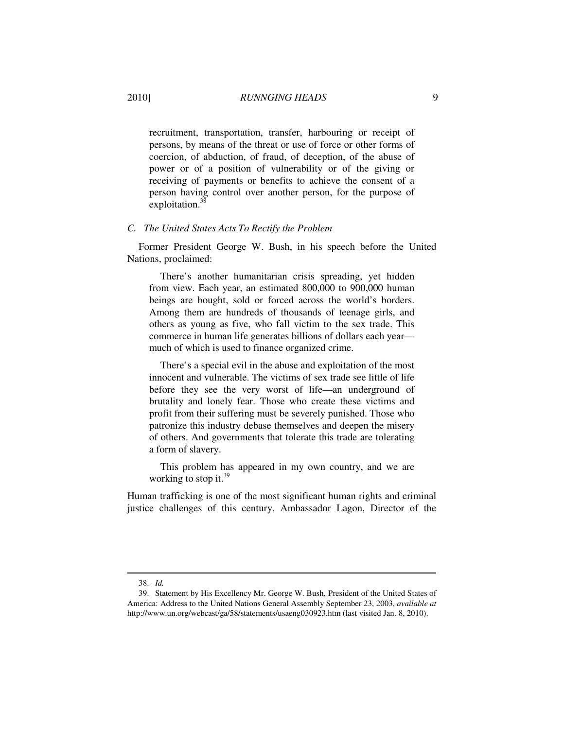recruitment, transportation, transfer, harbouring or receipt of persons, by means of the threat or use of force or other forms of coercion, of abduction, of fraud, of deception, of the abuse of power or of a position of vulnerability or of the giving or receiving of payments or benefits to achieve the consent of a person having control over another person, for the purpose of exploitation. $3$ 

#### *C. The United States Acts To Rectify the Problem*

Former President George W. Bush, in his speech before the United Nations, proclaimed:

There's another humanitarian crisis spreading, yet hidden from view. Each year, an estimated 800,000 to 900,000 human beings are bought, sold or forced across the world's borders. Among them are hundreds of thousands of teenage girls, and others as young as five, who fall victim to the sex trade. This commerce in human life generates billions of dollars each year much of which is used to finance organized crime.

There's a special evil in the abuse and exploitation of the most innocent and vulnerable. The victims of sex trade see little of life before they see the very worst of life—an underground of brutality and lonely fear. Those who create these victims and profit from their suffering must be severely punished. Those who patronize this industry debase themselves and deepen the misery of others. And governments that tolerate this trade are tolerating a form of slavery.

This problem has appeared in my own country, and we are working to stop it. $39$ 

Human trafficking is one of the most significant human rights and criminal justice challenges of this century. Ambassador Lagon, Director of the

 <sup>38.</sup> *Id.*

 <sup>39.</sup> Statement by His Excellency Mr. George W. Bush, President of the United States of America: Address to the United Nations General Assembly September 23, 2003, *available at* http://www.un.org/webcast/ga/58/statements/usaeng030923.htm (last visited Jan. 8, 2010).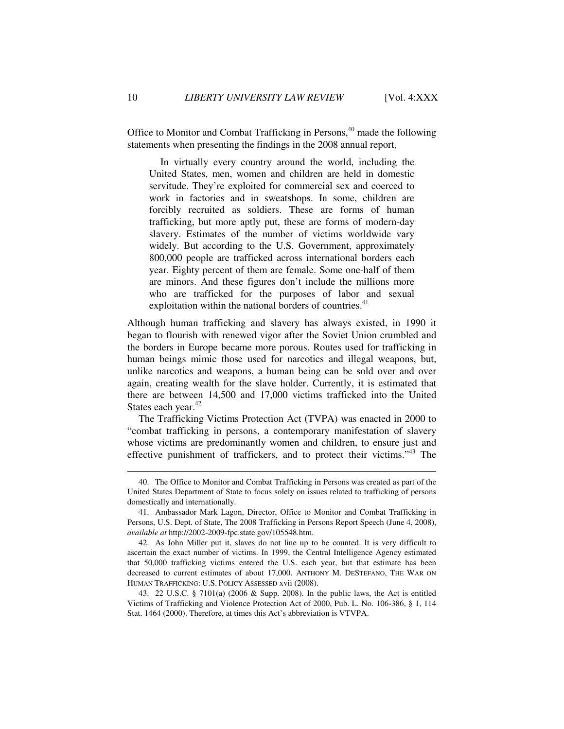Office to Monitor and Combat Trafficking in Persons, $40$  made the following statements when presenting the findings in the 2008 annual report,

In virtually every country around the world, including the United States, men, women and children are held in domestic servitude. They're exploited for commercial sex and coerced to work in factories and in sweatshops. In some, children are forcibly recruited as soldiers. These are forms of human trafficking, but more aptly put, these are forms of modern-day slavery. Estimates of the number of victims worldwide vary widely. But according to the U.S. Government, approximately 800,000 people are trafficked across international borders each year. Eighty percent of them are female. Some one-half of them are minors. And these figures don't include the millions more who are trafficked for the purposes of labor and sexual exploitation within the national borders of countries.<sup>41</sup>

Although human trafficking and slavery has always existed, in 1990 it began to flourish with renewed vigor after the Soviet Union crumbled and the borders in Europe became more porous. Routes used for trafficking in human beings mimic those used for narcotics and illegal weapons, but, unlike narcotics and weapons, a human being can be sold over and over again, creating wealth for the slave holder. Currently, it is estimated that there are between 14,500 and 17,000 victims trafficked into the United States each year.<sup>42</sup>

The Trafficking Victims Protection Act (TVPA) was enacted in 2000 to "combat trafficking in persons, a contemporary manifestation of slavery whose victims are predominantly women and children, to ensure just and effective punishment of traffickers, and to protect their victims."<sup>43</sup> The

 <sup>40.</sup> The Office to Monitor and Combat Trafficking in Persons was created as part of the United States Department of State to focus solely on issues related to trafficking of persons domestically and internationally.

 <sup>41.</sup> Ambassador Mark Lagon, Director, Office to Monitor and Combat Trafficking in Persons, U.S. Dept. of State, The 2008 Trafficking in Persons Report Speech (June 4, 2008), *available at* http://2002-2009-fpc.state.gov/105548.htm.

 <sup>42.</sup> As John Miller put it, slaves do not line up to be counted. It is very difficult to ascertain the exact number of victims. In 1999, the Central Intelligence Agency estimated that 50,000 trafficking victims entered the U.S. each year, but that estimate has been decreased to current estimates of about 17,000. ANTHONY M. DESTEFANO, THE WAR ON HUMAN TRAFFICKING: U.S. POLICY ASSESSED xvii (2008).

 <sup>43. 22</sup> U.S.C. § 7101(a) (2006 & Supp. 2008). In the public laws, the Act is entitled Victims of Trafficking and Violence Protection Act of 2000, Pub. L. No. 106-386, § 1, 114 Stat. 1464 (2000). Therefore, at times this Act's abbreviation is VTVPA.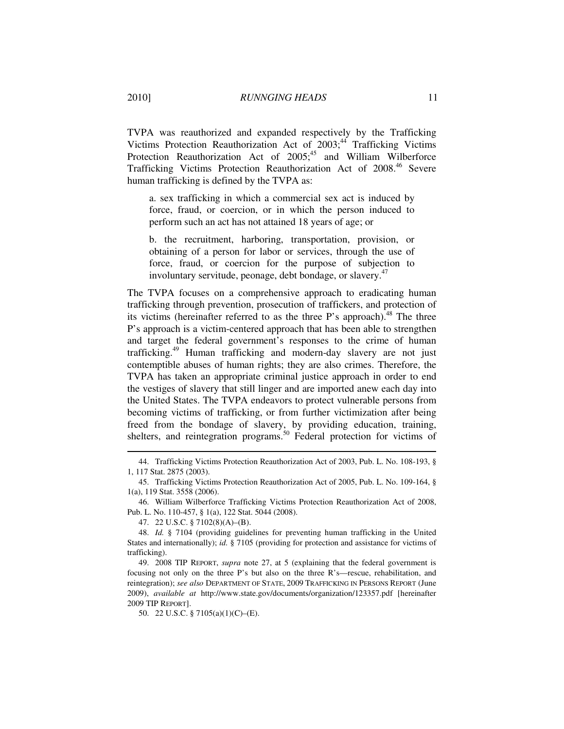TVPA was reauthorized and expanded respectively by the Trafficking Victims Protection Reauthorization Act of 2003;<sup>44</sup> Trafficking Victims Protection Reauthorization Act of 2005;<sup>45</sup> and William Wilberforce Trafficking Victims Protection Reauthorization Act of 2008<sup>46</sup> Severe human trafficking is defined by the TVPA as:

a. sex trafficking in which a commercial sex act is induced by force, fraud, or coercion, or in which the person induced to perform such an act has not attained 18 years of age; or

b. the recruitment, harboring, transportation, provision, or obtaining of a person for labor or services, through the use of force, fraud, or coercion for the purpose of subjection to involuntary servitude, peonage, debt bondage, or slavery.<sup>47</sup>

The TVPA focuses on a comprehensive approach to eradicating human trafficking through prevention, prosecution of traffickers, and protection of its victims (hereinafter referred to as the three P's approach).<sup>48</sup> The three P's approach is a victim-centered approach that has been able to strengthen and target the federal government's responses to the crime of human trafficking.<sup>49</sup> Human trafficking and modern-day slavery are not just contemptible abuses of human rights; they are also crimes. Therefore, the TVPA has taken an appropriate criminal justice approach in order to end the vestiges of slavery that still linger and are imported anew each day into the United States. The TVPA endeavors to protect vulnerable persons from becoming victims of trafficking, or from further victimization after being freed from the bondage of slavery, by providing education, training, shelters, and reintegration programs.<sup>50</sup> Federal protection for victims of

 <sup>44.</sup> Trafficking Victims Protection Reauthorization Act of 2003, Pub. L. No. 108-193, § 1, 117 Stat. 2875 (2003).

 <sup>45.</sup> Trafficking Victims Protection Reauthorization Act of 2005, Pub. L. No. 109-164, § 1(a), 119 Stat. 3558 (2006).

 <sup>46.</sup> William Wilberforce Trafficking Victims Protection Reauthorization Act of 2008, Pub. L. No. 110-457, § 1(a), 122 Stat. 5044 (2008).

 <sup>47. 22</sup> U.S.C. § 7102(8)(A)–(B).

 <sup>48.</sup> *Id.* § 7104 (providing guidelines for preventing human trafficking in the United States and internationally); *id.* § 7105 (providing for protection and assistance for victims of trafficking).

 <sup>49. 2008</sup> TIP REPORT, *supra* note 27, at 5 (explaining that the federal government is focusing not only on the three P's but also on the three R's—rescue, rehabilitation, and reintegration); *see also* DEPARTMENT OF STATE, 2009 TRAFFICKING IN PERSONS REPORT (June 2009), *available at* http://www.state.gov/documents/organization/123357.pdf [hereinafter 2009 TIP REPORT].

 <sup>50. 22</sup> U.S.C. § 7105(a)(1)(C)–(E).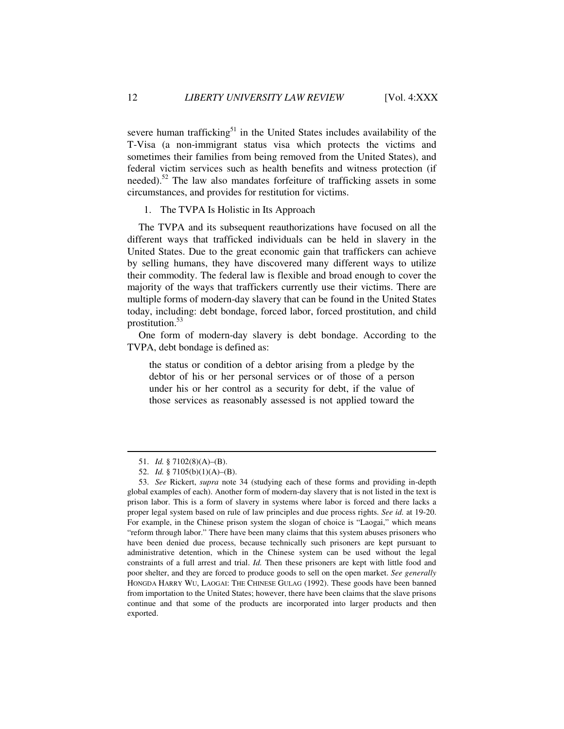severe human trafficking<sup>51</sup> in the United States includes availability of the T-Visa (a non-immigrant status visa which protects the victims and sometimes their families from being removed from the United States), and federal victim services such as health benefits and witness protection (if needed).<sup>52</sup> The law also mandates forfeiture of trafficking assets in some circumstances, and provides for restitution for victims.

#### 1. The TVPA Is Holistic in Its Approach

The TVPA and its subsequent reauthorizations have focused on all the different ways that trafficked individuals can be held in slavery in the United States. Due to the great economic gain that traffickers can achieve by selling humans, they have discovered many different ways to utilize their commodity. The federal law is flexible and broad enough to cover the majority of the ways that traffickers currently use their victims. There are multiple forms of modern-day slavery that can be found in the United States today, including: debt bondage, forced labor, forced prostitution, and child prostitution.<sup>53</sup>

One form of modern-day slavery is debt bondage. According to the TVPA, debt bondage is defined as:

the status or condition of a debtor arising from a pledge by the debtor of his or her personal services or of those of a person under his or her control as a security for debt, if the value of those services as reasonably assessed is not applied toward the

 <sup>51.</sup> *Id.* § 7102(8)(A)–(B).

 <sup>52.</sup> *Id.* § 7105(b)(1)(A)–(B).

 <sup>53.</sup> *See* Rickert, *supra* note 34 (studying each of these forms and providing in-depth global examples of each). Another form of modern-day slavery that is not listed in the text is prison labor. This is a form of slavery in systems where labor is forced and there lacks a proper legal system based on rule of law principles and due process rights. *See id.* at 19-20. For example, in the Chinese prison system the slogan of choice is "Laogai," which means "reform through labor." There have been many claims that this system abuses prisoners who have been denied due process, because technically such prisoners are kept pursuant to administrative detention, which in the Chinese system can be used without the legal constraints of a full arrest and trial. *Id.* Then these prisoners are kept with little food and poor shelter, and they are forced to produce goods to sell on the open market. *See generally* HONGDA HARRY WU, LAOGAI: THE CHINESE GULAG (1992). These goods have been banned from importation to the United States; however, there have been claims that the slave prisons continue and that some of the products are incorporated into larger products and then exported.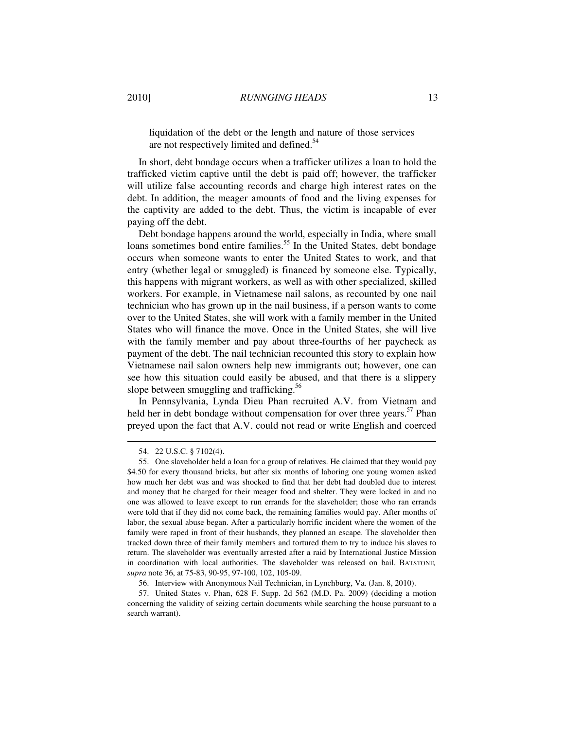liquidation of the debt or the length and nature of those services are not respectively limited and defined.<sup>54</sup>

In short, debt bondage occurs when a trafficker utilizes a loan to hold the trafficked victim captive until the debt is paid off; however, the trafficker will utilize false accounting records and charge high interest rates on the debt. In addition, the meager amounts of food and the living expenses for the captivity are added to the debt. Thus, the victim is incapable of ever paying off the debt.

Debt bondage happens around the world, especially in India, where small loans sometimes bond entire families.<sup>55</sup> In the United States, debt bondage occurs when someone wants to enter the United States to work, and that entry (whether legal or smuggled) is financed by someone else. Typically, this happens with migrant workers, as well as with other specialized, skilled workers. For example, in Vietnamese nail salons, as recounted by one nail technician who has grown up in the nail business, if a person wants to come over to the United States, she will work with a family member in the United States who will finance the move. Once in the United States, she will live with the family member and pay about three-fourths of her paycheck as payment of the debt. The nail technician recounted this story to explain how Vietnamese nail salon owners help new immigrants out; however, one can see how this situation could easily be abused, and that there is a slippery slope between smuggling and trafficking. $56$ 

In Pennsylvania, Lynda Dieu Phan recruited A.V. from Vietnam and held her in debt bondage without compensation for over three years.<sup>57</sup> Phan preyed upon the fact that A.V. could not read or write English and coerced

 <sup>54. 22</sup> U.S.C. § 7102(4).

 <sup>55.</sup> One slaveholder held a loan for a group of relatives. He claimed that they would pay \$4.50 for every thousand bricks, but after six months of laboring one young women asked how much her debt was and was shocked to find that her debt had doubled due to interest and money that he charged for their meager food and shelter. They were locked in and no one was allowed to leave except to run errands for the slaveholder; those who ran errands were told that if they did not come back, the remaining families would pay. After months of labor, the sexual abuse began. After a particularly horrific incident where the women of the family were raped in front of their husbands, they planned an escape. The slaveholder then tracked down three of their family members and tortured them to try to induce his slaves to return. The slaveholder was eventually arrested after a raid by International Justice Mission in coordination with local authorities. The slaveholder was released on bail. BATSTONE*, supra* note 36, at 75-83, 90-95, 97-100, 102, 105-09.

 <sup>56.</sup> Interview with Anonymous Nail Technician, in Lynchburg, Va. (Jan. 8, 2010).

 <sup>57.</sup> United States v. Phan, 628 F. Supp. 2d 562 (M.D. Pa. 2009) (deciding a motion concerning the validity of seizing certain documents while searching the house pursuant to a search warrant).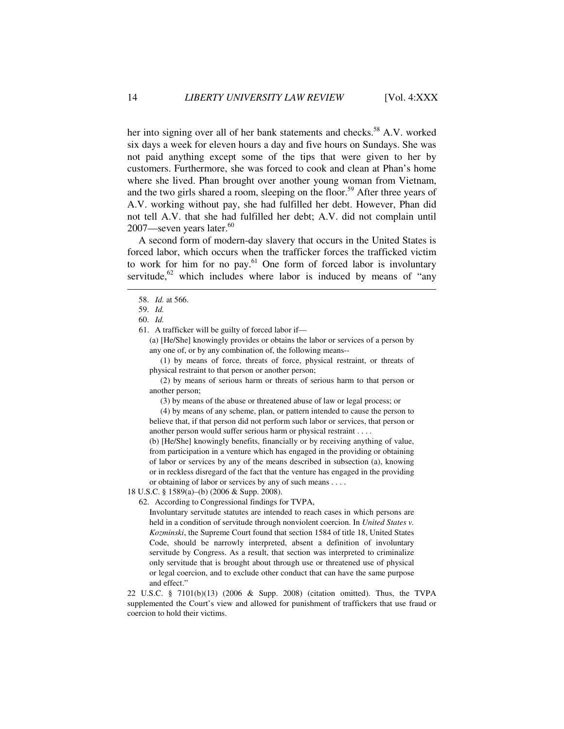her into signing over all of her bank statements and checks.<sup>58</sup> A.V. worked six days a week for eleven hours a day and five hours on Sundays. She was not paid anything except some of the tips that were given to her by customers. Furthermore, she was forced to cook and clean at Phan's home where she lived. Phan brought over another young woman from Vietnam, and the two girls shared a room, sleeping on the floor.<sup>59</sup> After three years of A.V. working without pay, she had fulfilled her debt. However, Phan did not tell A.V. that she had fulfilled her debt; A.V. did not complain until 2007—seven years later.<sup>60</sup>

A second form of modern-day slavery that occurs in the United States is forced labor, which occurs when the trafficker forces the trafficked victim to work for him for no pay.<sup>61</sup> One form of forced labor is involuntary servitude,<sup>62</sup> which includes where labor is induced by means of "any

 $\overline{a}$ 

61. A trafficker will be guilty of forced labor if—

(a) [He/She] knowingly provides or obtains the labor or services of a person by any one of, or by any combination of, the following means--

 (1) by means of force, threats of force, physical restraint, or threats of physical restraint to that person or another person;

 (2) by means of serious harm or threats of serious harm to that person or another person;

(3) by means of the abuse or threatened abuse of law or legal process; or

 (4) by means of any scheme, plan, or pattern intended to cause the person to believe that, if that person did not perform such labor or services, that person or another person would suffer serious harm or physical restraint . . . .

(b) [He/She] knowingly benefits, financially or by receiving anything of value, from participation in a venture which has engaged in the providing or obtaining of labor or services by any of the means described in subsection (a), knowing or in reckless disregard of the fact that the venture has engaged in the providing or obtaining of labor or services by any of such means . . . .

18 U.S.C. § 1589(a)–(b) (2006 & Supp. 2008).

62. According to Congressional findings for TVPA,

Involuntary servitude statutes are intended to reach cases in which persons are held in a condition of servitude through nonviolent coercion. In *United States v. Kozminski*, the Supreme Court found that section 1584 of title 18, United States Code, should be narrowly interpreted, absent a definition of involuntary servitude by Congress. As a result, that section was interpreted to criminalize only servitude that is brought about through use or threatened use of physical or legal coercion, and to exclude other conduct that can have the same purpose and effect."

22 U.S.C. § 7101(b)(13) (2006 & Supp. 2008) (citation omitted). Thus, the TVPA supplemented the Court's view and allowed for punishment of traffickers that use fraud or coercion to hold their victims.

 <sup>58.</sup> *Id.* at 566.

 <sup>59.</sup> *Id.*

 <sup>60.</sup> *Id.*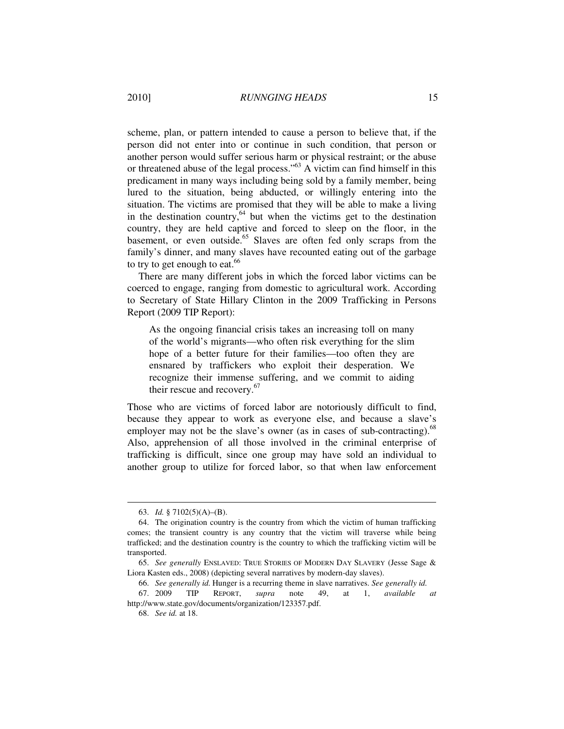scheme, plan, or pattern intended to cause a person to believe that, if the person did not enter into or continue in such condition, that person or another person would suffer serious harm or physical restraint; or the abuse or threatened abuse of the legal process." $^{63}$  A victim can find himself in this predicament in many ways including being sold by a family member, being lured to the situation, being abducted, or willingly entering into the situation. The victims are promised that they will be able to make a living in the destination country, $64$  but when the victims get to the destination country, they are held captive and forced to sleep on the floor, in the basement, or even outside.<sup>65</sup> Slaves are often fed only scraps from the family's dinner, and many slaves have recounted eating out of the garbage to try to get enough to eat. $66$ 

There are many different jobs in which the forced labor victims can be coerced to engage, ranging from domestic to agricultural work. According to Secretary of State Hillary Clinton in the 2009 Trafficking in Persons Report (2009 TIP Report):

As the ongoing financial crisis takes an increasing toll on many of the world's migrants—who often risk everything for the slim hope of a better future for their families—too often they are ensnared by traffickers who exploit their desperation. We recognize their immense suffering, and we commit to aiding their rescue and recovery. $67$ 

Those who are victims of forced labor are notoriously difficult to find, because they appear to work as everyone else, and because a slave's employer may not be the slave's owner (as in cases of sub-contracting). $^{68}$ Also, apprehension of all those involved in the criminal enterprise of trafficking is difficult, since one group may have sold an individual to another group to utilize for forced labor, so that when law enforcement

 <sup>63.</sup> *Id.* § 7102(5)(A)–(B).

 <sup>64.</sup> The origination country is the country from which the victim of human trafficking comes; the transient country is any country that the victim will traverse while being trafficked; and the destination country is the country to which the trafficking victim will be transported.

 <sup>65.</sup> *See generally* ENSLAVED: TRUE STORIES OF MODERN DAY SLAVERY (Jesse Sage & Liora Kasten eds., 2008) (depicting several narratives by modern-day slaves).

 <sup>66.</sup> *See generally id.* Hunger is a recurring theme in slave narratives. *See generally id.*

 <sup>67. 2009</sup> TIP REPORT, *supra* note 49, at 1, *available at* http://www.state.gov/documents/organization/123357.pdf.

 <sup>68.</sup> *See id.* at 18.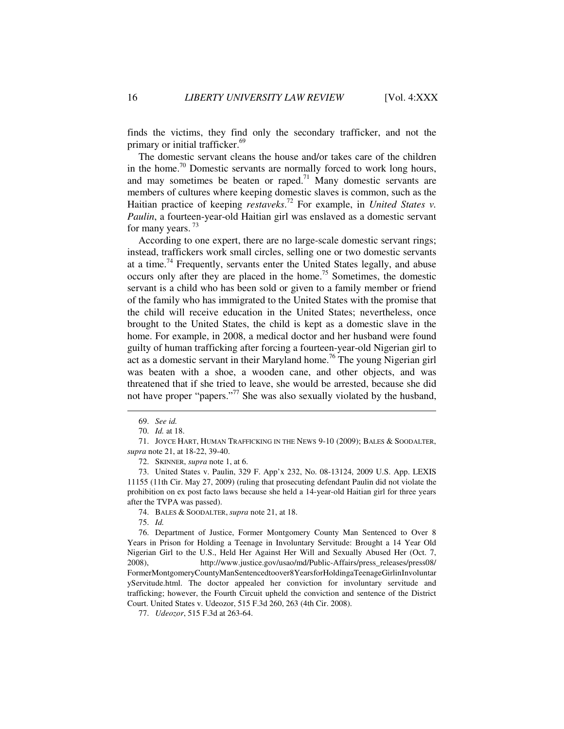finds the victims, they find only the secondary trafficker, and not the primary or initial trafficker.<sup>69</sup>

The domestic servant cleans the house and/or takes care of the children in the home.<sup>70</sup> Domestic servants are normally forced to work long hours, and may sometimes be beaten or raped.<sup>71</sup> Many domestic servants are members of cultures where keeping domestic slaves is common, such as the Haitian practice of keeping *restaveks*. <sup>72</sup> For example, in *United States v. Paulin*, a fourteen-year-old Haitian girl was enslaved as a domestic servant for many years.<sup>73</sup>

According to one expert, there are no large-scale domestic servant rings; instead, traffickers work small circles, selling one or two domestic servants at a time.<sup>74</sup> Frequently, servants enter the United States legally, and abuse occurs only after they are placed in the home.<sup>75</sup> Sometimes, the domestic servant is a child who has been sold or given to a family member or friend of the family who has immigrated to the United States with the promise that the child will receive education in the United States; nevertheless, once brought to the United States, the child is kept as a domestic slave in the home. For example, in 2008, a medical doctor and her husband were found guilty of human trafficking after forcing a fourteen-year-old Nigerian girl to act as a domestic servant in their Maryland home.<sup>76</sup> The young Nigerian girl was beaten with a shoe, a wooden cane, and other objects, and was threatened that if she tried to leave, she would be arrested, because she did not have proper "papers."<sup>77</sup> She was also sexually violated by the husband,

 $\overline{a}$ 

72. SKINNER, *supra* note 1, at 6.

 73. United States v. Paulin, 329 F. App'x 232, No. 08-13124, 2009 U.S. App. LEXIS 11155 (11th Cir. May 27, 2009) (ruling that prosecuting defendant Paulin did not violate the prohibition on ex post facto laws because she held a 14-year-old Haitian girl for three years after the TVPA was passed).

74. BALES & SOODALTER, *supra* note 21, at 18.

75. *Id.*

 76. Department of Justice, Former Montgomery County Man Sentenced to Over 8 Years in Prison for Holding a Teenage in Involuntary Servitude: Brought a 14 Year Old Nigerian Girl to the U.S., Held Her Against Her Will and Sexually Abused Her (Oct. 7, 2008), http://www.justice.gov/usao/md/Public-Affairs/press\_releases/press08/ FormerMontgomeryCountyManSentencedtoover8YearsforHoldingaTeenageGirlinInvoluntar yServitude.html. The doctor appealed her conviction for involuntary servitude and trafficking; however, the Fourth Circuit upheld the conviction and sentence of the District Court. United States v. Udeozor, 515 F.3d 260, 263 (4th Cir. 2008).

77. *Udeozor*, 515 F.3d at 263-64.

 <sup>69.</sup> *See id.*

 <sup>70.</sup> *Id.* at 18.

 <sup>71.</sup> JOYCE HART, HUMAN TRAFFICKING IN THE NEWS 9-10 (2009); BALES & SOODALTER, *supra* note 21, at 18-22, 39-40.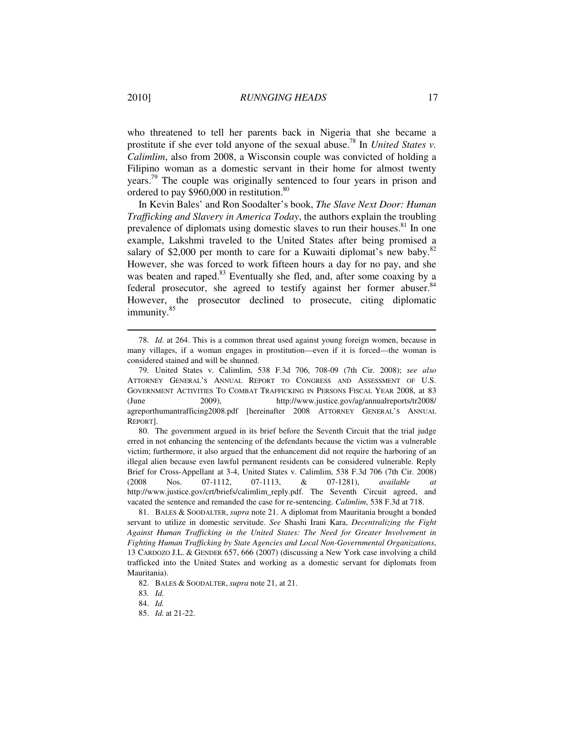who threatened to tell her parents back in Nigeria that she became a prostitute if she ever told anyone of the sexual abuse.<sup>78</sup> In *United States v. Calimlim*, also from 2008, a Wisconsin couple was convicted of holding a Filipino woman as a domestic servant in their home for almost twenty years.<sup>79</sup> The couple was originally sentenced to four years in prison and ordered to pay \$960,000 in restitution.<sup>80</sup>

In Kevin Bales' and Ron Soodalter's book, *The Slave Next Door: Human Trafficking and Slavery in America Today*, the authors explain the troubling prevalence of diplomats using domestic slaves to run their houses.<sup>81</sup> In one example, Lakshmi traveled to the United States after being promised a salary of \$2,000 per month to care for a Kuwaiti diplomat's new baby. $82$ However, she was forced to work fifteen hours a day for no pay, and she was beaten and raped.<sup>83</sup> Eventually she fled, and, after some coaxing by a federal prosecutor, she agreed to testify against her former abuser.<sup>84</sup> However, the prosecutor declined to prosecute, citing diplomatic immunity.<sup>85</sup>

 80. The government argued in its brief before the Seventh Circuit that the trial judge erred in not enhancing the sentencing of the defendants because the victim was a vulnerable victim; furthermore, it also argued that the enhancement did not require the harboring of an illegal alien because even lawful permanent residents can be considered vulnerable. Reply Brief for Cross-Appellant at 3-4, United States v. Calimlim, 538 F.3d 706 (7th Cir. 2008) (2008 Nos. 07-1112, 07-1113, & 07-1281), *available at* http://www.justice.gov/crt/briefs/calimlim\_reply.pdf. The Seventh Circuit agreed, and vacated the sentence and remanded the case for re-sentencing. *Calimlim*, 538 F.3d at 718.

 <sup>78.</sup> *Id.* at 264. This is a common threat used against young foreign women, because in many villages, if a woman engages in prostitution—even if it is forced—the woman is considered stained and will be shunned.

 <sup>79.</sup> United States v. Calimlim, 538 F.3d 706, 708-09 (7th Cir. 2008); *see also* ATTORNEY GENERAL'S ANNUAL REPORT TO CONGRESS AND ASSESSMENT OF U.S. GOVERNMENT ACTIVITIES TO COMBAT TRAFFICKING IN PERSONS FISCAL YEAR 2008, at 83 (June 2009), http://www.justice.gov/ag/annualreports/tr2008/ agreporthumantrafficing2008.pdf [hereinafter 2008 ATTORNEY GENERAL'S ANNUAL REPORT].

 <sup>81.</sup> BALES & SOODALTER, *supra* note 21. A diplomat from Mauritania brought a bonded servant to utilize in domestic servitude. *See* Shashi Irani Kara, *Decentralizing the Fight Against Human Trafficking in the United States: The Need for Greater Involvement in Fighting Human Trafficking by State Agencies and Local Non-Governmental Organizations*, 13 CARDOZO J.L. & GENDER 657, 666 (2007) (discussing a New York case involving a child trafficked into the United States and working as a domestic servant for diplomats from Mauritania).

 <sup>82.</sup> BALES & SOODALTER, *supra* note 21, at 21.

<sup>83</sup>*. Id.*

 <sup>84.</sup> *Id.*

 <sup>85.</sup> *Id.* at 21-22.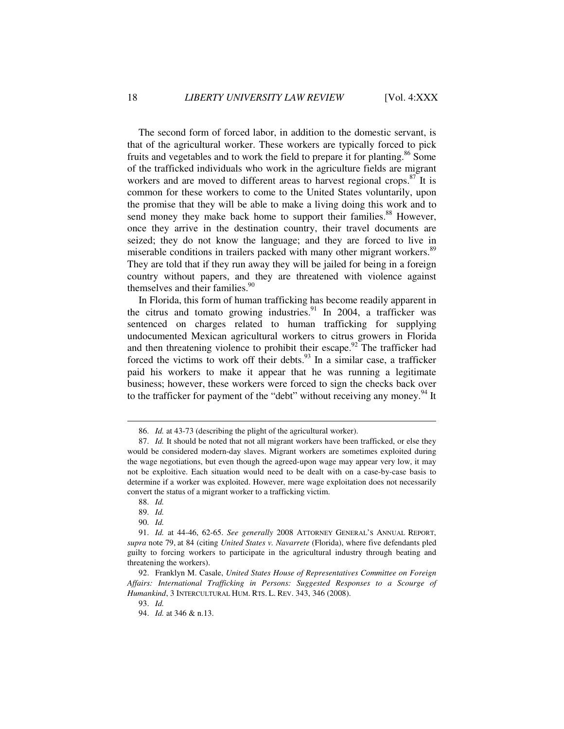The second form of forced labor, in addition to the domestic servant, is that of the agricultural worker. These workers are typically forced to pick fruits and vegetables and to work the field to prepare it for planting.<sup>86</sup> Some of the trafficked individuals who work in the agriculture fields are migrant workers and are moved to different areas to harvest regional crops. $87$  It is common for these workers to come to the United States voluntarily, upon the promise that they will be able to make a living doing this work and to send money they make back home to support their families.<sup>88</sup> However, once they arrive in the destination country, their travel documents are seized; they do not know the language; and they are forced to live in miserable conditions in trailers packed with many other migrant workers.<sup>89</sup> They are told that if they run away they will be jailed for being in a foreign country without papers, and they are threatened with violence against themselves and their families.<sup>90</sup>

In Florida, this form of human trafficking has become readily apparent in the citrus and tomato growing industries.<sup>91</sup> In 2004, a trafficker was sentenced on charges related to human trafficking for supplying undocumented Mexican agricultural workers to citrus growers in Florida and then threatening violence to prohibit their escape.<sup>92</sup> The trafficker had forced the victims to work off their debts. $93$  In a similar case, a trafficker paid his workers to make it appear that he was running a legitimate business; however, these workers were forced to sign the checks back over to the trafficker for payment of the "debt" without receiving any money.<sup>94</sup> It

 <sup>86.</sup> *Id.* at 43-73 (describing the plight of the agricultural worker).

 <sup>87.</sup> *Id.* It should be noted that not all migrant workers have been trafficked, or else they would be considered modern-day slaves. Migrant workers are sometimes exploited during the wage negotiations, but even though the agreed-upon wage may appear very low, it may not be exploitive. Each situation would need to be dealt with on a case-by-case basis to determine if a worker was exploited. However, mere wage exploitation does not necessarily convert the status of a migrant worker to a trafficking victim.

 <sup>88.</sup> *Id.*

 <sup>89.</sup> *Id.*

 <sup>90.</sup> *Id.*

 <sup>91.</sup> *Id.* at 44-46, 62-65. *See generally* 2008 ATTORNEY GENERAL'S ANNUAL REPORT, *supra* note 79, at 84 (citing *United States v. Navarrete* (Florida), where five defendants pled guilty to forcing workers to participate in the agricultural industry through beating and threatening the workers).

 <sup>92.</sup> Franklyn M. Casale, *United States House of Representatives Committee on Foreign Affairs: International Trafficking in Persons: Suggested Responses to a Scourge of Humankind*, 3 INTERCULTURAL HUM. RTS. L. REV. 343, 346 (2008).

 <sup>93.</sup> *Id.*

 <sup>94.</sup> *Id.* at 346 & n.13.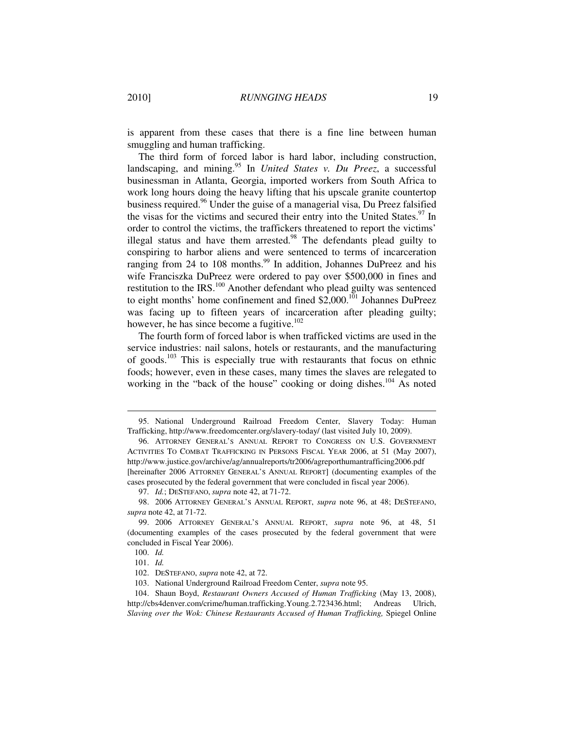is apparent from these cases that there is a fine line between human smuggling and human trafficking.

The third form of forced labor is hard labor, including construction, landscaping, and mining.<sup>95</sup> In *United States v. Du Preez*, a successful businessman in Atlanta, Georgia, imported workers from South Africa to work long hours doing the heavy lifting that his upscale granite countertop business required.<sup>96</sup> Under the guise of a managerial visa, Du Preez falsified the visas for the victims and secured their entry into the United States.<sup>97</sup> In order to control the victims, the traffickers threatened to report the victims' illegal status and have them arrested. $98$  The defendants plead guilty to conspiring to harbor aliens and were sentenced to terms of incarceration ranging from 24 to 108 months.<sup>99</sup> In addition, Johannes DuPreez and his wife Franciszka DuPreez were ordered to pay over \$500,000 in fines and restitution to the IRS. $100$  Another defendant who plead guilty was sentenced to eight months' home confinement and fined  $$2,000$ .<sup>101</sup> Johannes DuPreez was facing up to fifteen years of incarceration after pleading guilty; however, he has since become a fugitive. $102$ 

The fourth form of forced labor is when trafficked victims are used in the service industries: nail salons, hotels or restaurants, and the manufacturing of goods.<sup>103</sup> This is especially true with restaurants that focus on ethnic foods; however, even in these cases, many times the slaves are relegated to working in the "back of the house" cooking or doing dishes.<sup>104</sup> As noted

 <sup>95.</sup> National Underground Railroad Freedom Center, Slavery Today: Human Trafficking, http://www.freedomcenter.org/slavery-today/ (last visited July 10, 2009).

 <sup>96.</sup> ATTORNEY GENERAL'S ANNUAL REPORT TO CONGRESS ON U.S. GOVERNMENT ACTIVITIES TO COMBAT TRAFFICKING IN PERSONS FISCAL YEAR 2006, at 51 (May 2007), http://www.justice.gov/archive/ag/annualreports/tr2006/agreporthumantrafficing2006.pdf [hereinafter 2006 ATTORNEY GENERAL'S ANNUAL REPORT] (documenting examples of the cases prosecuted by the federal government that were concluded in fiscal year 2006).

 <sup>97.</sup> *Id.*; DESTEFANO, *supra* note 42, at 71-72.

 <sup>98. 2006</sup> ATTORNEY GENERAL'S ANNUAL REPORT, *supra* note 96, at 48; DESTEFANO, *supra* note 42, at 71-72.

 <sup>99. 2006</sup> ATTORNEY GENERAL'S ANNUAL REPORT, *supra* note 96, at 48, 51 (documenting examples of the cases prosecuted by the federal government that were concluded in Fiscal Year 2006).

 <sup>100.</sup> *Id.*

 <sup>101.</sup> *Id.*

 <sup>102.</sup> DESTEFANO, *supra* note 42, at 72.

 <sup>103.</sup> National Underground Railroad Freedom Center, *supra* note 95.

 <sup>104.</sup> Shaun Boyd, *Restaurant Owners Accused of Human Trafficking* (May 13, 2008), http://cbs4denver.com/crime/human.trafficking.Young.2.723436.html; Andreas Ulrich, *Slaving over the Wok: Chinese Restaurants Accused of Human Trafficking, Spiegel Online*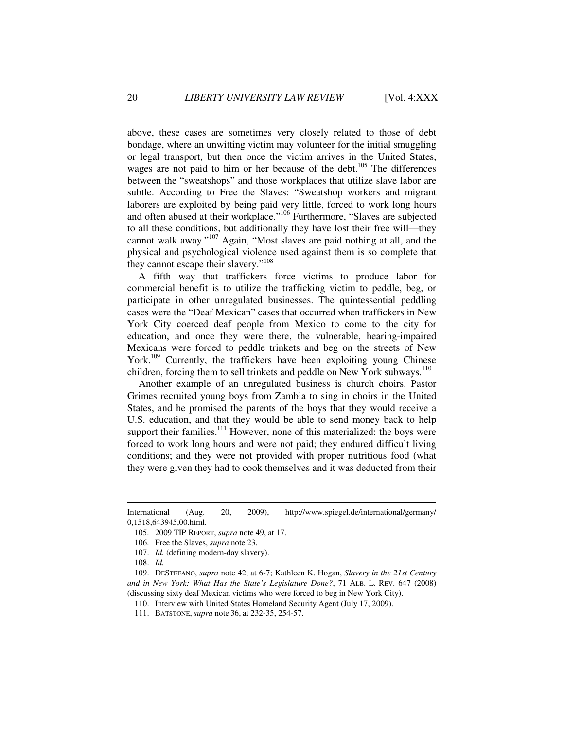above, these cases are sometimes very closely related to those of debt bondage, where an unwitting victim may volunteer for the initial smuggling or legal transport, but then once the victim arrives in the United States, wages are not paid to him or her because of the debt.<sup>105</sup> The differences between the "sweatshops" and those workplaces that utilize slave labor are subtle. According to Free the Slaves: "Sweatshop workers and migrant laborers are exploited by being paid very little, forced to work long hours and often abused at their workplace."<sup>106</sup> Furthermore, "Slaves are subjected to all these conditions, but additionally they have lost their free will—they cannot walk away."<sup>107</sup> Again, "Most slaves are paid nothing at all, and the physical and psychological violence used against them is so complete that they cannot escape their slavery."<sup>108</sup>

A fifth way that traffickers force victims to produce labor for commercial benefit is to utilize the trafficking victim to peddle, beg, or participate in other unregulated businesses. The quintessential peddling cases were the "Deaf Mexican" cases that occurred when traffickers in New York City coerced deaf people from Mexico to come to the city for education, and once they were there, the vulnerable, hearing-impaired Mexicans were forced to peddle trinkets and beg on the streets of New York.<sup>109</sup> Currently, the traffickers have been exploiting young Chinese children, forcing them to sell trinkets and peddle on New York subways. $110$ 

Another example of an unregulated business is church choirs. Pastor Grimes recruited young boys from Zambia to sing in choirs in the United States, and he promised the parents of the boys that they would receive a U.S. education, and that they would be able to send money back to help support their families.<sup>111</sup> However, none of this materialized: the boys were forced to work long hours and were not paid; they endured difficult living conditions; and they were not provided with proper nutritious food (what they were given they had to cook themselves and it was deducted from their

International (Aug. 20, 2009), http://www.spiegel.de/international/germany/ 0,1518,643945,00.html.

 <sup>105. 2009</sup> TIP REPORT, *supra* note 49, at 17.

 <sup>106.</sup> Free the Slaves, *supra* note 23.

 <sup>107.</sup> *Id.* (defining modern-day slavery).

 <sup>108.</sup> *Id.*

 <sup>109.</sup> DESTEFANO, *supra* note 42, at 6-7; Kathleen K. Hogan, *Slavery in the 21st Century and in New York: What Has the State's Legislature Done?*, 71 ALB. L. REV. 647 (2008) (discussing sixty deaf Mexican victims who were forced to beg in New York City).

 <sup>110.</sup> Interview with United States Homeland Security Agent (July 17, 2009).

 <sup>111.</sup> BATSTONE, *supra* note 36, at 232-35, 254-57.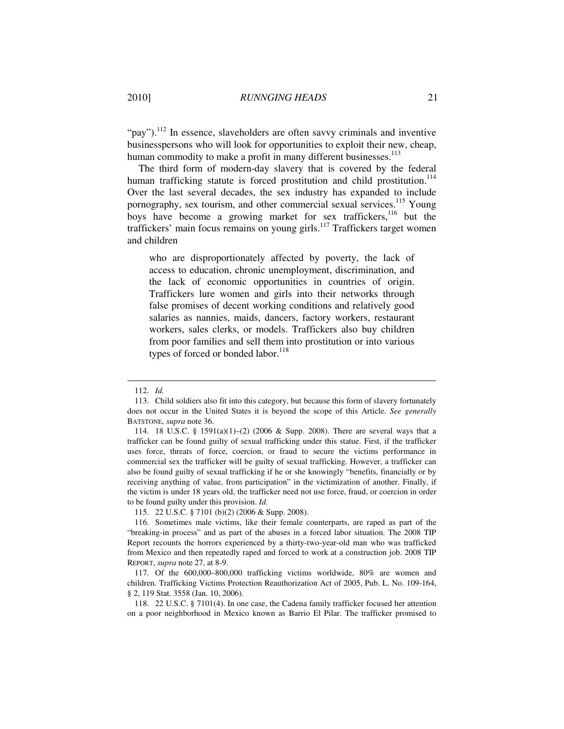" $pay$ ").<sup>112</sup> In essence, slaveholders are often savvy criminals and inventive businesspersons who will look for opportunities to exploit their new, cheap, human commodity to make a profit in many different businesses.<sup>113</sup>

The third form of modern-day slavery that is covered by the federal human trafficking statute is forced prostitution and child prostitution.<sup>114</sup> Over the last several decades, the sex industry has expanded to include pornography, sex tourism, and other commercial sexual services.<sup>115</sup> Young boys have become a growing market for sex traffickers,<sup>116</sup> but the traffickers' main focus remains on young girls.<sup>117</sup> Traffickers target women and children

who are disproportionately affected by poverty, the lack of access to education, chronic unemployment, discrimination, and the lack of economic opportunities in countries of origin. Traffickers lure women and girls into their networks through false promises of decent working conditions and relatively good salaries as nannies, maids, dancers, factory workers, restaurant workers, sales clerks, or models. Traffickers also buy children from poor families and sell them into prostitution or into various types of forced or bonded labor.<sup>118</sup>

 $\overline{a}$ 

115. 22 U.S.C. § 7101 (b)(2) (2006 & Supp. 2008).

 <sup>112.</sup> *Id.*

 <sup>113.</sup> Child soldiers also fit into this category, but because this form of slavery fortunately does not occur in the United States it is beyond the scope of this Article. *See generally* BATSTONE, *supra* note 36.

 <sup>114. 18</sup> U.S.C. § 1591(a)(1)–(2) (2006 & Supp. 2008). There are several ways that a trafficker can be found guilty of sexual trafficking under this statue. First, if the trafficker uses force, threats of force, coercion, or fraud to secure the victims performance in commercial sex the trafficker will be guilty of sexual trafficking. However, a trafficker can also be found guilty of sexual trafficking if he or she knowingly "benefits, financially or by receiving anything of value, from participation" in the victimization of another. Finally, if the victim is under 18 years old, the trafficker need not use force, fraud, or coercion in order to be found guilty under this provision. *Id.*

 <sup>116.</sup> Sometimes male victims, like their female counterparts, are raped as part of the "breaking-in process" and as part of the abuses in a forced labor situation. The 2008 TIP Report recounts the horrors experienced by a thirty-two-year-old man who was trafficked from Mexico and then repeatedly raped and forced to work at a construction job. 2008 TIP REPORT, *supra* note 27, at 8-9.

 <sup>117.</sup> Of the 600,000–800,000 trafficking victims worldwide, 80% are women and children. Trafficking Victims Protection Reauthorization Act of 2005, Pub. L. No. 109-164, § 2, 119 Stat. 3558 (Jan. 10, 2006).

 <sup>118. 22</sup> U.S.C. § 7101(4). In one case, the Cadena family trafficker focused her attention on a poor neighborhood in Mexico known as Barrio El Pilar. The trafficker promised to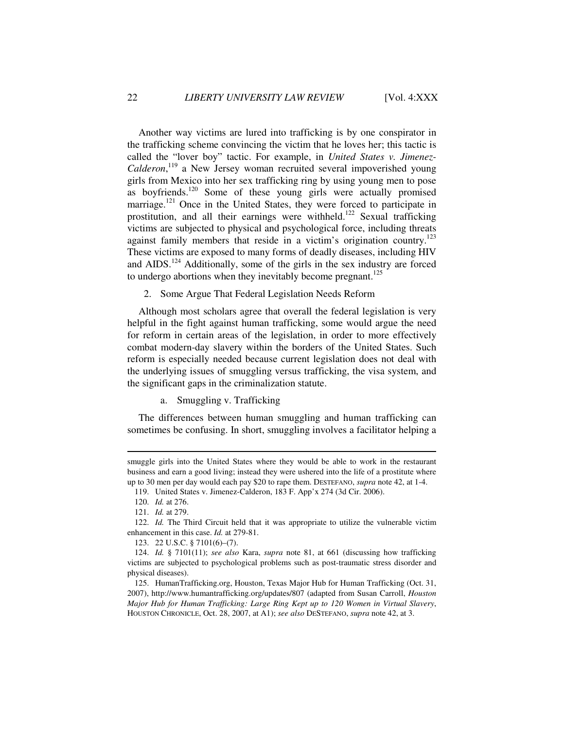Another way victims are lured into trafficking is by one conspirator in the trafficking scheme convincing the victim that he loves her; this tactic is called the "lover boy" tactic. For example, in *United States v. Jimenez-*Calderon,<sup>119</sup> a New Jersey woman recruited several impoverished young girls from Mexico into her sex trafficking ring by using young men to pose as boyfriends.<sup>120</sup> Some of these young girls were actually promised marriage.<sup>121</sup> Once in the United States, they were forced to participate in prostitution, and all their earnings were withheld.<sup>122</sup> Sexual trafficking victims are subjected to physical and psychological force, including threats against family members that reside in a victim's origination country.<sup>123</sup> These victims are exposed to many forms of deadly diseases, including HIV and AIDS.<sup>124</sup> Additionally, some of the girls in the sex industry are forced to undergo abortions when they inevitably become pregnant.<sup>125</sup>

2. Some Argue That Federal Legislation Needs Reform

Although most scholars agree that overall the federal legislation is very helpful in the fight against human trafficking, some would argue the need for reform in certain areas of the legislation, in order to more effectively combat modern-day slavery within the borders of the United States. Such reform is especially needed because current legislation does not deal with the underlying issues of smuggling versus trafficking, the visa system, and the significant gaps in the criminalization statute.

a. Smuggling v. Trafficking

The differences between human smuggling and human trafficking can sometimes be confusing. In short, smuggling involves a facilitator helping a

smuggle girls into the United States where they would be able to work in the restaurant business and earn a good living; instead they were ushered into the life of a prostitute where up to 30 men per day would each pay \$20 to rape them. DESTEFANO, *supra* note 42, at 1-4.

 <sup>119.</sup> United States v. Jimenez-Calderon, 183 F. App'x 274 (3d Cir. 2006).

 <sup>120.</sup> *Id.* at 276.

 <sup>121.</sup> *Id.* at 279.

 <sup>122.</sup> *Id.* The Third Circuit held that it was appropriate to utilize the vulnerable victim enhancement in this case. *Id.* at 279-81.

 <sup>123. 22</sup> U.S.C. § 7101(6)–(7).

 <sup>124.</sup> *Id.* § 7101(11); *see also* Kara, *supra* note 81, at 661 (discussing how trafficking victims are subjected to psychological problems such as post-traumatic stress disorder and physical diseases).

 <sup>125.</sup> HumanTrafficking.org, Houston, Texas Major Hub for Human Trafficking (Oct. 31, 2007), http://www.humantrafficking.org/updates/807 (adapted from Susan Carroll, *Houston Major Hub for Human Trafficking: Large Ring Kept up to 120 Women in Virtual Slavery*, HOUSTON CHRONICLE, Oct. 28, 2007, at A1); *see also* DESTEFANO, *supra* note 42, at 3.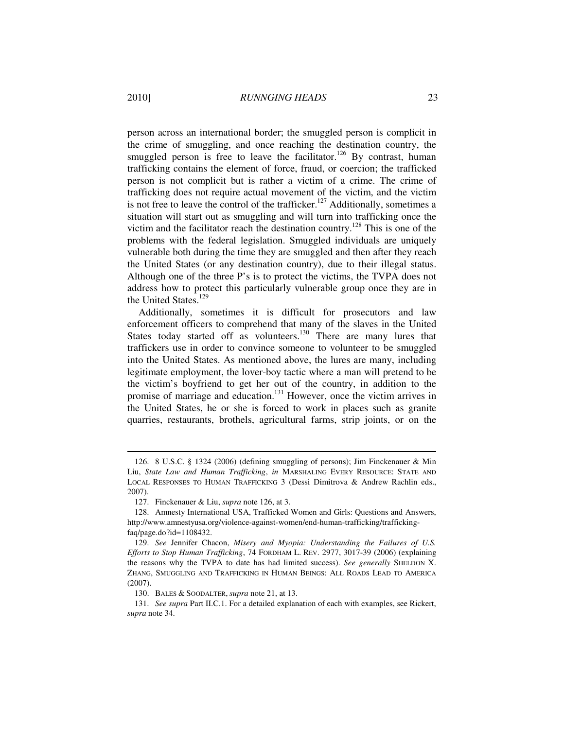person across an international border; the smuggled person is complicit in the crime of smuggling, and once reaching the destination country, the smuggled person is free to leave the facilitator.<sup>126</sup> By contrast, human trafficking contains the element of force, fraud, or coercion; the trafficked person is not complicit but is rather a victim of a crime. The crime of trafficking does not require actual movement of the victim, and the victim is not free to leave the control of the trafficker.<sup>127</sup> Additionally, sometimes a situation will start out as smuggling and will turn into trafficking once the victim and the facilitator reach the destination country.<sup>128</sup> This is one of the problems with the federal legislation. Smuggled individuals are uniquely vulnerable both during the time they are smuggled and then after they reach the United States (or any destination country), due to their illegal status. Although one of the three P's is to protect the victims, the TVPA does not address how to protect this particularly vulnerable group once they are in the United States.<sup>129</sup>

Additionally, sometimes it is difficult for prosecutors and law enforcement officers to comprehend that many of the slaves in the United States today started off as volunteers.<sup>130</sup> There are many lures that traffickers use in order to convince someone to volunteer to be smuggled into the United States. As mentioned above, the lures are many, including legitimate employment, the lover-boy tactic where a man will pretend to be the victim's boyfriend to get her out of the country, in addition to the promise of marriage and education.<sup>131</sup> However, once the victim arrives in the United States, he or she is forced to work in places such as granite quarries, restaurants, brothels, agricultural farms, strip joints, or on the

 <sup>126. 8</sup> U.S.C. § 1324 (2006) (defining smuggling of persons); Jim Finckenauer & Min Liu, *State Law and Human Trafficking*, *in* MARSHALING EVERY RESOURCE: STATE AND LOCAL RESPONSES TO HUMAN TRAFFICKING 3 (Dessi Dimitrova & Andrew Rachlin eds., 2007).

 <sup>127.</sup> Finckenauer & Liu, *supra* note 126, at 3.

 <sup>128.</sup> Amnesty International USA, Trafficked Women and Girls: Questions and Answers, http://www.amnestyusa.org/violence-against-women/end-human-trafficking/traffickingfaq/page.do?id=1108432.

 <sup>129.</sup> *See* Jennifer Chacon, *Misery and Myopia: Understanding the Failures of U.S. Efforts to Stop Human Trafficking*, 74 FORDHAM L. REV. 2977, 3017-39 (2006) (explaining the reasons why the TVPA to date has had limited success). *See generally* SHELDON X. ZHANG, SMUGGLING AND TRAFFICKING IN HUMAN BEINGS: ALL ROADS LEAD TO AMERICA (2007).

 <sup>130.</sup> BALES & SOODALTER, *supra* note 21, at 13.

 <sup>131.</sup> *See supra* Part II.C.1. For a detailed explanation of each with examples, see Rickert, *supra* note 34.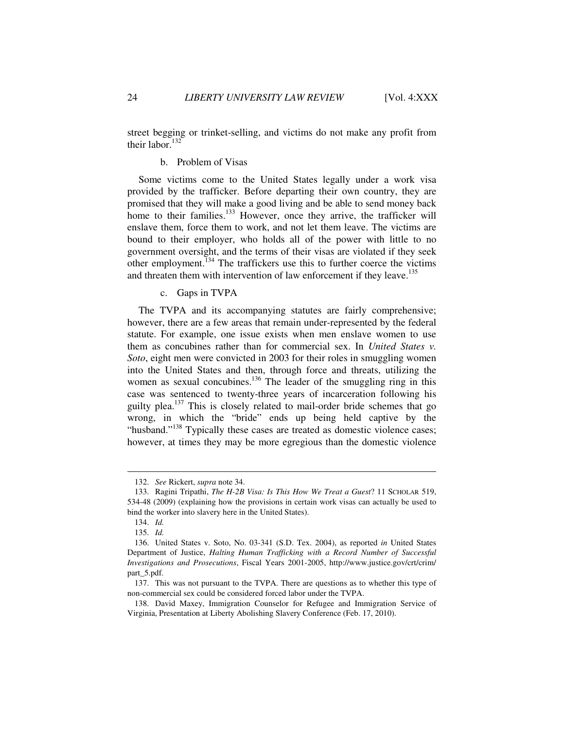street begging or trinket-selling, and victims do not make any profit from their labor.<sup>132</sup>

#### b. Problem of Visas

Some victims come to the United States legally under a work visa provided by the trafficker. Before departing their own country, they are promised that they will make a good living and be able to send money back home to their families.<sup>133</sup> However, once they arrive, the trafficker will enslave them, force them to work, and not let them leave. The victims are bound to their employer, who holds all of the power with little to no government oversight, and the terms of their visas are violated if they seek other employment.<sup>134</sup> The traffickers use this to further coerce the victims and threaten them with intervention of law enforcement if they leave.<sup>135</sup>

#### c. Gaps in TVPA

The TVPA and its accompanying statutes are fairly comprehensive; however, there are a few areas that remain under-represented by the federal statute. For example, one issue exists when men enslave women to use them as concubines rather than for commercial sex. In *United States v. Soto*, eight men were convicted in 2003 for their roles in smuggling women into the United States and then, through force and threats, utilizing the women as sexual concubines.<sup>136</sup> The leader of the smuggling ring in this case was sentenced to twenty-three years of incarceration following his guilty plea.<sup>137</sup> This is closely related to mail-order bride schemes that go wrong, in which the "bride" ends up being held captive by the "husband."<sup>138</sup> Typically these cases are treated as domestic violence cases; however, at times they may be more egregious than the domestic violence

 <sup>132.</sup> *See* Rickert, *supra* note 34.

 <sup>133.</sup> Ragini Tripathi, *The H-2B Visa: Is This How We Treat a Guest*? 11 SCHOLAR 519, 534-48 (2009) (explaining how the provisions in certain work visas can actually be used to bind the worker into slavery here in the United States).

 <sup>134.</sup> *Id.*

 <sup>135.</sup> *Id.*

 <sup>136.</sup> United States v. Soto, No. 03-341 (S.D. Tex. 2004), as reported *in* United States Department of Justice, *Halting Human Trafficking with a Record Number of Successful Investigations and Prosecutions*, Fiscal Years 2001-2005, http://www.justice.gov/crt/crim/ part\_5.pdf.

 <sup>137.</sup> This was not pursuant to the TVPA. There are questions as to whether this type of non-commercial sex could be considered forced labor under the TVPA.

 <sup>138.</sup> David Maxey, Immigration Counselor for Refugee and Immigration Service of Virginia, Presentation at Liberty Abolishing Slavery Conference (Feb. 17, 2010).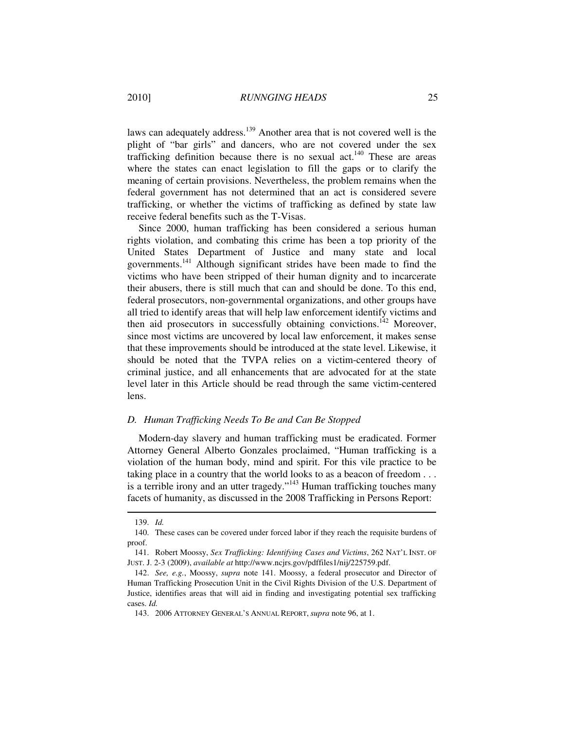laws can adequately address.<sup>139</sup> Another area that is not covered well is the plight of "bar girls" and dancers, who are not covered under the sex trafficking definition because there is no sexual act.<sup>140</sup> These are areas where the states can enact legislation to fill the gaps or to clarify the meaning of certain provisions. Nevertheless, the problem remains when the federal government has not determined that an act is considered severe trafficking, or whether the victims of trafficking as defined by state law receive federal benefits such as the T-Visas.

Since 2000, human trafficking has been considered a serious human rights violation, and combating this crime has been a top priority of the United States Department of Justice and many state and local governments.<sup>141</sup> Although significant strides have been made to find the victims who have been stripped of their human dignity and to incarcerate their abusers, there is still much that can and should be done. To this end, federal prosecutors, non-governmental organizations, and other groups have all tried to identify areas that will help law enforcement identify victims and then aid prosecutors in successfully obtaining convictions.<sup>142</sup> Moreover, since most victims are uncovered by local law enforcement, it makes sense that these improvements should be introduced at the state level. Likewise, it should be noted that the TVPA relies on a victim-centered theory of criminal justice, and all enhancements that are advocated for at the state level later in this Article should be read through the same victim-centered lens.

#### *D. Human Trafficking Needs To Be and Can Be Stopped*

Modern-day slavery and human trafficking must be eradicated. Former Attorney General Alberto Gonzales proclaimed, "Human trafficking is a violation of the human body, mind and spirit. For this vile practice to be taking place in a country that the world looks to as a beacon of freedom . . . is a terrible irony and an utter tragedy."<sup>143</sup> Human trafficking touches many facets of humanity, as discussed in the 2008 Trafficking in Persons Report:

 <sup>139.</sup> *Id.*

 <sup>140.</sup> These cases can be covered under forced labor if they reach the requisite burdens of proof.

 <sup>141.</sup> Robert Moossy, *Sex Trafficking: Identifying Cases and Victims*, 262 NAT'L INST. OF JUST. J. 2-3 (2009), *available at* http://www.ncjrs.gov/pdffiles1/nij/225759.pdf.

 <sup>142.</sup> *See, e.g.*, Moossy, *supra* note 141. Moossy, a federal prosecutor and Director of Human Trafficking Prosecution Unit in the Civil Rights Division of the U.S. Department of Justice, identifies areas that will aid in finding and investigating potential sex trafficking cases. *Id.* 

 <sup>143. 2006</sup> ATTORNEY GENERAL'S ANNUAL REPORT, *supra* note 96, at 1.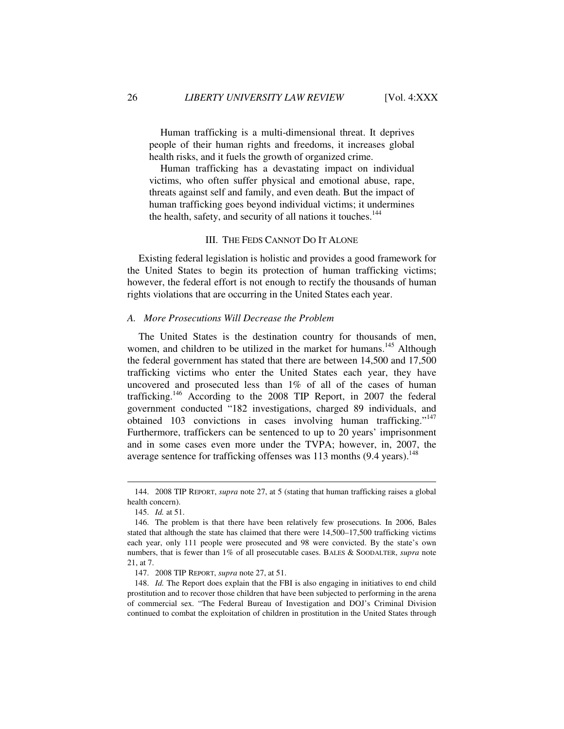Human trafficking is a multi-dimensional threat. It deprives people of their human rights and freedoms, it increases global health risks, and it fuels the growth of organized crime.

Human trafficking has a devastating impact on individual victims, who often suffer physical and emotional abuse, rape, threats against self and family, and even death. But the impact of human trafficking goes beyond individual victims; it undermines the health, safety, and security of all nations it touches.<sup>144</sup>

#### III. THE FEDS CANNOT DO IT ALONE

Existing federal legislation is holistic and provides a good framework for the United States to begin its protection of human trafficking victims; however, the federal effort is not enough to rectify the thousands of human rights violations that are occurring in the United States each year.

#### *A. More Prosecutions Will Decrease the Problem*

The United States is the destination country for thousands of men, women, and children to be utilized in the market for humans.<sup>145</sup> Although the federal government has stated that there are between 14,500 and 17,500 trafficking victims who enter the United States each year, they have uncovered and prosecuted less than 1% of all of the cases of human trafficking.<sup>146</sup> According to the 2008 TIP Report, in 2007 the federal government conducted "182 investigations, charged 89 individuals, and obtained 103 convictions in cases involving human trafficking."<sup>147</sup> Furthermore, traffickers can be sentenced to up to 20 years' imprisonment and in some cases even more under the TVPA; however, in, 2007, the average sentence for trafficking offenses was  $113$  months (9.4 years).<sup>148</sup>

 <sup>144. 2008</sup> TIP REPORT, *supra* note 27, at 5 (stating that human trafficking raises a global health concern).

 <sup>145.</sup> *Id.* at 51.

 <sup>146.</sup> The problem is that there have been relatively few prosecutions. In 2006, Bales stated that although the state has claimed that there were 14,500–17,500 trafficking victims each year, only 111 people were prosecuted and 98 were convicted. By the state's own numbers, that is fewer than 1% of all prosecutable cases. BALES & SOODALTER, *supra* note 21, at 7.

 <sup>147. 2008</sup> TIP REPORT, *supra* note 27, at 51.

 <sup>148.</sup> *Id.* The Report does explain that the FBI is also engaging in initiatives to end child prostitution and to recover those children that have been subjected to performing in the arena of commercial sex. "The Federal Bureau of Investigation and DOJ's Criminal Division continued to combat the exploitation of children in prostitution in the United States through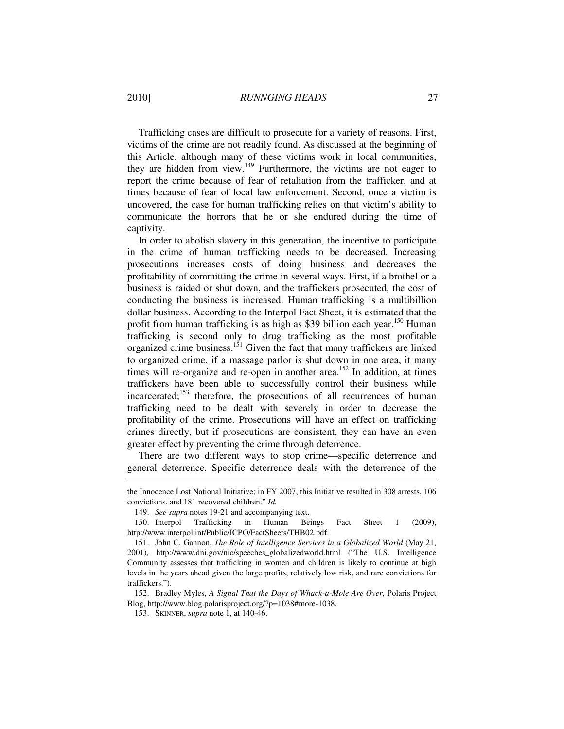Trafficking cases are difficult to prosecute for a variety of reasons. First, victims of the crime are not readily found. As discussed at the beginning of this Article, although many of these victims work in local communities, they are hidden from view.<sup>149</sup> Furthermore, the victims are not eager to report the crime because of fear of retaliation from the trafficker, and at times because of fear of local law enforcement. Second, once a victim is uncovered, the case for human trafficking relies on that victim's ability to communicate the horrors that he or she endured during the time of captivity.

In order to abolish slavery in this generation, the incentive to participate in the crime of human trafficking needs to be decreased. Increasing prosecutions increases costs of doing business and decreases the profitability of committing the crime in several ways. First, if a brothel or a business is raided or shut down, and the traffickers prosecuted, the cost of conducting the business is increased. Human trafficking is a multibillion dollar business. According to the Interpol Fact Sheet, it is estimated that the profit from human trafficking is as high as \$39 billion each year.<sup>150</sup> Human trafficking is second only to drug trafficking as the most profitable organized crime business.<sup>151</sup> Given the fact that many traffickers are linked to organized crime, if a massage parlor is shut down in one area, it many times will re-organize and re-open in another area.<sup>152</sup> In addition, at times traffickers have been able to successfully control their business while incarcerated;<sup>153</sup> therefore, the prosecutions of all recurrences of human trafficking need to be dealt with severely in order to decrease the profitability of the crime. Prosecutions will have an effect on trafficking crimes directly, but if prosecutions are consistent, they can have an even greater effect by preventing the crime through deterrence.

There are two different ways to stop crime—specific deterrence and general deterrence. Specific deterrence deals with the deterrence of the

 152. Bradley Myles, *A Signal That the Days of Whack-a-Mole Are Over*, Polaris Project Blog, http://www.blog.polarisproject.org/?p=1038#more-1038.

the Innocence Lost National Initiative; in FY 2007, this Initiative resulted in 308 arrests, 106 convictions, and 181 recovered children." *Id.*

 <sup>149.</sup> *See supra* notes 19-21 and accompanying text.

 <sup>150.</sup> Interpol Trafficking in Human Beings Fact Sheet 1 (2009), http://www.interpol.int/Public/ICPO/FactSheets/THB02.pdf.

 <sup>151.</sup> John C. Gannon, *The Role of Intelligence Services in a Globalized World* (May 21, 2001), http://www.dni.gov/nic/speeches\_globalizedworld.html ("The U.S. Intelligence Community assesses that trafficking in women and children is likely to continue at high levels in the years ahead given the large profits, relatively low risk, and rare convictions for traffickers.").

 <sup>153.</sup> SKINNER, *supra* note 1, at 140-46.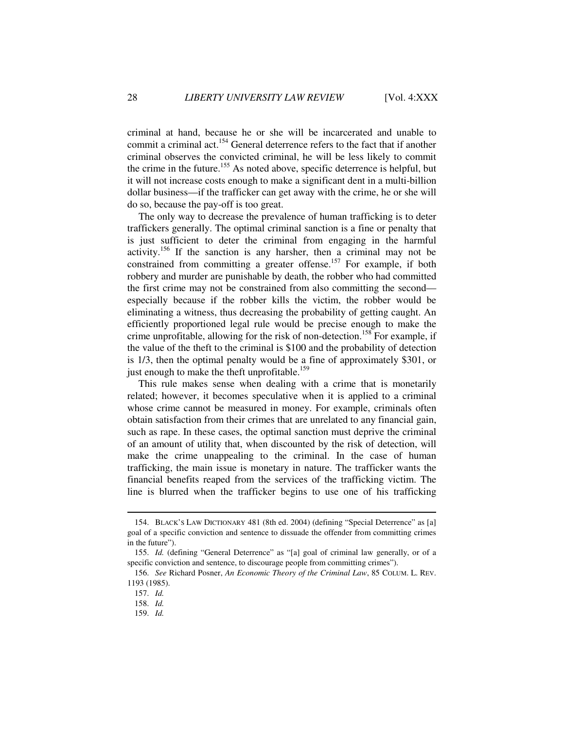criminal at hand, because he or she will be incarcerated and unable to commit a criminal act.<sup>154</sup> General deterrence refers to the fact that if another criminal observes the convicted criminal, he will be less likely to commit the crime in the future.<sup>155</sup> As noted above, specific deterrence is helpful, but it will not increase costs enough to make a significant dent in a multi-billion dollar business—if the trafficker can get away with the crime, he or she will do so, because the pay-off is too great.

The only way to decrease the prevalence of human trafficking is to deter traffickers generally. The optimal criminal sanction is a fine or penalty that is just sufficient to deter the criminal from engaging in the harmful activity.<sup>156</sup> If the sanction is any harsher, then a criminal may not be constrained from committing a greater offense.<sup>157</sup> For example, if both robbery and murder are punishable by death, the robber who had committed the first crime may not be constrained from also committing the second especially because if the robber kills the victim, the robber would be eliminating a witness, thus decreasing the probability of getting caught. An efficiently proportioned legal rule would be precise enough to make the crime unprofitable, allowing for the risk of non-detection.<sup>158</sup> For example, if the value of the theft to the criminal is \$100 and the probability of detection is 1/3, then the optimal penalty would be a fine of approximately \$301, or just enough to make the theft unprofitable.<sup>159</sup>

This rule makes sense when dealing with a crime that is monetarily related; however, it becomes speculative when it is applied to a criminal whose crime cannot be measured in money. For example, criminals often obtain satisfaction from their crimes that are unrelated to any financial gain, such as rape. In these cases, the optimal sanction must deprive the criminal of an amount of utility that, when discounted by the risk of detection, will make the crime unappealing to the criminal. In the case of human trafficking, the main issue is monetary in nature. The trafficker wants the financial benefits reaped from the services of the trafficking victim. The line is blurred when the trafficker begins to use one of his trafficking

 <sup>154.</sup> BLACK'S LAW DICTIONARY 481 (8th ed. 2004) (defining "Special Deterrence" as [a] goal of a specific conviction and sentence to dissuade the offender from committing crimes in the future").

 <sup>155.</sup> *Id.* (defining "General Deterrence" as "[a] goal of criminal law generally, or of a specific conviction and sentence, to discourage people from committing crimes").

 <sup>156.</sup> *See* Richard Posner, *An Economic Theory of the Criminal Law*, 85 COLUM. L. REV. 1193 (1985).

 <sup>157.</sup> *Id.*

 <sup>158.</sup> *Id.*

 <sup>159.</sup> *Id.*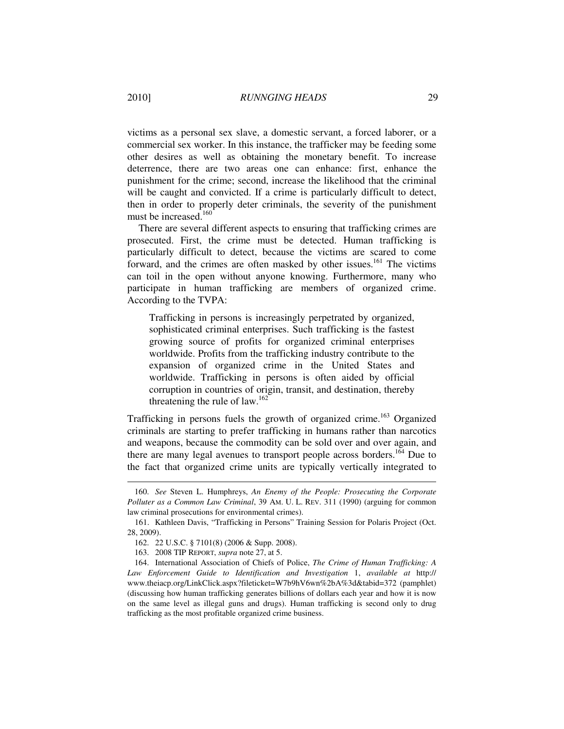victims as a personal sex slave, a domestic servant, a forced laborer, or a commercial sex worker. In this instance, the trafficker may be feeding some other desires as well as obtaining the monetary benefit. To increase deterrence, there are two areas one can enhance: first, enhance the punishment for the crime; second, increase the likelihood that the criminal will be caught and convicted. If a crime is particularly difficult to detect, then in order to properly deter criminals, the severity of the punishment must be increased.<sup>160</sup>

There are several different aspects to ensuring that trafficking crimes are prosecuted. First, the crime must be detected. Human trafficking is particularly difficult to detect, because the victims are scared to come forward, and the crimes are often masked by other issues.<sup>161</sup> The victims can toil in the open without anyone knowing. Furthermore, many who participate in human trafficking are members of organized crime. According to the TVPA:

Trafficking in persons is increasingly perpetrated by organized, sophisticated criminal enterprises. Such trafficking is the fastest growing source of profits for organized criminal enterprises worldwide. Profits from the trafficking industry contribute to the expansion of organized crime in the United States and worldwide. Trafficking in persons is often aided by official corruption in countries of origin, transit, and destination, thereby threatening the rule of  $law.<sup>162</sup>$ 

Trafficking in persons fuels the growth of organized crime.<sup>163</sup> Organized criminals are starting to prefer trafficking in humans rather than narcotics and weapons, because the commodity can be sold over and over again, and there are many legal avenues to transport people across borders.<sup>164</sup> Due to the fact that organized crime units are typically vertically integrated to

 <sup>160.</sup> *See* Steven L. Humphreys, *An Enemy of the People: Prosecuting the Corporate Polluter as a Common Law Criminal*, 39 AM. U. L. REV. 311 (1990) (arguing for common law criminal prosecutions for environmental crimes).

 <sup>161.</sup> Kathleen Davis, "Trafficking in Persons" Training Session for Polaris Project (Oct. 28, 2009).

 <sup>162. 22</sup> U.S.C. § 7101(8) (2006 & Supp. 2008).

 <sup>163. 2008</sup> TIP REPORT, *supra* note 27, at 5.

 <sup>164.</sup> International Association of Chiefs of Police, *The Crime of Human Trafficking: A Law Enforcement Guide to Identification and Investigation* 1, *available at* http:// www.theiacp.org/LinkClick.aspx?fileticket=W7b9hV6wn%2bA%3d&tabid=372 (pamphlet) (discussing how human trafficking generates billions of dollars each year and how it is now on the same level as illegal guns and drugs). Human trafficking is second only to drug trafficking as the most profitable organized crime business.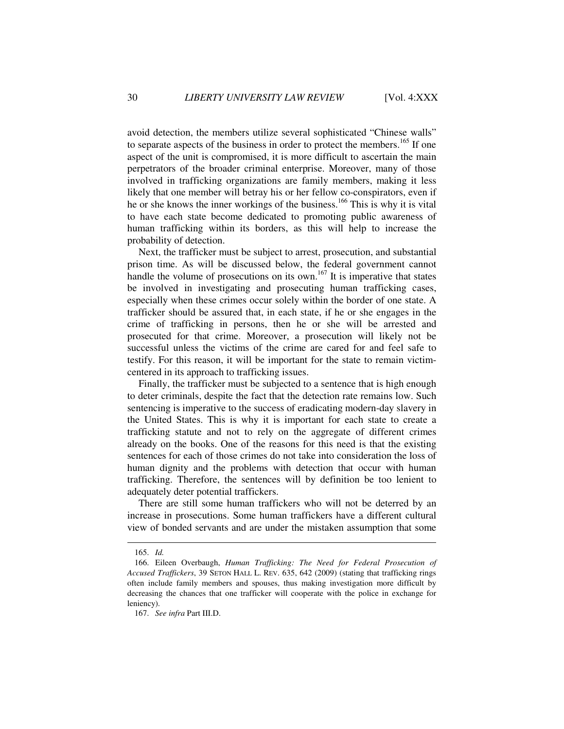avoid detection, the members utilize several sophisticated "Chinese walls" to separate aspects of the business in order to protect the members.<sup>165</sup> If one aspect of the unit is compromised, it is more difficult to ascertain the main perpetrators of the broader criminal enterprise. Moreover, many of those involved in trafficking organizations are family members, making it less likely that one member will betray his or her fellow co-conspirators, even if he or she knows the inner workings of the business.<sup>166</sup> This is why it is vital to have each state become dedicated to promoting public awareness of human trafficking within its borders, as this will help to increase the probability of detection.

Next, the trafficker must be subject to arrest, prosecution, and substantial prison time. As will be discussed below, the federal government cannot handle the volume of prosecutions on its own.<sup>167</sup> It is imperative that states be involved in investigating and prosecuting human trafficking cases, especially when these crimes occur solely within the border of one state. A trafficker should be assured that, in each state, if he or she engages in the crime of trafficking in persons, then he or she will be arrested and prosecuted for that crime. Moreover, a prosecution will likely not be successful unless the victims of the crime are cared for and feel safe to testify. For this reason, it will be important for the state to remain victimcentered in its approach to trafficking issues.

Finally, the trafficker must be subjected to a sentence that is high enough to deter criminals, despite the fact that the detection rate remains low. Such sentencing is imperative to the success of eradicating modern-day slavery in the United States. This is why it is important for each state to create a trafficking statute and not to rely on the aggregate of different crimes already on the books. One of the reasons for this need is that the existing sentences for each of those crimes do not take into consideration the loss of human dignity and the problems with detection that occur with human trafficking. Therefore, the sentences will by definition be too lenient to adequately deter potential traffickers.

There are still some human traffickers who will not be deterred by an increase in prosecutions. Some human traffickers have a different cultural view of bonded servants and are under the mistaken assumption that some

 <sup>165.</sup> *Id.*

 <sup>166.</sup> Eileen Overbaugh, *Human Trafficking: The Need for Federal Prosecution of Accused Traffickers*, 39 SETON HALL L. REV. 635, 642 (2009) (stating that trafficking rings often include family members and spouses, thus making investigation more difficult by decreasing the chances that one trafficker will cooperate with the police in exchange for leniency).

 <sup>167.</sup> *See infra* Part III.D.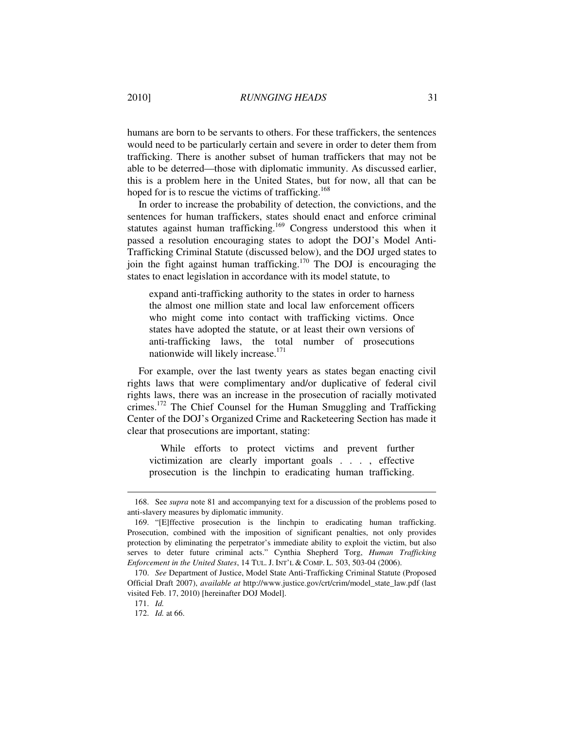humans are born to be servants to others. For these traffickers, the sentences would need to be particularly certain and severe in order to deter them from trafficking. There is another subset of human traffickers that may not be able to be deterred—those with diplomatic immunity. As discussed earlier, this is a problem here in the United States, but for now, all that can be hoped for is to rescue the victims of trafficking.<sup>168</sup>

In order to increase the probability of detection, the convictions, and the sentences for human traffickers, states should enact and enforce criminal statutes against human trafficking.<sup>169</sup> Congress understood this when it passed a resolution encouraging states to adopt the DOJ's Model Anti-Trafficking Criminal Statute (discussed below), and the DOJ urged states to join the fight against human trafficking.<sup>170</sup> The DOJ is encouraging the states to enact legislation in accordance with its model statute, to

expand anti-trafficking authority to the states in order to harness the almost one million state and local law enforcement officers who might come into contact with trafficking victims. Once states have adopted the statute, or at least their own versions of anti-trafficking laws, the total number of prosecutions nationwide will likely increase.<sup>171</sup>

For example, over the last twenty years as states began enacting civil rights laws that were complimentary and/or duplicative of federal civil rights laws, there was an increase in the prosecution of racially motivated crimes.<sup>172</sup> The Chief Counsel for the Human Smuggling and Trafficking Center of the DOJ's Organized Crime and Racketeering Section has made it clear that prosecutions are important, stating:

While efforts to protect victims and prevent further victimization are clearly important goals . . . , effective prosecution is the linchpin to eradicating human trafficking.

 <sup>168.</sup> See *supra* note 81 and accompanying text for a discussion of the problems posed to anti-slavery measures by diplomatic immunity.

 <sup>169. &</sup>quot;[E]ffective prosecution is the linchpin to eradicating human trafficking. Prosecution, combined with the imposition of significant penalties, not only provides protection by eliminating the perpetrator's immediate ability to exploit the victim, but also serves to deter future criminal acts." Cynthia Shepherd Torg, *Human Trafficking Enforcement in the United States*, 14 TUL. J. INT'L & COMP. L. 503, 503-04 (2006).

 <sup>170.</sup> *See* Department of Justice, Model State Anti-Trafficking Criminal Statute (Proposed Official Draft 2007), *available at* http://www.justice.gov/crt/crim/model\_state\_law.pdf (last visited Feb. 17, 2010) [hereinafter DOJ Model].

 <sup>171.</sup> *Id.*

 <sup>172.</sup> *Id.* at 66.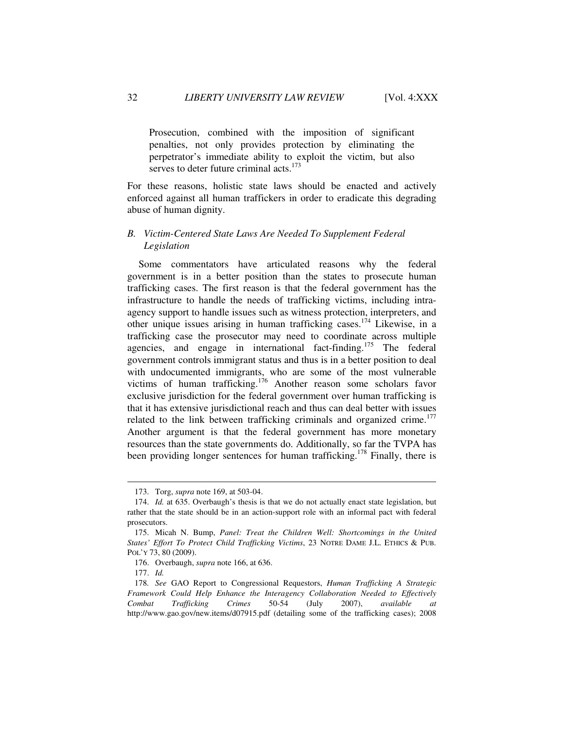Prosecution, combined with the imposition of significant penalties, not only provides protection by eliminating the perpetrator's immediate ability to exploit the victim, but also serves to deter future criminal acts.<sup>173</sup>

For these reasons, holistic state laws should be enacted and actively enforced against all human traffickers in order to eradicate this degrading abuse of human dignity.

## *B. Victim-Centered State Laws Are Needed To Supplement Federal Legislation*

Some commentators have articulated reasons why the federal government is in a better position than the states to prosecute human trafficking cases. The first reason is that the federal government has the infrastructure to handle the needs of trafficking victims, including intraagency support to handle issues such as witness protection, interpreters, and other unique issues arising in human trafficking cases.<sup>174</sup> Likewise, in a trafficking case the prosecutor may need to coordinate across multiple agencies, and engage in international fact-finding.<sup>175</sup> The federal government controls immigrant status and thus is in a better position to deal with undocumented immigrants, who are some of the most vulnerable victims of human trafficking.<sup>176</sup> Another reason some scholars favor exclusive jurisdiction for the federal government over human trafficking is that it has extensive jurisdictional reach and thus can deal better with issues related to the link between trafficking criminals and organized crime.<sup>177</sup> Another argument is that the federal government has more monetary resources than the state governments do. Additionally, so far the TVPA has been providing longer sentences for human trafficking.<sup>178</sup> Finally, there is

 <sup>173.</sup> Torg, *supra* note 169, at 503-04.

 <sup>174.</sup> *Id.* at 635. Overbaugh's thesis is that we do not actually enact state legislation, but rather that the state should be in an action-support role with an informal pact with federal prosecutors.

 <sup>175.</sup> Micah N. Bump, *Panel: Treat the Children Well: Shortcomings in the United States' Effort To Protect Child Trafficking Victims*, 23 NOTRE DAME J.L. ETHICS & PUB. POL'Y 73, 80 (2009).

 <sup>176.</sup> Overbaugh, *supra* note 166, at 636.

 <sup>177.</sup> *Id.*

<sup>178</sup>*. See* GAO Report to Congressional Requestors, *Human Trafficking A Strategic Framework Could Help Enhance the Interagency Collaboration Needed to Effectively Combat Trafficking Crimes* 50-54 (July 2007), *available at*  http://www.gao.gov/new.items/d07915.pdf (detailing some of the trafficking cases); 2008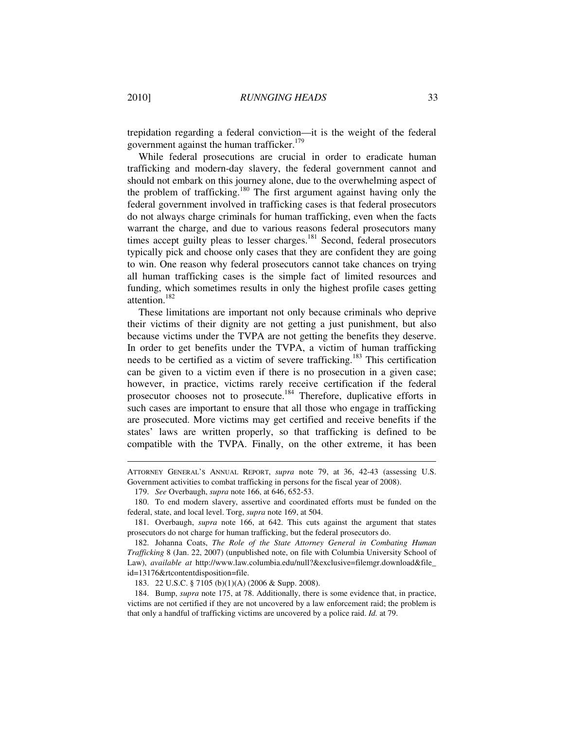trepidation regarding a federal conviction—it is the weight of the federal government against the human trafficker.<sup>179</sup>

While federal prosecutions are crucial in order to eradicate human trafficking and modern-day slavery, the federal government cannot and should not embark on this journey alone, due to the overwhelming aspect of the problem of trafficking.<sup>180</sup> The first argument against having only the federal government involved in trafficking cases is that federal prosecutors do not always charge criminals for human trafficking, even when the facts warrant the charge, and due to various reasons federal prosecutors many times accept guilty pleas to lesser charges.<sup>181</sup> Second, federal prosecutors typically pick and choose only cases that they are confident they are going to win. One reason why federal prosecutors cannot take chances on trying all human trafficking cases is the simple fact of limited resources and funding, which sometimes results in only the highest profile cases getting attention.<sup>182</sup>

These limitations are important not only because criminals who deprive their victims of their dignity are not getting a just punishment, but also because victims under the TVPA are not getting the benefits they deserve. In order to get benefits under the TVPA, a victim of human trafficking needs to be certified as a victim of severe trafficking.<sup>183</sup> This certification can be given to a victim even if there is no prosecution in a given case; however, in practice, victims rarely receive certification if the federal prosecutor chooses not to prosecute.<sup>184</sup> Therefore, duplicative efforts in such cases are important to ensure that all those who engage in trafficking are prosecuted. More victims may get certified and receive benefits if the states' laws are written properly, so that trafficking is defined to be compatible with the TVPA. Finally, on the other extreme, it has been

ATTORNEY GENERAL'S ANNUAL REPORT, *supra* note 79, at 36, 42-43 (assessing U.S. Government activities to combat trafficking in persons for the fiscal year of 2008).

 <sup>179.</sup> *See* Overbaugh, *supra* note 166, at 646, 652-53.

 <sup>180.</sup> To end modern slavery, assertive and coordinated efforts must be funded on the federal, state, and local level. Torg, *supra* note 169, at 504.

 <sup>181.</sup> Overbaugh, *supra* note 166, at 642. This cuts against the argument that states prosecutors do not charge for human trafficking, but the federal prosecutors do.

 <sup>182.</sup> Johanna Coats, *The Role of the State Attorney General in Combating Human Trafficking* 8 (Jan. 22, 2007) (unpublished note, on file with Columbia University School of Law), *available at* http://www.law.columbia.edu/null?&exclusive=filemgr.download&file\_ id=13176&rtcontentdisposition=file.

 <sup>183. 22</sup> U.S.C. § 7105 (b)(1)(A) (2006 & Supp. 2008).

 <sup>184.</sup> Bump, *supra* note 175, at 78. Additionally, there is some evidence that, in practice, victims are not certified if they are not uncovered by a law enforcement raid; the problem is that only a handful of trafficking victims are uncovered by a police raid. *Id.* at 79.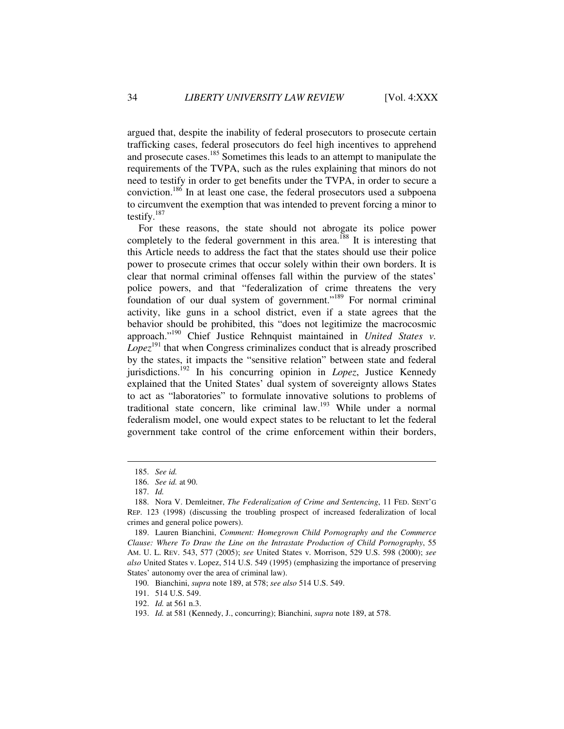argued that, despite the inability of federal prosecutors to prosecute certain trafficking cases, federal prosecutors do feel high incentives to apprehend and prosecute cases.<sup>185</sup> Sometimes this leads to an attempt to manipulate the requirements of the TVPA, such as the rules explaining that minors do not need to testify in order to get benefits under the TVPA, in order to secure a conviction.<sup>186</sup> In at least one case, the federal prosecutors used a subpoena to circumvent the exemption that was intended to prevent forcing a minor to testify.<sup>187</sup>

For these reasons, the state should not abrogate its police power completely to the federal government in this area.<sup>188</sup> It is interesting that this Article needs to address the fact that the states should use their police power to prosecute crimes that occur solely within their own borders. It is clear that normal criminal offenses fall within the purview of the states' police powers, and that "federalization of crime threatens the very foundation of our dual system of government."<sup>189</sup> For normal criminal activity, like guns in a school district, even if a state agrees that the behavior should be prohibited, this "does not legitimize the macrocosmic approach."<sup>190</sup> Chief Justice Rehnquist maintained in *United States v.*   $Lopez^{191}$  that when Congress criminalizes conduct that is already proscribed by the states, it impacts the "sensitive relation" between state and federal jurisdictions.<sup>192</sup> In his concurring opinion in *Lopez*, Justice Kennedy explained that the United States' dual system of sovereignty allows States to act as "laboratories" to formulate innovative solutions to problems of traditional state concern, like criminal law.<sup>193</sup> While under a normal federalism model, one would expect states to be reluctant to let the federal government take control of the crime enforcement within their borders,

 <sup>185.</sup> *See id.*

 <sup>186.</sup> *See id.* at 90.

 <sup>187.</sup> *Id.*

 <sup>188.</sup> Nora V. Demleitner, *The Federalization of Crime and Sentencing*, 11 FED. SENT'G REP. 123 (1998) (discussing the troubling prospect of increased federalization of local crimes and general police powers).

 <sup>189.</sup> Lauren Bianchini, *Comment: Homegrown Child Pornography and the Commerce Clause: Where To Draw the Line on the Intrastate Production of Child Pornography*, 55 AM. U. L. REV. 543, 577 (2005); *see* United States v. Morrison, 529 U.S. 598 (2000); *see also* United States v. Lopez, 514 U.S. 549 (1995) (emphasizing the importance of preserving States' autonomy over the area of criminal law).

 <sup>190.</sup> Bianchini, *supra* note 189, at 578; *see also* 514 U.S. 549.

 <sup>191. 514</sup> U.S. 549.

 <sup>192.</sup> *Id.* at 561 n.3.

 <sup>193.</sup> *Id.* at 581 (Kennedy, J., concurring); Bianchini, *supra* note 189, at 578.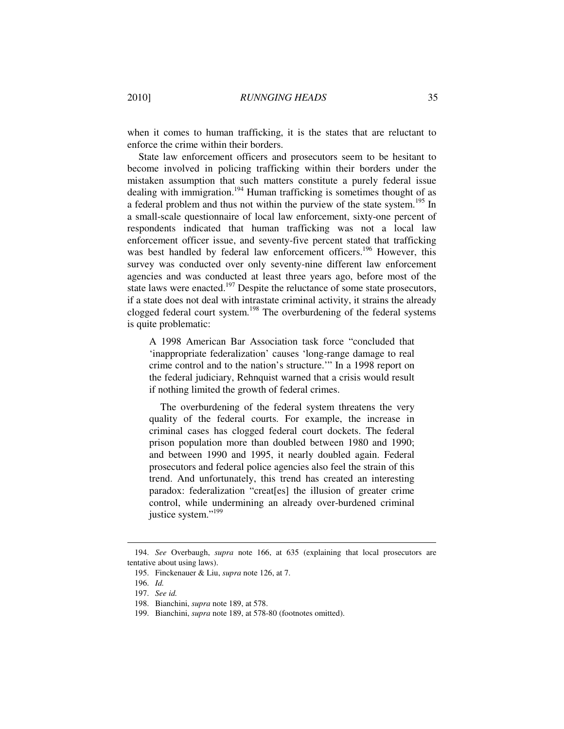when it comes to human trafficking, it is the states that are reluctant to enforce the crime within their borders.

State law enforcement officers and prosecutors seem to be hesitant to become involved in policing trafficking within their borders under the mistaken assumption that such matters constitute a purely federal issue dealing with immigration.<sup>194</sup> Human trafficking is sometimes thought of as a federal problem and thus not within the purview of the state system.<sup>195</sup> In a small-scale questionnaire of local law enforcement, sixty-one percent of respondents indicated that human trafficking was not a local law enforcement officer issue, and seventy-five percent stated that trafficking was best handled by federal law enforcement officers.<sup>196</sup> However, this survey was conducted over only seventy-nine different law enforcement agencies and was conducted at least three years ago, before most of the state laws were enacted.<sup>197</sup> Despite the reluctance of some state prosecutors, if a state does not deal with intrastate criminal activity, it strains the already clogged federal court system.<sup>198</sup> The overburdening of the federal systems is quite problematic:

A 1998 American Bar Association task force "concluded that 'inappropriate federalization' causes 'long-range damage to real crime control and to the nation's structure.'" In a 1998 report on the federal judiciary, Rehnquist warned that a crisis would result if nothing limited the growth of federal crimes.

The overburdening of the federal system threatens the very quality of the federal courts. For example, the increase in criminal cases has clogged federal court dockets. The federal prison population more than doubled between 1980 and 1990; and between 1990 and 1995, it nearly doubled again. Federal prosecutors and federal police agencies also feel the strain of this trend. And unfortunately, this trend has created an interesting paradox: federalization "creat[es] the illusion of greater crime control, while undermining an already over-burdened criminal justice system."<sup>199</sup>

 <sup>194.</sup> *See* Overbaugh, *supra* note 166, at 635 (explaining that local prosecutors are tentative about using laws).

 <sup>195.</sup> Finckenauer & Liu, *supra* note 126, at 7.

 <sup>196.</sup> *Id.*

 <sup>197.</sup> *See id.*

 <sup>198.</sup> Bianchini, *supra* note 189, at 578.

 <sup>199.</sup> Bianchini, *supra* note 189, at 578-80 (footnotes omitted).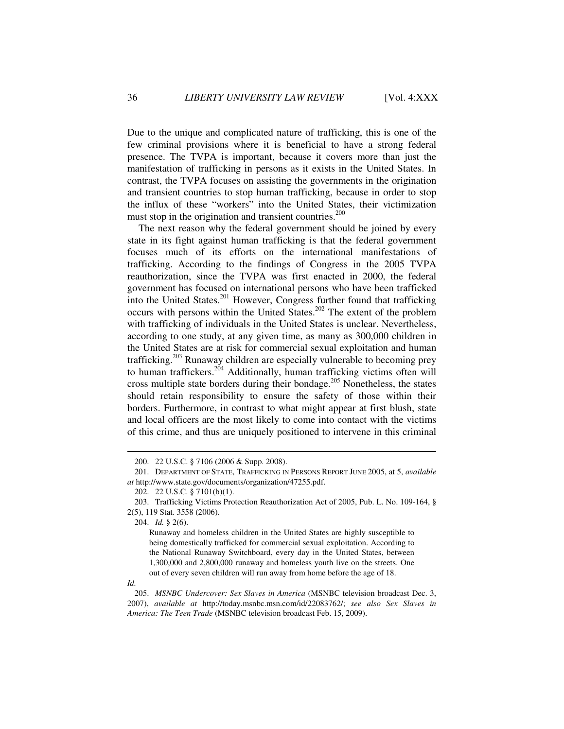Due to the unique and complicated nature of trafficking, this is one of the few criminal provisions where it is beneficial to have a strong federal presence. The TVPA is important, because it covers more than just the manifestation of trafficking in persons as it exists in the United States. In contrast, the TVPA focuses on assisting the governments in the origination and transient countries to stop human trafficking, because in order to stop the influx of these "workers" into the United States, their victimization must stop in the origination and transient countries.<sup>200</sup>

The next reason why the federal government should be joined by every state in its fight against human trafficking is that the federal government focuses much of its efforts on the international manifestations of trafficking. According to the findings of Congress in the 2005 TVPA reauthorization, since the TVPA was first enacted in 2000, the federal government has focused on international persons who have been trafficked into the United States.<sup>201</sup> However, Congress further found that trafficking occurs with persons within the United States.<sup>202</sup> The extent of the problem with trafficking of individuals in the United States is unclear. Nevertheless, according to one study, at any given time, as many as 300,000 children in the United States are at risk for commercial sexual exploitation and human trafficking.<sup>203</sup> Runaway children are especially vulnerable to becoming prey to human traffickers.<sup>204</sup> Additionally, human trafficking victims often will cross multiple state borders during their bondage.<sup>205</sup> Nonetheless, the states should retain responsibility to ensure the safety of those within their borders. Furthermore, in contrast to what might appear at first blush, state and local officers are the most likely to come into contact with the victims of this crime, and thus are uniquely positioned to intervene in this criminal

*Id.* 

 <sup>200. 22</sup> U.S.C. § 7106 (2006 & Supp. 2008).

 <sup>201.</sup> DEPARTMENT OF STATE, TRAFFICKING IN PERSONS REPORT JUNE 2005, at 5, *available at* http://www.state.gov/documents/organization/47255.pdf.

 <sup>202. 22</sup> U.S.C. § 7101(b)(1).

 <sup>203.</sup> Trafficking Victims Protection Reauthorization Act of 2005, Pub. L. No. 109-164, § 2(5), 119 Stat. 3558 (2006).

 <sup>204.</sup> *Id.* § 2(6).

Runaway and homeless children in the United States are highly susceptible to being domestically trafficked for commercial sexual exploitation. According to the National Runaway Switchboard, every day in the United States, between 1,300,000 and 2,800,000 runaway and homeless youth live on the streets. One out of every seven children will run away from home before the age of 18.

 <sup>205.</sup> *MSNBC Undercover: Sex Slaves in America* (MSNBC television broadcast Dec. 3, 2007), *available at* http://today.msnbc.msn.com/id/22083762/; *see also Sex Slaves in America: The Teen Trade* (MSNBC television broadcast Feb. 15, 2009).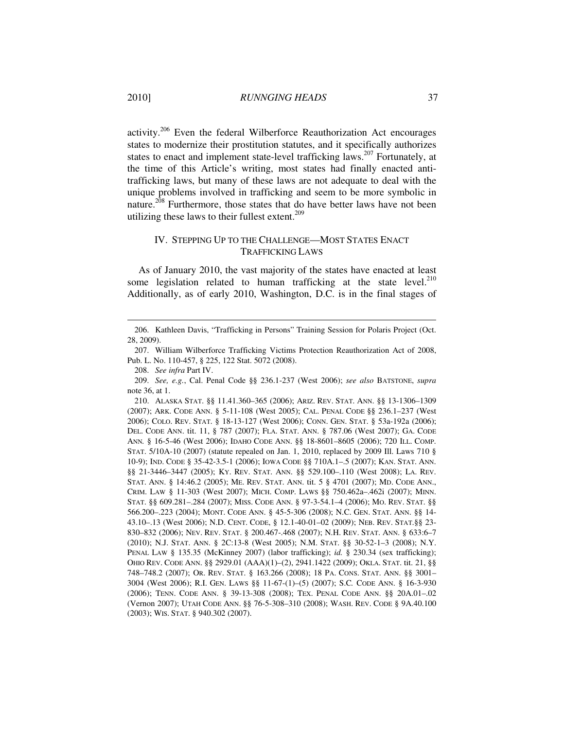activity.<sup>206</sup> Even the federal Wilberforce Reauthorization Act encourages states to modernize their prostitution statutes, and it specifically authorizes states to enact and implement state-level trafficking laws.<sup>207</sup> Fortunately, at the time of this Article's writing, most states had finally enacted antitrafficking laws, but many of these laws are not adequate to deal with the unique problems involved in trafficking and seem to be more symbolic in nature.<sup>208</sup> Furthermore, those states that do have better laws have not been utilizing these laws to their fullest extent.<sup>209</sup>

# IV. STEPPING UP TO THE CHALLENGE—MOST STATES ENACT TRAFFICKING LAWS

As of January 2010, the vast majority of the states have enacted at least some legislation related to human trafficking at the state level.<sup>210</sup> Additionally, as of early 2010, Washington, D.C. is in the final stages of

 <sup>206.</sup> Kathleen Davis, "Trafficking in Persons" Training Session for Polaris Project (Oct. 28, 2009).

 <sup>207.</sup> William Wilberforce Trafficking Victims Protection Reauthorization Act of 2008, Pub. L. No. 110-457, § 225, 122 Stat. 5072 (2008).

 <sup>208.</sup> *See infra* Part IV.

 <sup>209.</sup> *See, e.g.*, Cal. Penal Code §§ 236.1-237 (West 2006); *see also* BATSTONE, *supra* note 36, at 1.

 <sup>210.</sup> ALASKA STAT. §§ 11.41.360–365 (2006); ARIZ. REV. STAT. ANN. §§ 13-1306–1309 (2007); ARK. CODE ANN. § 5-11-108 (West 2005); CAL. PENAL CODE §§ 236.1–237 (West 2006); COLO. REV. STAT. § 18-13-127 (West 2006); CONN. GEN. STAT. § 53a-192a (2006); DEL. CODE ANN. tit. 11, § 787 (2007); FLA. STAT. ANN. § 787.06 (West 2007); GA. CODE ANN*.* § 16-5-46 (West 2006); IDAHO CODE ANN. §§ 18-8601–8605 (2006); 720 ILL. COMP. STAT. 5/10A-10 (2007) (statute repealed on Jan. 1, 2010, replaced by 2009 Ill. Laws 710 § 10-9); IND. CODE § 35-42-3.5-1 (2006); IOWA CODE §§ 710A.1–.5 (2007); KAN. STAT. ANN. §§ 21-3446–3447 (2005); KY. REV. STAT. ANN. §§ 529.100–.110 (West 2008); LA. REV. STAT. ANN. § 14:46.2 (2005); ME. REV. STAT. ANN. tit. 5 § 4701 (2007); MD. CODE ANN., CRIM. LAW § 11-303 (West 2007); MICH. COMP. LAWS §§ 750.462a–.462i (2007); MINN. STAT. §§ 609.281–.284 (2007); MISS. CODE ANN. § 97-3-54.1–4 (2006); MO. REV. STAT. §§ 566.200–.223 (2004); MONT. CODE ANN. § 45-5-306 (2008); N.C. GEN. STAT. ANN. §§ 14- 43.10–.13 (West 2006); N.D. CENT. CODE, § 12.1-40-01–02 (2009); NEB. REV. STAT.§§ 23- 830–832 (2006); NEV. REV. STAT. § 200.467-.468 (2007); N.H. REV. STAT. ANN. § 633:6–7 (2010); N.J. STAT. ANN. § 2C:13-8 (West 2005); N.M. STAT. §§ 30-52-1–3 (2008); N.Y. PENAL LAW § 135.35 (McKinney 2007) (labor trafficking); *id.* § 230.34 (sex trafficking); OHIO REV. CODE ANN. §§ 2929.01 (AAA)(1)–(2), 2941.1422 (2009); OKLA. STAT. tit. 21, §§ 748–748.2 (2007); OR. REV. STAT. § 163.266 (2008); 18 PA. CONS. STAT. ANN. §§ 3001– 3004 (West 2006); R.I. GEN. LAWS §§ 11-67-(1)–(5) (2007); S.C*.* CODE ANN. § 16-3-930 (2006); TENN. CODE ANN. § 39-13-308 (2008); TEX. PENAL CODE ANN. §§ 20A.01–.02 (Vernon 2007); UTAH CODE ANN. §§ 76-5-308–310 (2008); WASH. REV. CODE § 9A.40.100 (2003); WIS. STAT. § 940.302 (2007).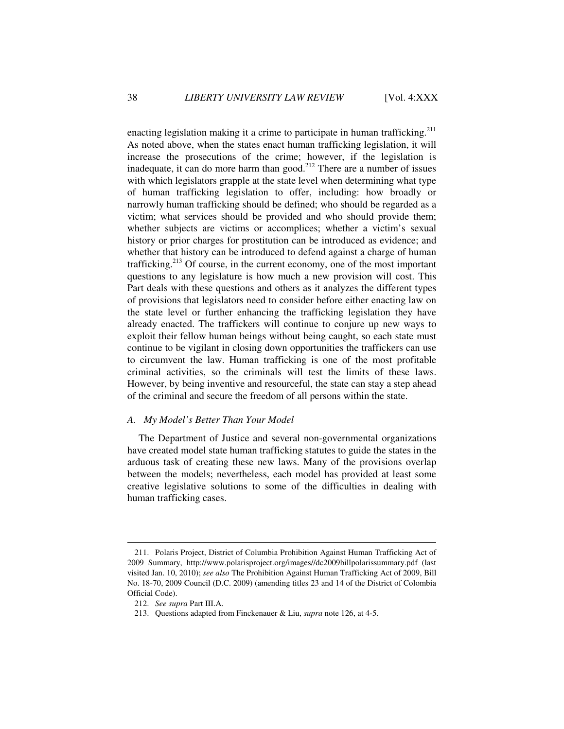enacting legislation making it a crime to participate in human trafficking.<sup>211</sup> As noted above, when the states enact human trafficking legislation, it will increase the prosecutions of the crime; however, if the legislation is inadequate, it can do more harm than good.<sup>212</sup> There are a number of issues with which legislators grapple at the state level when determining what type of human trafficking legislation to offer, including: how broadly or narrowly human trafficking should be defined; who should be regarded as a victim; what services should be provided and who should provide them; whether subjects are victims or accomplices; whether a victim's sexual history or prior charges for prostitution can be introduced as evidence; and whether that history can be introduced to defend against a charge of human trafficking.<sup>213</sup> Of course, in the current economy, one of the most important questions to any legislature is how much a new provision will cost. This Part deals with these questions and others as it analyzes the different types of provisions that legislators need to consider before either enacting law on the state level or further enhancing the trafficking legislation they have already enacted. The traffickers will continue to conjure up new ways to exploit their fellow human beings without being caught, so each state must continue to be vigilant in closing down opportunities the traffickers can use to circumvent the law. Human trafficking is one of the most profitable criminal activities, so the criminals will test the limits of these laws. However, by being inventive and resourceful, the state can stay a step ahead of the criminal and secure the freedom of all persons within the state.

### *A. My Model's Better Than Your Model*

The Department of Justice and several non-governmental organizations have created model state human trafficking statutes to guide the states in the arduous task of creating these new laws. Many of the provisions overlap between the models; nevertheless, each model has provided at least some creative legislative solutions to some of the difficulties in dealing with human trafficking cases.

 <sup>211.</sup> Polaris Project, District of Columbia Prohibition Against Human Trafficking Act of 2009 Summary, http://www.polarisproject.org/images//dc2009billpolarissummary.pdf (last visited Jan. 10, 2010); *see also* The Prohibition Against Human Trafficking Act of 2009, Bill No. 18-70, 2009 Council (D.C. 2009) (amending titles 23 and 14 of the District of Colombia Official Code).

 <sup>212.</sup> *See supra* Part III.A.

 <sup>213.</sup> Questions adapted from Finckenauer & Liu, *supra* note 126, at 4-5.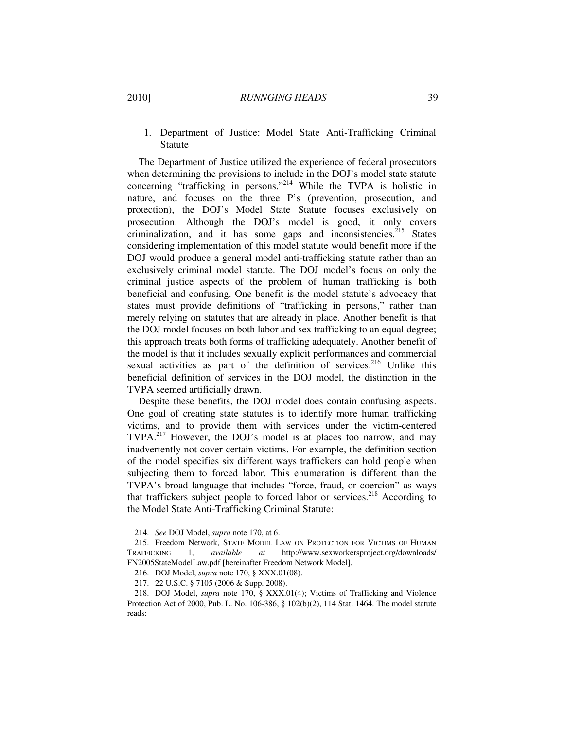1. Department of Justice: Model State Anti-Trafficking Criminal Statute

The Department of Justice utilized the experience of federal prosecutors when determining the provisions to include in the DOJ's model state statute concerning "trafficking in persons."<sup>214</sup> While the TVPA is holistic in nature, and focuses on the three P's (prevention, prosecution, and protection), the DOJ's Model State Statute focuses exclusively on prosecution. Although the DOJ's model is good, it only covers criminalization, and it has some gaps and inconsistencies.<sup>215</sup> States considering implementation of this model statute would benefit more if the DOJ would produce a general model anti-trafficking statute rather than an exclusively criminal model statute. The DOJ model's focus on only the criminal justice aspects of the problem of human trafficking is both beneficial and confusing. One benefit is the model statute's advocacy that states must provide definitions of "trafficking in persons," rather than merely relying on statutes that are already in place. Another benefit is that the DOJ model focuses on both labor and sex trafficking to an equal degree; this approach treats both forms of trafficking adequately. Another benefit of the model is that it includes sexually explicit performances and commercial sexual activities as part of the definition of services.<sup>216</sup> Unlike this beneficial definition of services in the DOJ model, the distinction in the TVPA seemed artificially drawn.

Despite these benefits, the DOJ model does contain confusing aspects. One goal of creating state statutes is to identify more human trafficking victims, and to provide them with services under the victim-centered TVPA.<sup>217</sup> However, the DOJ's model is at places too narrow, and may inadvertently not cover certain victims. For example, the definition section of the model specifies six different ways traffickers can hold people when subjecting them to forced labor. This enumeration is different than the TVPA's broad language that includes "force, fraud, or coercion" as ways that traffickers subject people to forced labor or services.<sup>218</sup> According to the Model State Anti-Trafficking Criminal Statute:

 <sup>214.</sup> *See* DOJ Model, *supra* note 170, at 6.

 <sup>215.</sup> Freedom Network, STATE MODEL LAW ON PROTECTION FOR VICTIMS OF HUMAN TRAFFICKING 1, *available at* http://www.sexworkersproject.org/downloads/ FN2005StateModelLaw.pdf [hereinafter Freedom Network Model].

 <sup>216.</sup> DOJ Model, *supra* note 170, § XXX.01(08).

 <sup>217. 22</sup> U.S.C. § 7105 (2006 & Supp. 2008).

 <sup>218.</sup> DOJ Model, *supra* note 170, § XXX.01(4); Victims of Trafficking and Violence Protection Act of 2000, Pub. L. No. 106-386, § 102(b)(2), 114 Stat. 1464. The model statute reads: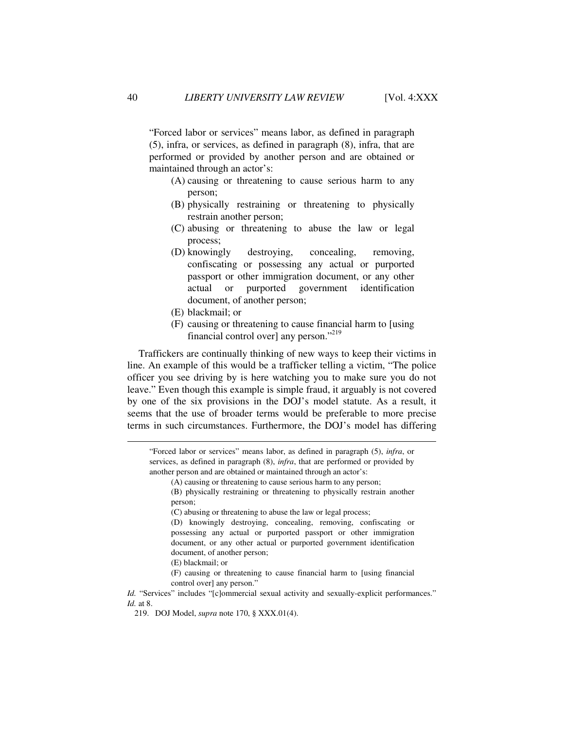"Forced labor or services" means labor, as defined in paragraph (5), infra, or services, as defined in paragraph (8), infra, that are performed or provided by another person and are obtained or maintained through an actor's:

- (A) causing or threatening to cause serious harm to any person;
- (B) physically restraining or threatening to physically restrain another person;
- (C) abusing or threatening to abuse the law or legal process;
- (D) knowingly destroying, concealing, removing, confiscating or possessing any actual or purported passport or other immigration document, or any other actual or purported government identification document, of another person;
- (E) blackmail; or
- (F) causing or threatening to cause financial harm to [using financial control over] any person."<sup>219</sup>

Traffickers are continually thinking of new ways to keep their victims in line. An example of this would be a trafficker telling a victim, "The police officer you see driving by is here watching you to make sure you do not leave." Even though this example is simple fraud, it arguably is not covered by one of the six provisions in the DOJ's model statute. As a result, it seems that the use of broader terms would be preferable to more precise terms in such circumstances. Furthermore, the DOJ's model has differing

"Forced labor or services" means labor, as defined in paragraph (5), *infra*, or services, as defined in paragraph (8), *infra*, that are performed or provided by another person and are obtained or maintained through an actor's:

(A) causing or threatening to cause serious harm to any person;

(B) physically restraining or threatening to physically restrain another person;

(D) knowingly destroying, concealing, removing, confiscating or possessing any actual or purported passport or other immigration document, or any other actual or purported government identification document, of another person;

(F) causing or threatening to cause financial harm to [using financial control over] any person."

*Id.* "Services" includes "[c]ommercial sexual activity and sexually-explicit performances." *Id.* at 8.

<sup>(</sup>C) abusing or threatening to abuse the law or legal process;

<sup>(</sup>E) blackmail; or

 <sup>219.</sup> DOJ Model, *supra* note 170, § XXX.01(4).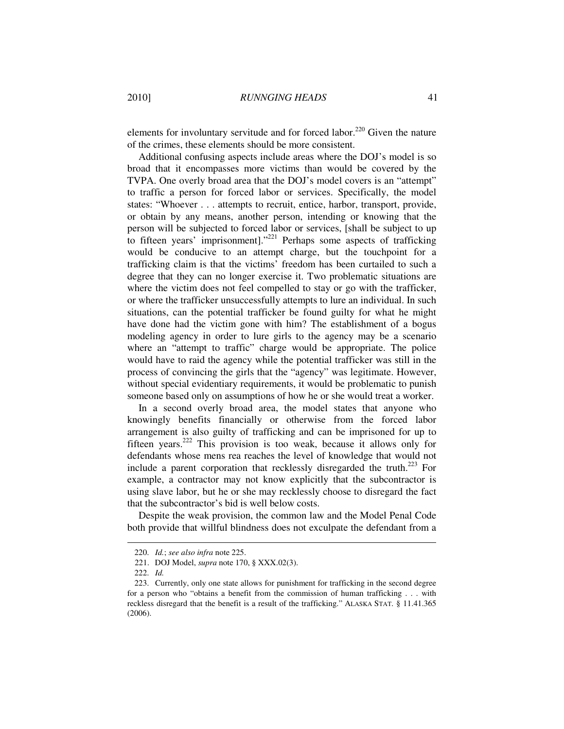elements for involuntary servitude and for forced labor.<sup>220</sup> Given the nature of the crimes, these elements should be more consistent.

Additional confusing aspects include areas where the DOJ's model is so broad that it encompasses more victims than would be covered by the TVPA. One overly broad area that the DOJ's model covers is an "attempt" to traffic a person for forced labor or services. Specifically, the model states: "Whoever . . . attempts to recruit, entice, harbor, transport, provide, or obtain by any means, another person, intending or knowing that the person will be subjected to forced labor or services, [shall be subject to up to fifteen years' imprisonment]."<sup>221</sup> Perhaps some aspects of trafficking would be conducive to an attempt charge, but the touchpoint for a trafficking claim is that the victims' freedom has been curtailed to such a degree that they can no longer exercise it. Two problematic situations are where the victim does not feel compelled to stay or go with the trafficker, or where the trafficker unsuccessfully attempts to lure an individual. In such situations, can the potential trafficker be found guilty for what he might have done had the victim gone with him? The establishment of a bogus modeling agency in order to lure girls to the agency may be a scenario where an "attempt to traffic" charge would be appropriate. The police would have to raid the agency while the potential trafficker was still in the process of convincing the girls that the "agency" was legitimate. However, without special evidentiary requirements, it would be problematic to punish someone based only on assumptions of how he or she would treat a worker.

In a second overly broad area, the model states that anyone who knowingly benefits financially or otherwise from the forced labor arrangement is also guilty of trafficking and can be imprisoned for up to fifteen years.<sup>222</sup> This provision is too weak, because it allows only for defendants whose mens rea reaches the level of knowledge that would not include a parent corporation that recklessly disregarded the truth.<sup>223</sup> For example, a contractor may not know explicitly that the subcontractor is using slave labor, but he or she may recklessly choose to disregard the fact that the subcontractor's bid is well below costs.

Despite the weak provision, the common law and the Model Penal Code both provide that willful blindness does not exculpate the defendant from a

 <sup>220.</sup> *Id.*; *see also infra* note 225.

 <sup>221.</sup> DOJ Model, *supra* note 170, § XXX.02(3).

 <sup>222.</sup> *Id.*

 <sup>223.</sup> Currently, only one state allows for punishment for trafficking in the second degree for a person who "obtains a benefit from the commission of human trafficking . . . with reckless disregard that the benefit is a result of the trafficking." ALASKA STAT. § 11.41.365 (2006).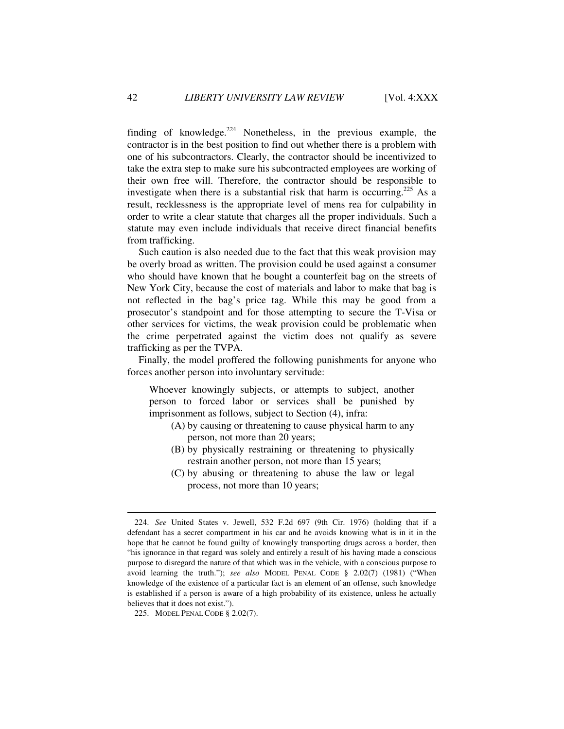finding of knowledge. $224$  Nonetheless, in the previous example, the contractor is in the best position to find out whether there is a problem with one of his subcontractors. Clearly, the contractor should be incentivized to take the extra step to make sure his subcontracted employees are working of their own free will. Therefore, the contractor should be responsible to investigate when there is a substantial risk that harm is occurring.<sup>225</sup> As a result, recklessness is the appropriate level of mens rea for culpability in order to write a clear statute that charges all the proper individuals. Such a statute may even include individuals that receive direct financial benefits from trafficking.

Such caution is also needed due to the fact that this weak provision may be overly broad as written. The provision could be used against a consumer who should have known that he bought a counterfeit bag on the streets of New York City, because the cost of materials and labor to make that bag is not reflected in the bag's price tag. While this may be good from a prosecutor's standpoint and for those attempting to secure the T-Visa or other services for victims, the weak provision could be problematic when the crime perpetrated against the victim does not qualify as severe trafficking as per the TVPA.

Finally, the model proffered the following punishments for anyone who forces another person into involuntary servitude:

Whoever knowingly subjects, or attempts to subject, another person to forced labor or services shall be punished by imprisonment as follows, subject to Section (4), infra:

- (A) by causing or threatening to cause physical harm to any person, not more than 20 years;
- (B) by physically restraining or threatening to physically restrain another person, not more than 15 years;
- (C) by abusing or threatening to abuse the law or legal process, not more than 10 years;

 <sup>224.</sup> *See* United States v. Jewell, 532 F.2d 697 (9th Cir. 1976) (holding that if a defendant has a secret compartment in his car and he avoids knowing what is in it in the hope that he cannot be found guilty of knowingly transporting drugs across a border, then "his ignorance in that regard was solely and entirely a result of his having made a conscious purpose to disregard the nature of that which was in the vehicle, with a conscious purpose to avoid learning the truth."); *see also* MODEL PENAL CODE § 2.02(7) (1981) ("When knowledge of the existence of a particular fact is an element of an offense, such knowledge is established if a person is aware of a high probability of its existence, unless he actually believes that it does not exist.").

 <sup>225.</sup> MODEL PENAL CODE § 2.02(7).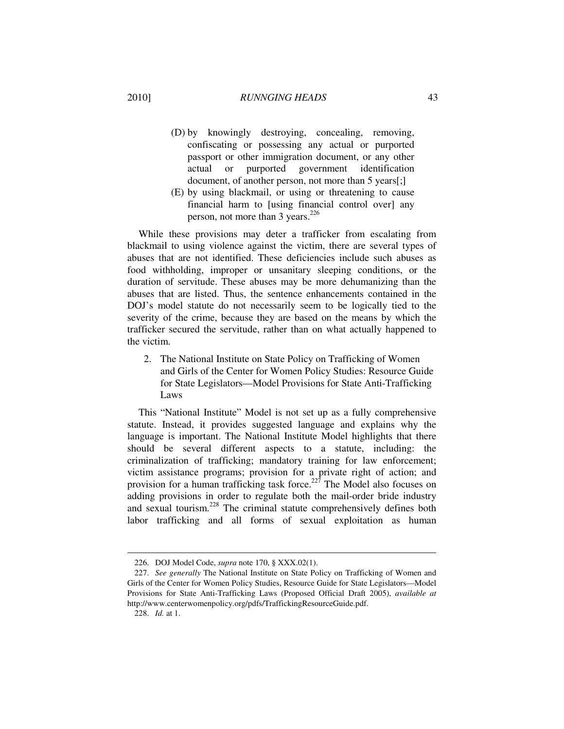## 2010] *RUNNGING HEADS* 43

- (D) by knowingly destroying, concealing, removing, confiscating or possessing any actual or purported passport or other immigration document, or any other actual or purported government identification document, of another person, not more than 5 years[;]
- (E) by using blackmail, or using or threatening to cause financial harm to [using financial control over] any person, not more than 3 years.<sup>226</sup>

While these provisions may deter a trafficker from escalating from blackmail to using violence against the victim, there are several types of abuses that are not identified. These deficiencies include such abuses as food withholding, improper or unsanitary sleeping conditions, or the duration of servitude. These abuses may be more dehumanizing than the abuses that are listed. Thus, the sentence enhancements contained in the DOJ's model statute do not necessarily seem to be logically tied to the severity of the crime, because they are based on the means by which the trafficker secured the servitude, rather than on what actually happened to the victim.

 2. The National Institute on State Policy on Trafficking of Women and Girls of the Center for Women Policy Studies: Resource Guide for State Legislators—Model Provisions for State Anti-Trafficking Laws

This "National Institute" Model is not set up as a fully comprehensive statute. Instead, it provides suggested language and explains why the language is important. The National Institute Model highlights that there should be several different aspects to a statute, including: the criminalization of trafficking; mandatory training for law enforcement; victim assistance programs; provision for a private right of action; and provision for a human trafficking task force.<sup>227</sup> The Model also focuses on adding provisions in order to regulate both the mail-order bride industry and sexual tourism.<sup>228</sup> The criminal statute comprehensively defines both labor trafficking and all forms of sexual exploitation as human

 <sup>226.</sup> DOJ Model Code, *supra* note 170, § XXX.02(1).

 <sup>227.</sup> *See generally* The National Institute on State Policy on Trafficking of Women and Girls of the Center for Women Policy Studies, Resource Guide for State Legislators—Model Provisions for State Anti-Trafficking Laws (Proposed Official Draft 2005), *available at* http://www.centerwomenpolicy.org/pdfs/TraffickingResourceGuide.pdf.

 <sup>228.</sup> *Id.* at 1.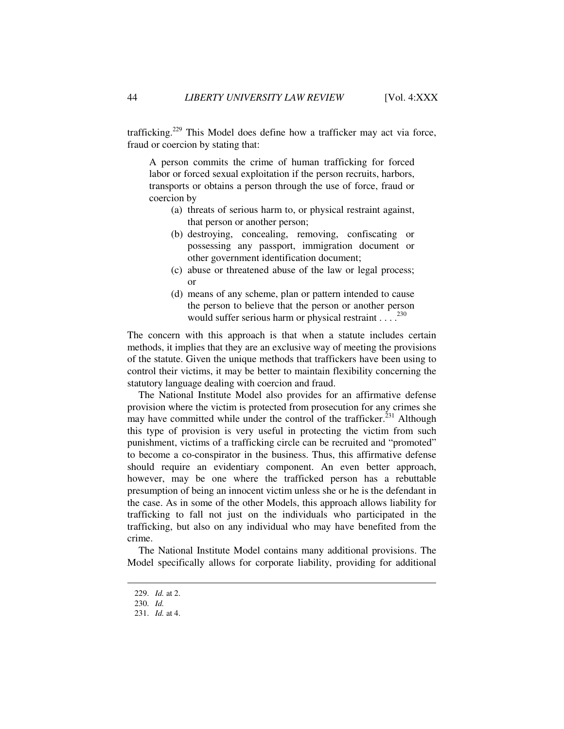trafficking.<sup>229</sup> This Model does define how a trafficker may act via force, fraud or coercion by stating that:

A person commits the crime of human trafficking for forced labor or forced sexual exploitation if the person recruits, harbors, transports or obtains a person through the use of force, fraud or coercion by

- (a) threats of serious harm to, or physical restraint against, that person or another person;
- (b) destroying, concealing, removing, confiscating or possessing any passport, immigration document or other government identification document;
- (c) abuse or threatened abuse of the law or legal process; or
- (d) means of any scheme, plan or pattern intended to cause the person to believe that the person or another person would suffer serious harm or physical restraint  $\ldots$ <sup>230</sup>

The concern with this approach is that when a statute includes certain methods, it implies that they are an exclusive way of meeting the provisions of the statute. Given the unique methods that traffickers have been using to control their victims, it may be better to maintain flexibility concerning the statutory language dealing with coercion and fraud.

The National Institute Model also provides for an affirmative defense provision where the victim is protected from prosecution for any crimes she may have committed while under the control of the trafficker. $^{231}$  Although this type of provision is very useful in protecting the victim from such punishment, victims of a trafficking circle can be recruited and "promoted" to become a co-conspirator in the business. Thus, this affirmative defense should require an evidentiary component. An even better approach, however, may be one where the trafficked person has a rebuttable presumption of being an innocent victim unless she or he is the defendant in the case. As in some of the other Models, this approach allows liability for trafficking to fall not just on the individuals who participated in the trafficking, but also on any individual who may have benefited from the crime.

The National Institute Model contains many additional provisions. The Model specifically allows for corporate liability, providing for additional

 <sup>229.</sup> *Id.* at 2.

 <sup>230.</sup> *Id.*

 <sup>231.</sup> *Id.* at 4.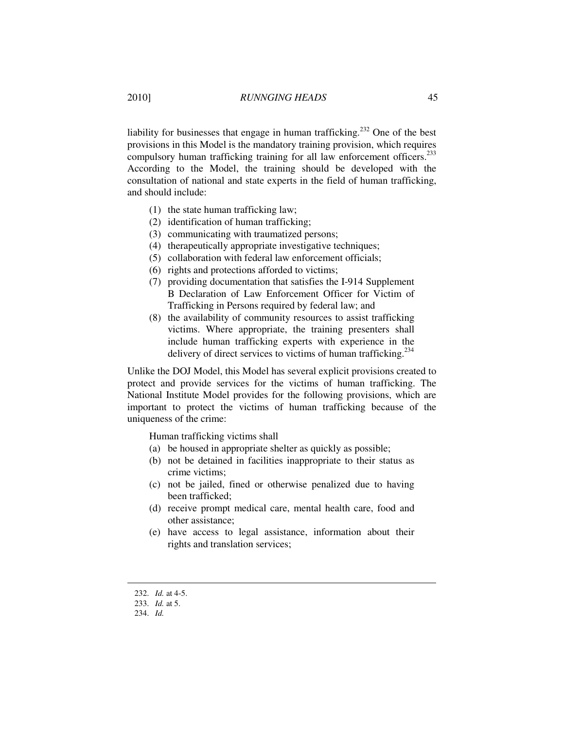liability for businesses that engage in human trafficking.<sup>232</sup> One of the best provisions in this Model is the mandatory training provision, which requires compulsory human trafficking training for all law enforcement officers.<sup>233</sup> According to the Model, the training should be developed with the consultation of national and state experts in the field of human trafficking, and should include:

- (1) the state human trafficking law;
- (2) identification of human trafficking;
- (3) communicating with traumatized persons;
- (4) therapeutically appropriate investigative techniques;
- (5) collaboration with federal law enforcement officials;
- (6) rights and protections afforded to victims;
- (7) providing documentation that satisfies the I-914 Supplement B Declaration of Law Enforcement Officer for Victim of Trafficking in Persons required by federal law; and
- (8) the availability of community resources to assist trafficking victims. Where appropriate, the training presenters shall include human trafficking experts with experience in the delivery of direct services to victims of human trafficking.<sup>234</sup>

Unlike the DOJ Model, this Model has several explicit provisions created to protect and provide services for the victims of human trafficking. The National Institute Model provides for the following provisions, which are important to protect the victims of human trafficking because of the uniqueness of the crime:

Human trafficking victims shall

- (a) be housed in appropriate shelter as quickly as possible;
- (b) not be detained in facilities inappropriate to their status as crime victims;
- (c) not be jailed, fined or otherwise penalized due to having been trafficked;
- (d) receive prompt medical care, mental health care, food and other assistance;
- (e) have access to legal assistance, information about their rights and translation services;

 <sup>232.</sup> *Id.* at 4-5.

 <sup>233.</sup> *Id.* at 5.

 <sup>234.</sup> *Id.*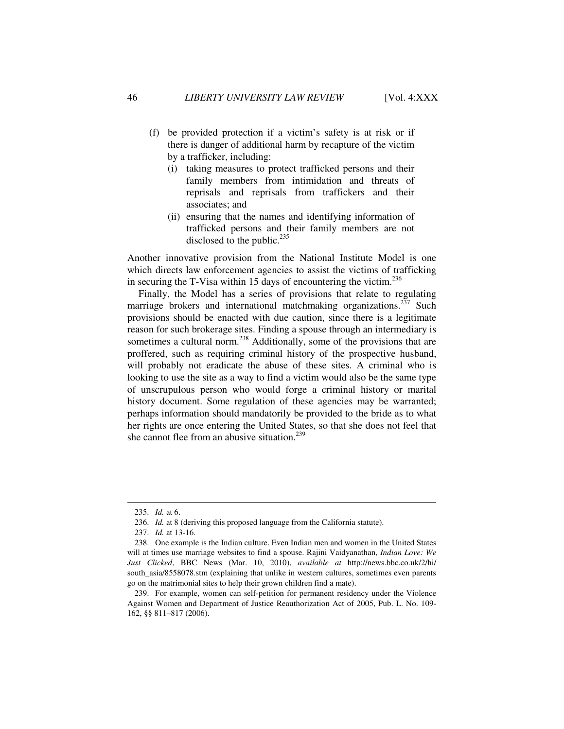- (f) be provided protection if a victim's safety is at risk or if there is danger of additional harm by recapture of the victim by a trafficker, including:
	- (i) taking measures to protect trafficked persons and their family members from intimidation and threats of reprisals and reprisals from traffickers and their associates; and
	- (ii) ensuring that the names and identifying information of trafficked persons and their family members are not disclosed to the public. $^{235}$

Another innovative provision from the National Institute Model is one which directs law enforcement agencies to assist the victims of trafficking in securing the T-Visa within 15 days of encountering the victim.<sup>236</sup>

Finally, the Model has a series of provisions that relate to regulating marriage brokers and international matchmaking organizations.<sup>237</sup> Such provisions should be enacted with due caution, since there is a legitimate reason for such brokerage sites. Finding a spouse through an intermediary is sometimes a cultural norm.<sup>238</sup> Additionally, some of the provisions that are proffered, such as requiring criminal history of the prospective husband, will probably not eradicate the abuse of these sites. A criminal who is looking to use the site as a way to find a victim would also be the same type of unscrupulous person who would forge a criminal history or marital history document. Some regulation of these agencies may be warranted; perhaps information should mandatorily be provided to the bride as to what her rights are once entering the United States, so that she does not feel that she cannot flee from an abusive situation.<sup>239</sup>

 <sup>235.</sup> *Id.* at 6.

 <sup>236.</sup> *Id.* at 8 (deriving this proposed language from the California statute).

 <sup>237.</sup> *Id.* at 13-16.

 <sup>238.</sup> One example is the Indian culture. Even Indian men and women in the United States will at times use marriage websites to find a spouse. Rajini Vaidyanathan, *Indian Love: We Just Clicked*, BBC News (Mar. 10, 2010), *available at* http://news.bbc.co.uk/2/hi/ south\_asia/8558078.stm (explaining that unlike in western cultures, sometimes even parents go on the matrimonial sites to help their grown children find a mate).

 <sup>239.</sup> For example, women can self-petition for permanent residency under the Violence Against Women and Department of Justice Reauthorization Act of 2005, Pub. L. No. 109- 162, §§ 811–817 (2006).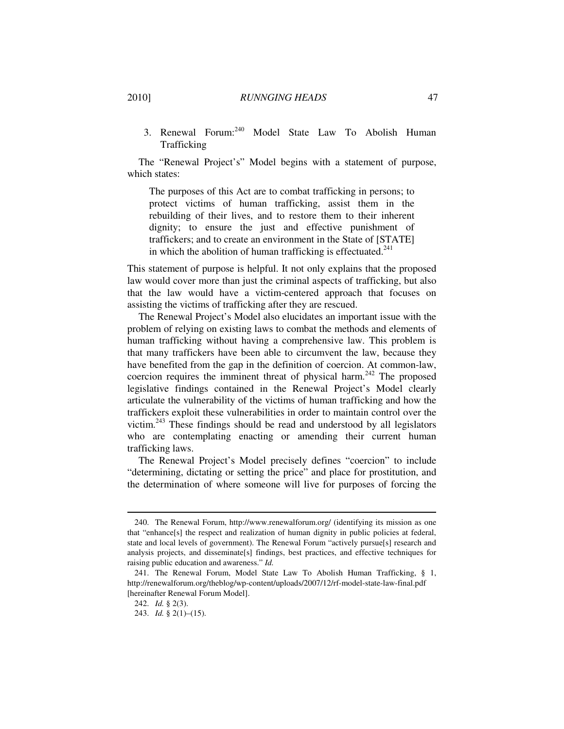3. Renewal Forum:<sup>240</sup> Model State Law To Abolish Human Trafficking

The "Renewal Project's" Model begins with a statement of purpose, which states:

The purposes of this Act are to combat trafficking in persons; to protect victims of human trafficking, assist them in the rebuilding of their lives, and to restore them to their inherent dignity; to ensure the just and effective punishment of traffickers; and to create an environment in the State of [STATE] in which the abolition of human trafficking is effectuated. $241$ 

This statement of purpose is helpful. It not only explains that the proposed law would cover more than just the criminal aspects of trafficking, but also that the law would have a victim-centered approach that focuses on assisting the victims of trafficking after they are rescued.

The Renewal Project's Model also elucidates an important issue with the problem of relying on existing laws to combat the methods and elements of human trafficking without having a comprehensive law. This problem is that many traffickers have been able to circumvent the law, because they have benefited from the gap in the definition of coercion. At common-law, coercion requires the imminent threat of physical harm.<sup>242</sup> The proposed legislative findings contained in the Renewal Project's Model clearly articulate the vulnerability of the victims of human trafficking and how the traffickers exploit these vulnerabilities in order to maintain control over the victim.<sup>243</sup> These findings should be read and understood by all legislators who are contemplating enacting or amending their current human trafficking laws.

The Renewal Project's Model precisely defines "coercion" to include "determining, dictating or setting the price" and place for prostitution, and the determination of where someone will live for purposes of forcing the

 <sup>240.</sup> The Renewal Forum, http://www.renewalforum.org/ (identifying its mission as one that "enhance[s] the respect and realization of human dignity in public policies at federal, state and local levels of government). The Renewal Forum "actively pursue[s] research and analysis projects, and disseminate[s] findings, best practices, and effective techniques for raising public education and awareness." *Id.*

 <sup>241.</sup> The Renewal Forum, Model State Law To Abolish Human Trafficking, § 1, http://renewalforum.org/theblog/wp-content/uploads/2007/12/rf-model-state-law-final.pdf [hereinafter Renewal Forum Model].

 <sup>242.</sup> *Id.* § 2(3).

 <sup>243.</sup> *Id.* § 2(1)–(15).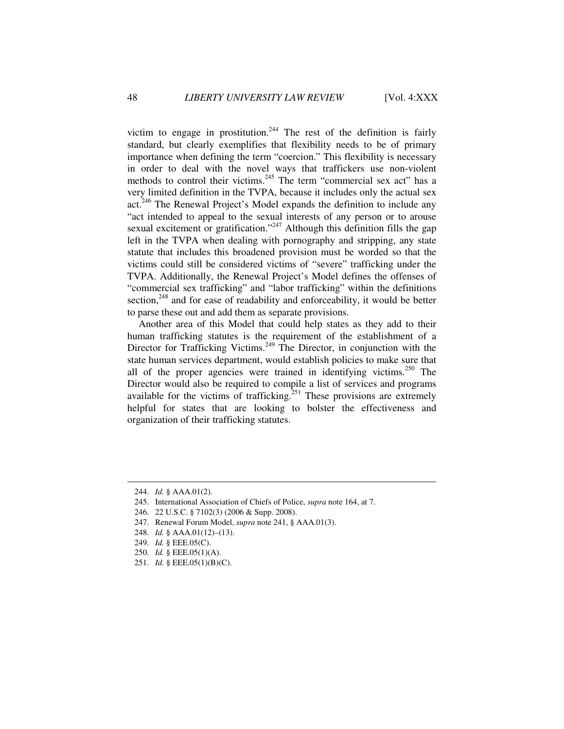victim to engage in prostitution.<sup>244</sup> The rest of the definition is fairly standard, but clearly exemplifies that flexibility needs to be of primary importance when defining the term "coercion." This flexibility is necessary in order to deal with the novel ways that traffickers use non-violent methods to control their victims.<sup>245</sup> The term "commercial sex act" has a very limited definition in the TVPA, because it includes only the actual sex act.<sup>246</sup> The Renewal Project's Model expands the definition to include any "act intended to appeal to the sexual interests of any person or to arouse sexual excitement or gratification."<sup>247</sup> Although this definition fills the gap left in the TVPA when dealing with pornography and stripping, any state statute that includes this broadened provision must be worded so that the victims could still be considered victims of "severe" trafficking under the TVPA. Additionally, the Renewal Project's Model defines the offenses of "commercial sex trafficking" and "labor trafficking" within the definitions section, $248$  and for ease of readability and enforceability, it would be better to parse these out and add them as separate provisions.

Another area of this Model that could help states as they add to their human trafficking statutes is the requirement of the establishment of a Director for Trafficking Victims.<sup>249</sup> The Director, in conjunction with the state human services department, would establish policies to make sure that all of the proper agencies were trained in identifying victims.<sup>250</sup> The Director would also be required to compile a list of services and programs available for the victims of trafficking.<sup>251</sup> These provisions are extremely helpful for states that are looking to bolster the effectiveness and organization of their trafficking statutes.

- 245. International Association of Chiefs of Police, *supra* note 164, at 7.
- 246. 22 U.S.C. § 7102(3) (2006 & Supp. 2008).

- 248. *Id.* § AAA.01(12)–(13).
- 249. *Id.* § EEE.05(C).
- 250. *Id.* § EEE.05(1)(A).
- 251. *Id.* § EEE.05(1)(B)(C).

 <sup>244.</sup> *Id.* § AAA.01(2).

 <sup>247.</sup> Renewal Forum Model, *supra* note 241, § AAA.01(3).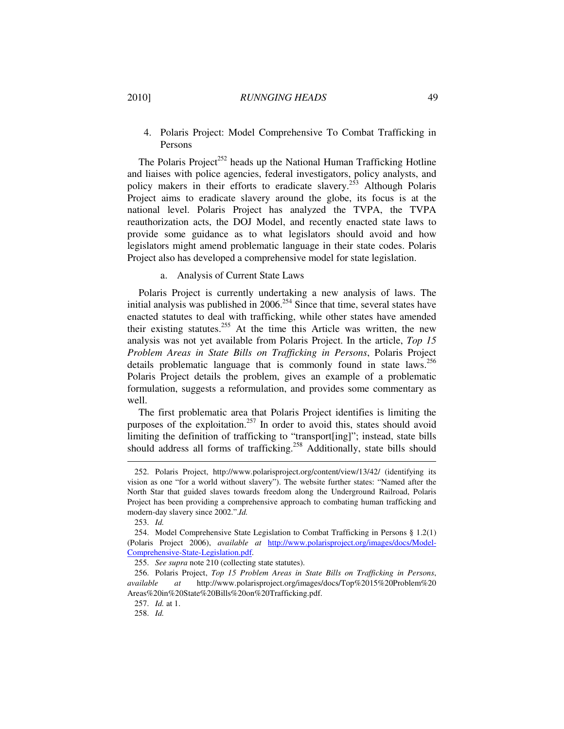### 2010] *RUNNGING HEADS* 49

 4. Polaris Project: Model Comprehensive To Combat Trafficking in Persons

The Polaris Project<sup>252</sup> heads up the National Human Trafficking Hotline and liaises with police agencies, federal investigators, policy analysts, and policy makers in their efforts to eradicate slavery.<sup>253</sup> Although Polaris Project aims to eradicate slavery around the globe, its focus is at the national level. Polaris Project has analyzed the TVPA, the TVPA reauthorization acts, the DOJ Model, and recently enacted state laws to provide some guidance as to what legislators should avoid and how legislators might amend problematic language in their state codes. Polaris Project also has developed a comprehensive model for state legislation.

## a. Analysis of Current State Laws

Polaris Project is currently undertaking a new analysis of laws. The initial analysis was published in  $2006<sup>254</sup>$  Since that time, several states have enacted statutes to deal with trafficking, while other states have amended their existing statutes.<sup>255</sup> At the time this Article was written, the new analysis was not yet available from Polaris Project. In the article, *Top 15 Problem Areas in State Bills on Trafficking in Persons*, Polaris Project details problematic language that is commonly found in state laws.<sup>256</sup> Polaris Project details the problem, gives an example of a problematic formulation, suggests a reformulation, and provides some commentary as well.

The first problematic area that Polaris Project identifies is limiting the purposes of the exploitation.<sup>257</sup> In order to avoid this, states should avoid limiting the definition of trafficking to "transport[ing]"; instead, state bills should address all forms of trafficking.<sup>258</sup> Additionally, state bills should

 <sup>252.</sup> Polaris Project, http://www.polarisproject.org/content/view/13/42/ (identifying its vision as one "for a world without slavery"). The website further states: "Named after the North Star that guided slaves towards freedom along the Underground Railroad, Polaris Project has been providing a comprehensive approach to combating human trafficking and modern-day slavery since 2002.".*Id.*

 <sup>253.</sup> *Id.*

 <sup>254.</sup> Model Comprehensive State Legislation to Combat Trafficking in Persons § 1.2(1) (Polaris Project 2006), *available at* http://www.polarisproject.org/images/docs/Model-Comprehensive-State-Legislation.pdf.

 <sup>255.</sup> *See supra* note 210 (collecting state statutes).

 <sup>256.</sup> Polaris Project, *Top 15 Problem Areas in State Bills on Trafficking in Persons*, *available at* http://www.polarisproject.org/images/docs/Top%2015%20Problem%20 Areas%20in%20State%20Bills%20on%20Trafficking.pdf.

 <sup>257.</sup> *Id.* at 1.

 <sup>258.</sup> *Id.*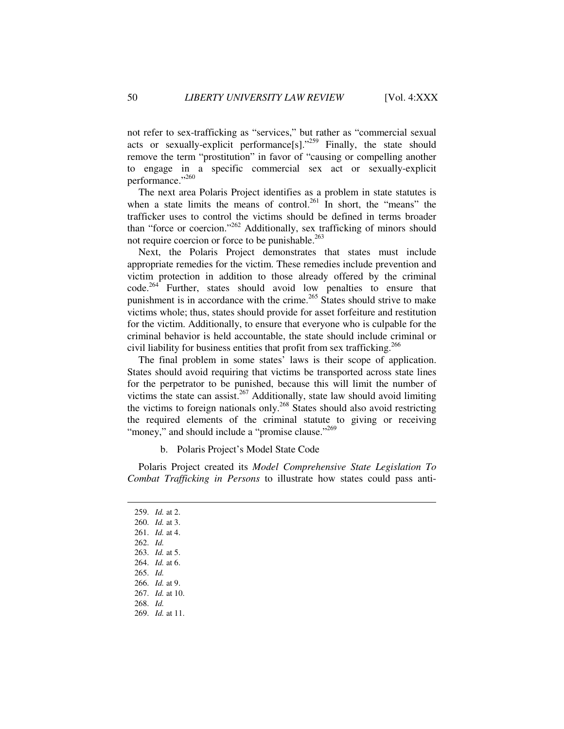not refer to sex-trafficking as "services," but rather as "commercial sexual acts or sexually-explicit performance[s]."<sup>259</sup> Finally, the state should remove the term "prostitution" in favor of "causing or compelling another to engage in a specific commercial sex act or sexually-explicit performance."260

The next area Polaris Project identifies as a problem in state statutes is when a state limits the means of control.<sup>261</sup> In short, the "means" the trafficker uses to control the victims should be defined in terms broader than "force or coercion."<sup>262</sup> Additionally, sex trafficking of minors should not require coercion or force to be punishable.<sup>263</sup>

Next, the Polaris Project demonstrates that states must include appropriate remedies for the victim. These remedies include prevention and victim protection in addition to those already offered by the criminal code.<sup>264</sup> Further, states should avoid low penalties to ensure that punishment is in accordance with the crime.<sup>265</sup> States should strive to make victims whole; thus, states should provide for asset forfeiture and restitution for the victim. Additionally, to ensure that everyone who is culpable for the criminal behavior is held accountable, the state should include criminal or civil liability for business entities that profit from sex trafficking.<sup>266</sup>

The final problem in some states' laws is their scope of application. States should avoid requiring that victims be transported across state lines for the perpetrator to be punished, because this will limit the number of victims the state can assist.<sup>267</sup> Additionally, state law should avoid limiting the victims to foreign nationals only.<sup>268</sup> States should also avoid restricting the required elements of the criminal statute to giving or receiving "money," and should include a "promise clause."<sup>269</sup>

b. Polaris Project's Model State Code

Polaris Project created its *Model Comprehensive State Legislation To Combat Trafficking in Persons* to illustrate how states could pass anti-

 259. *Id.* at 2. 260. *Id.* at 3. 261. *Id.* at 4. 262. *Id.* 263. *Id.* at 5. 264. *Id.* at 6. 265. *Id.* 266. *Id.* at 9. 267. *Id.* at 10. 268. *Id.* 269. *Id.* at 11.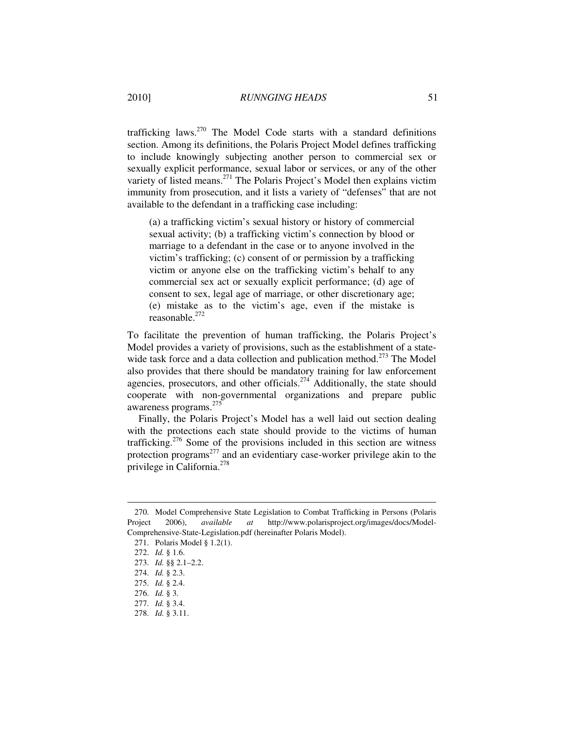trafficking laws.<sup>270</sup> The Model Code starts with a standard definitions section. Among its definitions, the Polaris Project Model defines trafficking to include knowingly subjecting another person to commercial sex or sexually explicit performance, sexual labor or services, or any of the other variety of listed means.<sup>271</sup> The Polaris Project's Model then explains victim immunity from prosecution, and it lists a variety of "defenses" that are not available to the defendant in a trafficking case including:

(a) a trafficking victim's sexual history or history of commercial sexual activity; (b) a trafficking victim's connection by blood or marriage to a defendant in the case or to anyone involved in the victim's trafficking; (c) consent of or permission by a trafficking victim or anyone else on the trafficking victim's behalf to any commercial sex act or sexually explicit performance; (d) age of consent to sex, legal age of marriage, or other discretionary age; (e) mistake as to the victim's age, even if the mistake is reasonable. $272$ 

To facilitate the prevention of human trafficking, the Polaris Project's Model provides a variety of provisions, such as the establishment of a statewide task force and a data collection and publication method.<sup> $273$ </sup> The Model also provides that there should be mandatory training for law enforcement agencies, prosecutors, and other officials.<sup>274</sup> Additionally, the state should cooperate with non-governmental organizations and prepare public awareness programs.<sup>275</sup>

Finally, the Polaris Project's Model has a well laid out section dealing with the protections each state should provide to the victims of human trafficking.<sup>276</sup> Some of the provisions included in this section are witness protection programs<sup>277</sup> and an evidentiary case-worker privilege akin to the privilege in California.<sup>278</sup>

 <sup>270.</sup> Model Comprehensive State Legislation to Combat Trafficking in Persons (Polaris Project 2006), *available at* http://www.polarisproject.org/images/docs/Model-Comprehensive-State-Legislation.pdf (hereinafter Polaris Model).

 <sup>271.</sup> Polaris Model § 1.2(1).

 <sup>272.</sup> *Id.* § 1.6.

 <sup>273.</sup> *Id.* §§ 2.1–2.2.

 <sup>274.</sup> *Id.* § 2.3.

 <sup>275.</sup> *Id.* § 2.4.

 <sup>276.</sup> *Id.* § 3.

 <sup>277.</sup> *Id.* § 3.4.

 <sup>278.</sup> *Id.* § 3.11.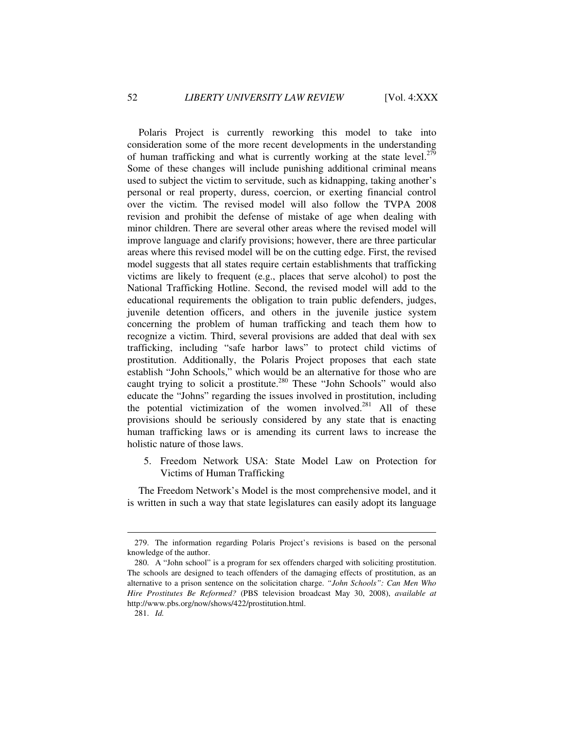Polaris Project is currently reworking this model to take into consideration some of the more recent developments in the understanding of human trafficking and what is currently working at the state level.<sup>279</sup> Some of these changes will include punishing additional criminal means used to subject the victim to servitude, such as kidnapping, taking another's personal or real property, duress, coercion, or exerting financial control over the victim. The revised model will also follow the TVPA 2008 revision and prohibit the defense of mistake of age when dealing with minor children. There are several other areas where the revised model will improve language and clarify provisions; however, there are three particular areas where this revised model will be on the cutting edge. First, the revised model suggests that all states require certain establishments that trafficking victims are likely to frequent (e.g., places that serve alcohol) to post the National Trafficking Hotline. Second, the revised model will add to the educational requirements the obligation to train public defenders, judges, juvenile detention officers, and others in the juvenile justice system concerning the problem of human trafficking and teach them how to recognize a victim. Third, several provisions are added that deal with sex trafficking, including "safe harbor laws" to protect child victims of prostitution. Additionally, the Polaris Project proposes that each state establish "John Schools," which would be an alternative for those who are caught trying to solicit a prostitute.<sup>280</sup> These "John Schools" would also educate the "Johns" regarding the issues involved in prostitution, including the potential victimization of the women involved. $^{281}$  All of these provisions should be seriously considered by any state that is enacting human trafficking laws or is amending its current laws to increase the holistic nature of those laws.

 5. Freedom Network USA: State Model Law on Protection for Victims of Human Trafficking

The Freedom Network's Model is the most comprehensive model, and it is written in such a way that state legislatures can easily adopt its language

 <sup>279.</sup> The information regarding Polaris Project's revisions is based on the personal knowledge of the author.

 <sup>280.</sup> A "John school" is a program for sex offenders charged with soliciting prostitution. The schools are designed to teach offenders of the damaging effects of prostitution, as an alternative to a prison sentence on the solicitation charge. *"John Schools": Can Men Who Hire Prostitutes Be Reformed?* (PBS television broadcast May 30, 2008), *available at* http://www.pbs.org/now/shows/422/prostitution.html.

 <sup>281.</sup> *Id.*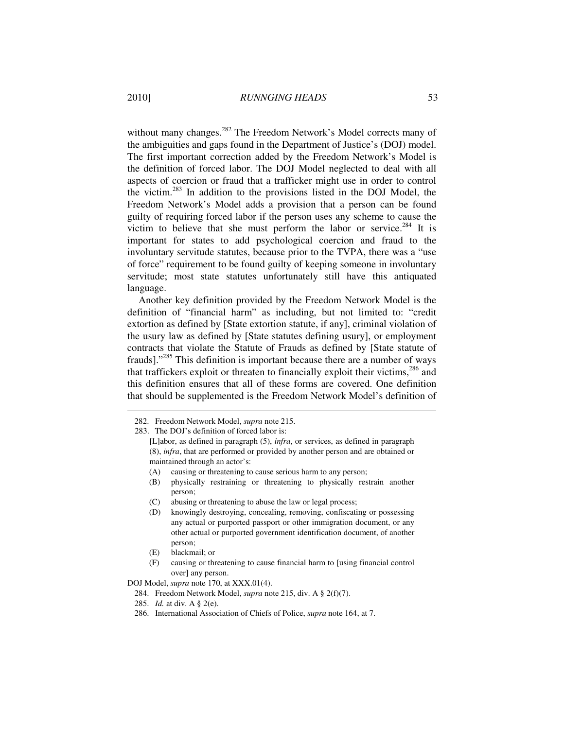without many changes.<sup>282</sup> The Freedom Network's Model corrects many of the ambiguities and gaps found in the Department of Justice's (DOJ) model. The first important correction added by the Freedom Network's Model is the definition of forced labor. The DOJ Model neglected to deal with all aspects of coercion or fraud that a trafficker might use in order to control the victim.<sup>283</sup> In addition to the provisions listed in the DOJ Model, the Freedom Network's Model adds a provision that a person can be found guilty of requiring forced labor if the person uses any scheme to cause the victim to believe that she must perform the labor or service.<sup>284</sup> It is important for states to add psychological coercion and fraud to the involuntary servitude statutes, because prior to the TVPA, there was a "use of force" requirement to be found guilty of keeping someone in involuntary servitude; most state statutes unfortunately still have this antiquated language.

Another key definition provided by the Freedom Network Model is the definition of "financial harm" as including, but not limited to: "credit extortion as defined by [State extortion statute, if any], criminal violation of the usury law as defined by [State statutes defining usury], or employment contracts that violate the Statute of Frauds as defined by [State statute of frauds]."<sup>285</sup> This definition is important because there are a number of ways that traffickers exploit or threaten to financially exploit their victims,  $286$  and this definition ensures that all of these forms are covered. One definition that should be supplemented is the Freedom Network Model's definition of

- (A) causing or threatening to cause serious harm to any person;
- (B) physically restraining or threatening to physically restrain another person;
- (C) abusing or threatening to abuse the law or legal process;
- (D) knowingly destroying, concealing, removing, confiscating or possessing any actual or purported passport or other immigration document, or any other actual or purported government identification document, of another person;
- (E) blackmail; or

 $\overline{a}$ 

(F) causing or threatening to cause financial harm to [using financial control over] any person.

DOJ Model, *supra* note 170, at XXX.01(4).

- 284. Freedom Network Model, *supra* note 215, div. A § 2(f)(7).
- 285. *Id.* at div. A § 2(e).
- 286. International Association of Chiefs of Police, *supra* note 164, at 7.

 <sup>282.</sup> Freedom Network Model, *supra* note 215.

 <sup>283.</sup> The DOJ's definition of forced labor is:

<sup>[</sup>L]abor, as defined in paragraph (5), *infra*, or services, as defined in paragraph (8), *infra*, that are performed or provided by another person and are obtained or maintained through an actor's: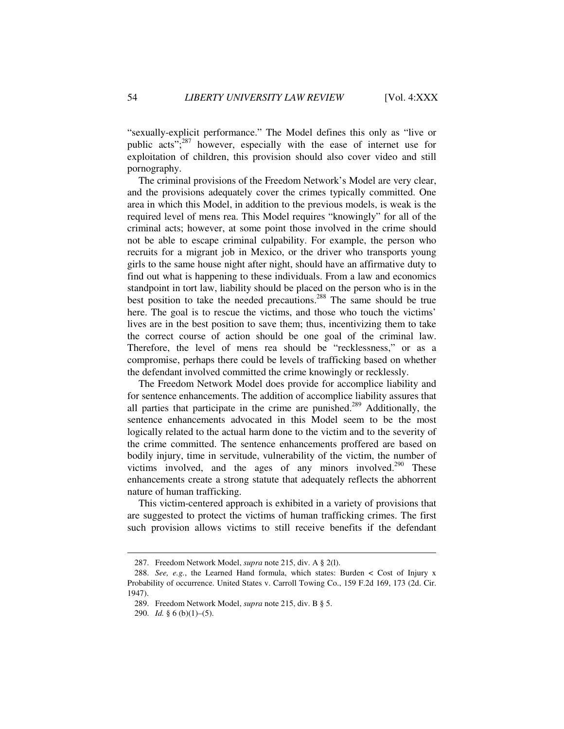"sexually-explicit performance." The Model defines this only as "live or public acts"; $287$  however, especially with the ease of internet use for exploitation of children, this provision should also cover video and still pornography.

The criminal provisions of the Freedom Network's Model are very clear, and the provisions adequately cover the crimes typically committed. One area in which this Model, in addition to the previous models, is weak is the required level of mens rea. This Model requires "knowingly" for all of the criminal acts; however, at some point those involved in the crime should not be able to escape criminal culpability. For example, the person who recruits for a migrant job in Mexico, or the driver who transports young girls to the same house night after night, should have an affirmative duty to find out what is happening to these individuals. From a law and economics standpoint in tort law, liability should be placed on the person who is in the best position to take the needed precautions.<sup>288</sup> The same should be true here. The goal is to rescue the victims, and those who touch the victims' lives are in the best position to save them; thus, incentivizing them to take the correct course of action should be one goal of the criminal law. Therefore, the level of mens rea should be "recklessness," or as a compromise, perhaps there could be levels of trafficking based on whether the defendant involved committed the crime knowingly or recklessly.

The Freedom Network Model does provide for accomplice liability and for sentence enhancements. The addition of accomplice liability assures that all parties that participate in the crime are punished.<sup>289</sup> Additionally, the sentence enhancements advocated in this Model seem to be the most logically related to the actual harm done to the victim and to the severity of the crime committed. The sentence enhancements proffered are based on bodily injury, time in servitude, vulnerability of the victim, the number of victims involved, and the ages of any minors involved.<sup>290</sup> These enhancements create a strong statute that adequately reflects the abhorrent nature of human trafficking.

This victim-centered approach is exhibited in a variety of provisions that are suggested to protect the victims of human trafficking crimes. The first such provision allows victims to still receive benefits if the defendant

 <sup>287.</sup> Freedom Network Model, *supra* note 215, div. A § 2(l).

 <sup>288.</sup> *See, e.g.*, the Learned Hand formula, which states: Burden < Cost of Injury x Probability of occurrence. United States v. Carroll Towing Co., 159 F.2d 169, 173 (2d. Cir. 1947).

 <sup>289.</sup> Freedom Network Model, *supra* note 215, div. B § 5.

 <sup>290.</sup> *Id.* § 6 (b)(1)–(5).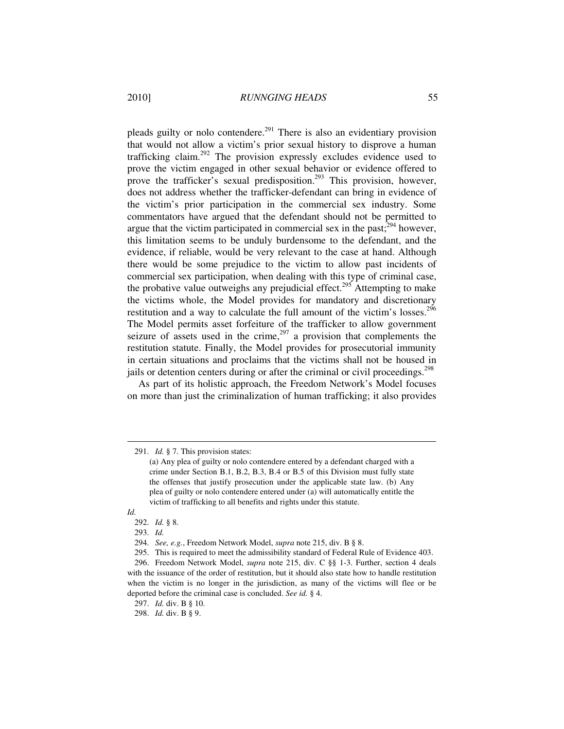pleads guilty or nolo contendere.<sup>291</sup> There is also an evidentiary provision that would not allow a victim's prior sexual history to disprove a human trafficking claim.<sup>292</sup> The provision expressly excludes evidence used to prove the victim engaged in other sexual behavior or evidence offered to prove the trafficker's sexual predisposition.<sup>293</sup> This provision, however, does not address whether the trafficker-defendant can bring in evidence of the victim's prior participation in the commercial sex industry. Some commentators have argued that the defendant should not be permitted to argue that the victim participated in commercial sex in the past; $294$  however, this limitation seems to be unduly burdensome to the defendant, and the evidence, if reliable, would be very relevant to the case at hand. Although there would be some prejudice to the victim to allow past incidents of commercial sex participation, when dealing with this type of criminal case, the probative value outweighs any prejudicial effect.<sup>295</sup> Attempting to make the victims whole, the Model provides for mandatory and discretionary restitution and a way to calculate the full amount of the victim's losses.<sup>296</sup> The Model permits asset forfeiture of the trafficker to allow government seizure of assets used in the crime,<sup>297</sup> a provision that complements the restitution statute. Finally, the Model provides for prosecutorial immunity in certain situations and proclaims that the victims shall not be housed in jails or detention centers during or after the criminal or civil proceedings.<sup>298</sup>

As part of its holistic approach, the Freedom Network's Model focuses on more than just the criminalization of human trafficking; it also provides

 <sup>291.</sup> *Id.* § 7. This provision states:

<sup>(</sup>a) Any plea of guilty or nolo contendere entered by a defendant charged with a crime under Section B.1, B.2, B.3, B.4 or B.5 of this Division must fully state the offenses that justify prosecution under the applicable state law. (b) Any plea of guilty or nolo contendere entered under (a) will automatically entitle the victim of trafficking to all benefits and rights under this statute.

*Id.*

 <sup>292.</sup> *Id.* § 8.

 <sup>293.</sup> *Id.*

 <sup>294.</sup> *See, e.g.*, Freedom Network Model, *supra* note 215, div. B § 8.

 <sup>295.</sup> This is required to meet the admissibility standard of Federal Rule of Evidence 403.

 <sup>296.</sup> Freedom Network Model, *supra* note 215, div. C §§ 1-3. Further, section 4 deals with the issuance of the order of restitution, but it should also state how to handle restitution when the victim is no longer in the jurisdiction, as many of the victims will flee or be deported before the criminal case is concluded. *See id.* § 4.

 <sup>297.</sup> *Id.* div. B § 10.

 <sup>298.</sup> *Id.* div. B § 9.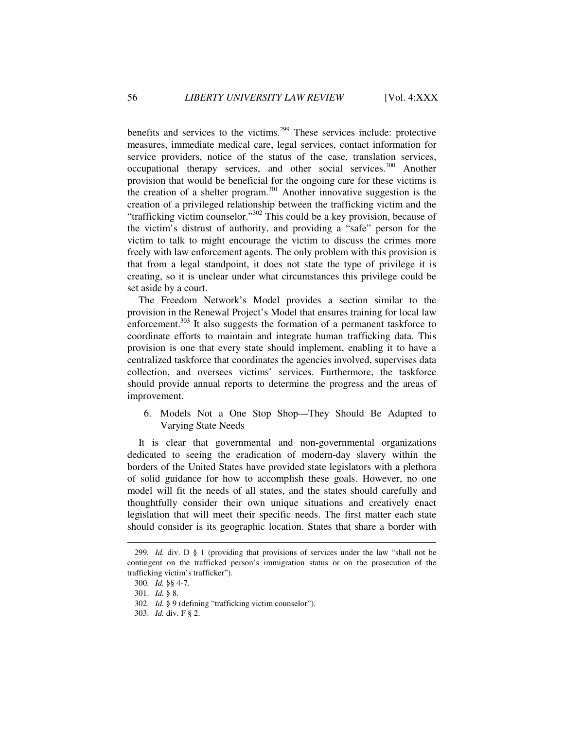benefits and services to the victims.<sup>299</sup> These services include: protective measures, immediate medical care, legal services, contact information for service providers, notice of the status of the case, translation services, occupational therapy services, and other social services.<sup>300</sup> Another provision that would be beneficial for the ongoing care for these victims is the creation of a shelter program. $301$  Another innovative suggestion is the creation of a privileged relationship between the trafficking victim and the "trafficking victim counselor."<sup>302</sup> This could be a key provision, because of the victim's distrust of authority, and providing a "safe" person for the victim to talk to might encourage the victim to discuss the crimes more freely with law enforcement agents. The only problem with this provision is that from a legal standpoint, it does not state the type of privilege it is creating, so it is unclear under what circumstances this privilege could be set aside by a court.

The Freedom Network's Model provides a section similar to the provision in the Renewal Project's Model that ensures training for local law enforcement.<sup>303</sup> It also suggests the formation of a permanent taskforce to coordinate efforts to maintain and integrate human trafficking data. This provision is one that every state should implement, enabling it to have a centralized taskforce that coordinates the agencies involved, supervises data collection, and oversees victims' services. Furthermore, the taskforce should provide annual reports to determine the progress and the areas of improvement.

 6. Models Not a One Stop Shop—They Should Be Adapted to Varying State Needs

It is clear that governmental and non-governmental organizations dedicated to seeing the eradication of modern-day slavery within the borders of the United States have provided state legislators with a plethora of solid guidance for how to accomplish these goals. However, no one model will fit the needs of all states, and the states should carefully and thoughtfully consider their own unique situations and creatively enact legislation that will meet their specific needs. The first matter each state should consider is its geographic location. States that share a border with

<sup>299</sup>*. Id.* div. D § 1 (providing that provisions of services under the law "shall not be contingent on the trafficked person's immigration status or on the prosecution of the trafficking victim's trafficker").

 <sup>300.</sup> *Id.* §§ 4-7.

 <sup>301.</sup> *Id.* § 8.

 <sup>302.</sup> *Id.* § 9 (defining "trafficking victim counselor").

 <sup>303.</sup> *Id.* div. F § 2.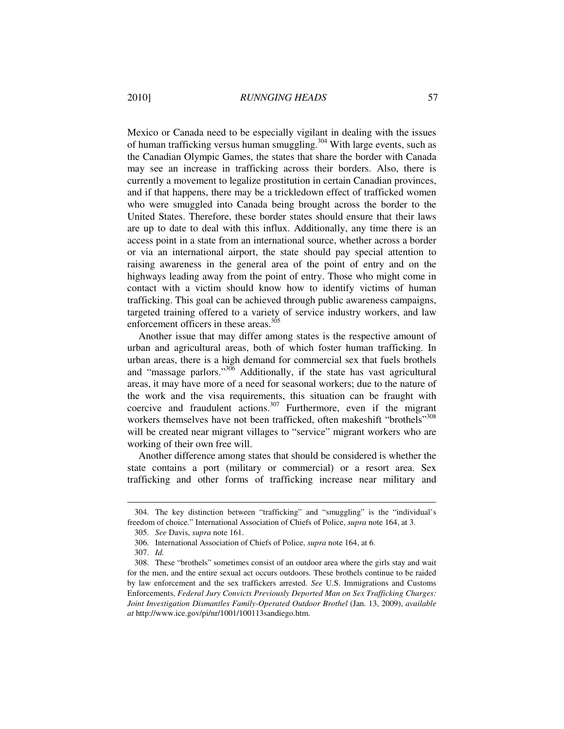Mexico or Canada need to be especially vigilant in dealing with the issues of human trafficking versus human smuggling.<sup>304</sup> With large events, such as the Canadian Olympic Games, the states that share the border with Canada may see an increase in trafficking across their borders. Also, there is currently a movement to legalize prostitution in certain Canadian provinces, and if that happens, there may be a trickledown effect of trafficked women who were smuggled into Canada being brought across the border to the United States. Therefore, these border states should ensure that their laws are up to date to deal with this influx. Additionally, any time there is an access point in a state from an international source, whether across a border or via an international airport, the state should pay special attention to raising awareness in the general area of the point of entry and on the highways leading away from the point of entry. Those who might come in contact with a victim should know how to identify victims of human trafficking. This goal can be achieved through public awareness campaigns, targeted training offered to a variety of service industry workers, and law enforcement officers in these areas.<sup>305</sup>

Another issue that may differ among states is the respective amount of urban and agricultural areas, both of which foster human trafficking. In urban areas, there is a high demand for commercial sex that fuels brothels and "massage parlors."<sup>306</sup> Additionally, if the state has vast agricultural areas, it may have more of a need for seasonal workers; due to the nature of the work and the visa requirements, this situation can be fraught with coercive and fraudulent actions. $307$  Furthermore, even if the migrant workers themselves have not been trafficked, often makeshift "brothels"<sup>308</sup> will be created near migrant villages to "service" migrant workers who are working of their own free will.

Another difference among states that should be considered is whether the state contains a port (military or commercial) or a resort area. Sex trafficking and other forms of trafficking increase near military and

 <sup>304.</sup> The key distinction between "trafficking" and "smuggling" is the "individual's freedom of choice." International Association of Chiefs of Police, *supra* note 164, at 3.

 <sup>305.</sup> *See* Davis, *supra* note 161.

 <sup>306.</sup> International Association of Chiefs of Police, *supra* note 164, at 6.

 <sup>307.</sup> *Id.*

 <sup>308.</sup> These "brothels" sometimes consist of an outdoor area where the girls stay and wait for the men, and the entire sexual act occurs outdoors. These brothels continue to be raided by law enforcement and the sex traffickers arrested. *See* U.S. Immigrations and Customs Enforcements, *Federal Jury Convicts Previously Deported Man on Sex Trafficking Charges: Joint Investigation Dismantles Family-Operated Outdoor Brothel* (Jan. 13, 2009), *available at* http://www.ice.gov/pi/nr/1001/100113sandiego.htm.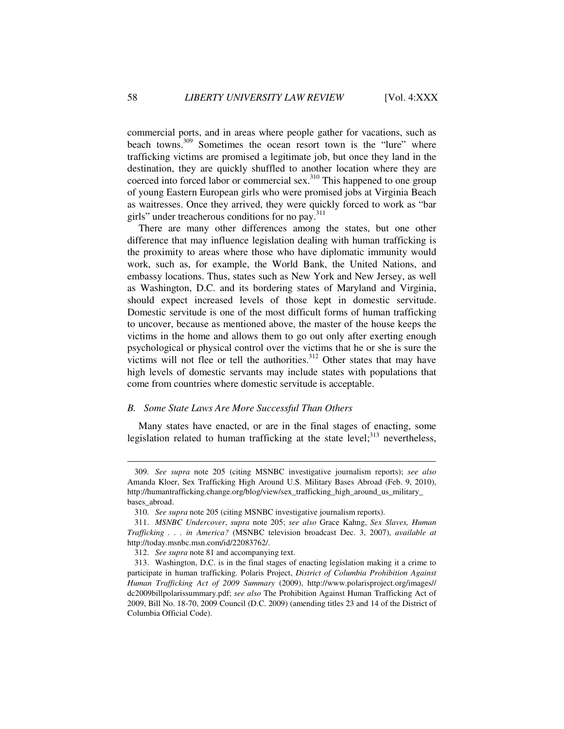commercial ports, and in areas where people gather for vacations, such as beach towns.<sup>309</sup> Sometimes the ocean resort town is the "lure" where trafficking victims are promised a legitimate job, but once they land in the destination, they are quickly shuffled to another location where they are coerced into forced labor or commercial sex.<sup>310</sup> This happened to one group of young Eastern European girls who were promised jobs at Virginia Beach as waitresses. Once they arrived, they were quickly forced to work as "bar girls" under treacherous conditions for no pay.<sup>311</sup>

There are many other differences among the states, but one other difference that may influence legislation dealing with human trafficking is the proximity to areas where those who have diplomatic immunity would work, such as, for example, the World Bank, the United Nations, and embassy locations. Thus, states such as New York and New Jersey, as well as Washington, D.C. and its bordering states of Maryland and Virginia, should expect increased levels of those kept in domestic servitude. Domestic servitude is one of the most difficult forms of human trafficking to uncover, because as mentioned above, the master of the house keeps the victims in the home and allows them to go out only after exerting enough psychological or physical control over the victims that he or she is sure the victims will not flee or tell the authorities.<sup>312</sup> Other states that may have high levels of domestic servants may include states with populations that come from countries where domestic servitude is acceptable.

#### *B. Some State Laws Are More Successful Than Others*

Many states have enacted, or are in the final stages of enacting, some legislation related to human trafficking at the state level;<sup>313</sup> nevertheless,

 <sup>309.</sup> *See supra* note 205 (citing MSNBC investigative journalism reports); *see also* Amanda Kloer, Sex Trafficking High Around U.S. Military Bases Abroad (Feb. 9, 2010), http://humantrafficking.change.org/blog/view/sex\_trafficking\_high\_around\_us\_military\_ bases\_abroad.

 <sup>310.</sup> *See supra* note 205 (citing MSNBC investigative journalism reports).

 <sup>311.</sup> *MSNBC Undercover*, *supra* note 205; *see also* Grace Kahng, *Sex Slaves, Human Trafficking . . . in America?* (MSNBC television broadcast Dec. 3, 2007), *available at*  http://today.msnbc.msn.com/id/22083762/.

 <sup>312.</sup> *See supra* note 81 and accompanying text.

 <sup>313.</sup> Washington, D.C. is in the final stages of enacting legislation making it a crime to participate in human trafficking. Polaris Project, *District of Columbia Prohibition Against Human Trafficking Act of 2009 Summary* (2009), http://www.polarisproject.org/images// dc2009billpolarissummary.pdf; *see also* The Prohibition Against Human Trafficking Act of 2009, Bill No. 18-70, 2009 Council (D.C. 2009) (amending titles 23 and 14 of the District of Columbia Official Code).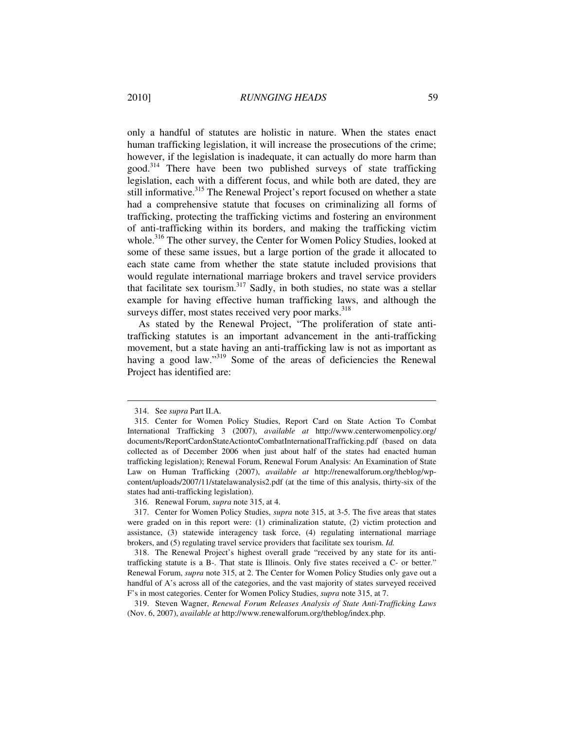only a handful of statutes are holistic in nature. When the states enact human trafficking legislation, it will increase the prosecutions of the crime; however, if the legislation is inadequate, it can actually do more harm than good.<sup>314</sup> There have been two published surveys of state trafficking legislation, each with a different focus, and while both are dated, they are still informative.<sup>315</sup> The Renewal Project's report focused on whether a state had a comprehensive statute that focuses on criminalizing all forms of trafficking, protecting the trafficking victims and fostering an environment of anti-trafficking within its borders, and making the trafficking victim whole.<sup>316</sup> The other survey, the Center for Women Policy Studies, looked at some of these same issues, but a large portion of the grade it allocated to each state came from whether the state statute included provisions that would regulate international marriage brokers and travel service providers that facilitate sex tourism.<sup>317</sup> Sadly, in both studies, no state was a stellar example for having effective human trafficking laws, and although the surveys differ, most states received very poor marks.<sup>318</sup>

As stated by the Renewal Project, "The proliferation of state antitrafficking statutes is an important advancement in the anti-trafficking movement, but a state having an anti-trafficking law is not as important as having a good law."<sup>319</sup> Some of the areas of deficiencies the Renewal Project has identified are:

 <sup>314.</sup> See *supra* Part II.A.

 <sup>315.</sup> Center for Women Policy Studies, Report Card on State Action To Combat International Trafficking 3 (2007), *available at* http://www.centerwomenpolicy.org/ documents/ReportCardonStateActiontoCombatInternationalTrafficking.pdf (based on data collected as of December 2006 when just about half of the states had enacted human trafficking legislation); Renewal Forum, Renewal Forum Analysis: An Examination of State Law on Human Trafficking (2007), *available at* http://renewalforum.org/theblog/wpcontent/uploads/2007/11/statelawanalysis2.pdf (at the time of this analysis, thirty-six of the states had anti-trafficking legislation).

 <sup>316.</sup> Renewal Forum, *supra* note 315, at 4.

 <sup>317.</sup> Center for Women Policy Studies, *supra* note 315, at 3-5. The five areas that states were graded on in this report were: (1) criminalization statute, (2) victim protection and assistance, (3) statewide interagency task force, (4) regulating international marriage brokers, and (5) regulating travel service providers that facilitate sex tourism. *Id.*

 <sup>318.</sup> The Renewal Project's highest overall grade "received by any state for its antitrafficking statute is a B-. That state is Illinois. Only five states received a C- or better." Renewal Forum, *supra* note 315, at 2. The Center for Women Policy Studies only gave out a handful of A's across all of the categories, and the vast majority of states surveyed received F's in most categories. Center for Women Policy Studies, *supra* note 315, at 7.

 <sup>319.</sup> Steven Wagner, *Renewal Forum Releases Analysis of State Anti-Trafficking Laws* (Nov. 6, 2007), *available at* http://www.renewalforum.org/theblog/index.php.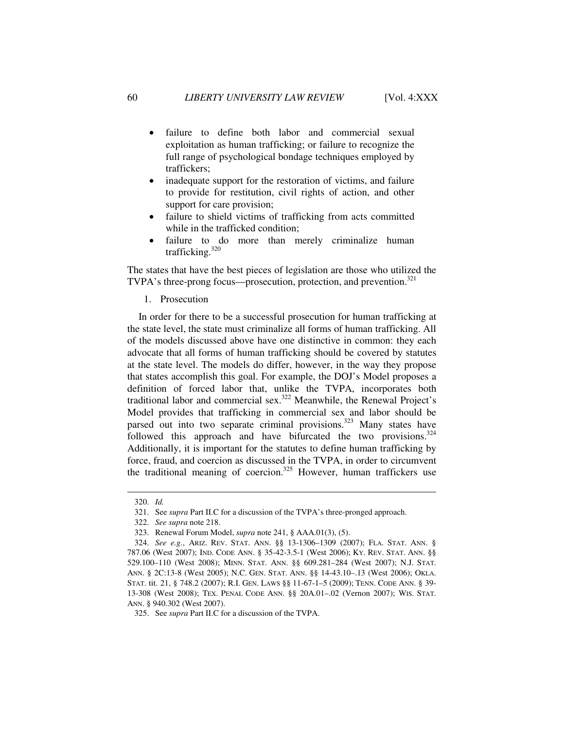- failure to define both labor and commercial sexual exploitation as human trafficking; or failure to recognize the full range of psychological bondage techniques employed by traffickers;
- inadequate support for the restoration of victims, and failure to provide for restitution, civil rights of action, and other support for care provision;
- failure to shield victims of trafficking from acts committed while in the trafficked condition;
- failure to do more than merely criminalize human trafficking.<sup>320</sup>

The states that have the best pieces of legislation are those who utilized the TVPA's three-prong focus—prosecution, protection, and prevention.<sup>321</sup>

1. Prosecution

In order for there to be a successful prosecution for human trafficking at the state level, the state must criminalize all forms of human trafficking. All of the models discussed above have one distinctive in common: they each advocate that all forms of human trafficking should be covered by statutes at the state level. The models do differ, however, in the way they propose that states accomplish this goal. For example, the DOJ's Model proposes a definition of forced labor that, unlike the TVPA, incorporates both traditional labor and commercial sex.<sup>322</sup> Meanwhile, the Renewal Project's Model provides that trafficking in commercial sex and labor should be parsed out into two separate criminal provisions.<sup>323</sup> Many states have followed this approach and have bifurcated the two provisions.  $324$ Additionally, it is important for the statutes to define human trafficking by force, fraud, and coercion as discussed in the TVPA, in order to circumvent the traditional meaning of coercion.<sup>325</sup> However, human traffickers use

 <sup>320.</sup> *Id.*

 <sup>321.</sup> See *supra* Part II.C for a discussion of the TVPA's three-pronged approach.

 <sup>322.</sup> *See supra* note 218.

 <sup>323.</sup> Renewal Forum Model, *supra* note 241, § AAA.01(3), (5).

 <sup>324.</sup> *See e.g.*, ARIZ. REV. STAT. ANN. §§ 13-1306–1309 (2007); FLA. STAT. ANN. § 787.06 (West 2007); IND. CODE ANN. § 35-42-3.5-1 (West 2006); KY. REV. STAT. ANN. §§ 529.100–110 (West 2008); MINN. STAT. ANN. §§ 609.281–284 (West 2007); N.J. STAT. ANN. § 2C:13-8 (West 2005); N.C. GEN. STAT. ANN. §§ 14-43.10–.13 (West 2006); OKLA. STAT. tit. 21, § 748.2 (2007); R.I. GEN. LAWS §§ 11-67-1–5 (2009); TENN. CODE ANN. § 39- 13-308 (West 2008); TEX. PENAL CODE ANN. §§ 20A.01–.02 (Vernon 2007); WIS. STAT. ANN. § 940.302 (West 2007).

 <sup>325.</sup> See *supra* Part II.C for a discussion of the TVPA.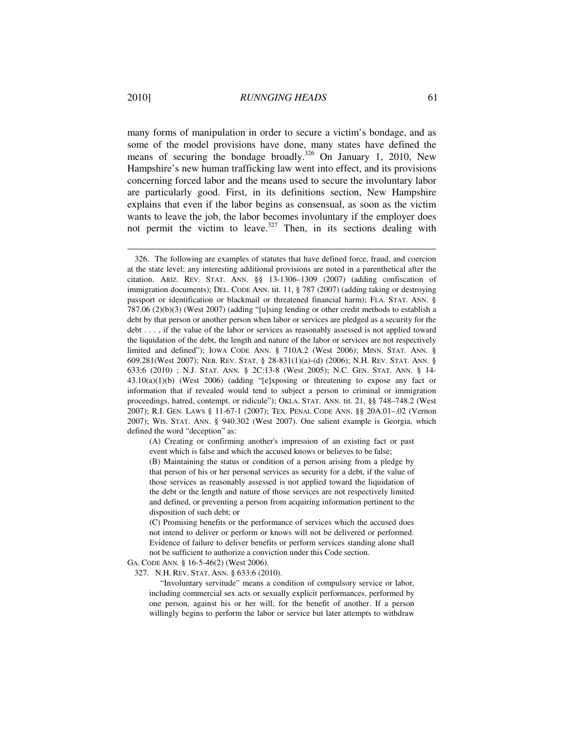many forms of manipulation in order to secure a victim's bondage, and as some of the model provisions have done, many states have defined the means of securing the bondage broadly.<sup>326</sup> On January 1, 2010, New Hampshire's new human trafficking law went into effect, and its provisions concerning forced labor and the means used to secure the involuntary labor are particularly good. First, in its definitions section, New Hampshire explains that even if the labor begins as consensual, as soon as the victim wants to leave the job, the labor becomes involuntary if the employer does not permit the victim to leave. $327$  Then, in its sections dealing with

(A) Creating or confirming another's impression of an existing fact or past event which is false and which the accused knows or believes to be false;

(B) Maintaining the status or condition of a person arising from a pledge by that person of his or her personal services as security for a debt, if the value of those services as reasonably assessed is not applied toward the liquidation of the debt or the length and nature of those services are not respectively limited and defined, or preventing a person from acquiring information pertinent to the disposition of such debt; or

(C) Promising benefits or the performance of services which the accused does not intend to deliver or perform or knows will not be delivered or performed. Evidence of failure to deliver benefits or perform services standing alone shall not be sufficient to authorize a conviction under this Code section.

GA. CODE ANN*.* § 16-5-46(2) (West 2006).

327. N.H. REV. STAT. ANN. § 633:6 (2010).

"Involuntary servitude" means a condition of compulsory service or labor, including commercial sex acts or sexually explicit performances, performed by one person, against his or her will, for the benefit of another. If a person willingly begins to perform the labor or service but later attempts to withdraw

 <sup>326.</sup> The following are examples of statutes that have defined force, fraud, and coercion at the state level; any interesting additional provisions are noted in a parenthetical after the citation. ARIZ. REV. STAT. ANN. §§ 13-1306–1309 (2007) (adding confiscation of immigration documents); DEL. CODE ANN. tit. 11, § 787 (2007) (adding taking or destroying passport or identification or blackmail or threatened financial harm); FLA. STAT. ANN. § 787.06 (2)(b)(3) (West 2007) (adding "[u]sing lending or other credit methods to establish a debt by that person or another person when labor or services are pledged as a security for the debt . . . , if the value of the labor or services as reasonably assessed is not applied toward the liquidation of the debt, the length and nature of the labor or services are not respectively limited and defined"); IOWA CODE ANN. § 710A.2 (West 2006); MINN. STAT. ANN. § 609.281(West 2007); NEB. REV. STAT. § 28-831(1)(a)-(d) (2006); N.H. REV. STAT. ANN. § 633:6 (2010) ; N.J. STAT. ANN. § 2C:13-8 (West 2005); N.C. GEN. STAT. ANN. § 14- 43.10(a)(1)(b) (West 2006) (adding "[e]xposing or threatening to expose any fact or information that if revealed would tend to subject a person to criminal or immigration proceedings, hatred, contempt, or ridicule"); OKLA. STAT. ANN. tit. 21, §§ 748–748.2 (West 2007); R.I. GEN. LAWS § 11-67-1 (2007); TEX. PENAL CODE ANN. §§ 20A.01–.02 (Vernon 2007); WIS. STAT. ANN. § 940.302 (West 2007). One salient example is Georgia, which defined the word "deception" as: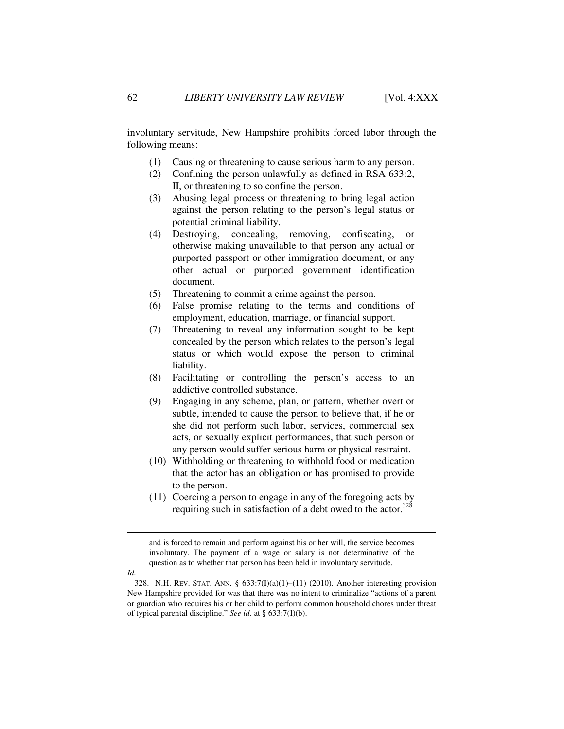involuntary servitude, New Hampshire prohibits forced labor through the following means:

- (1) Causing or threatening to cause serious harm to any person.
- (2) Confining the person unlawfully as defined in RSA 633:2, II, or threatening to so confine the person.
- (3) Abusing legal process or threatening to bring legal action against the person relating to the person's legal status or potential criminal liability.
- (4) Destroying, concealing, removing, confiscating, or otherwise making unavailable to that person any actual or purported passport or other immigration document, or any other actual or purported government identification document.
- (5) Threatening to commit a crime against the person.
- (6) False promise relating to the terms and conditions of employment, education, marriage, or financial support.
- (7) Threatening to reveal any information sought to be kept concealed by the person which relates to the person's legal status or which would expose the person to criminal liability.
- (8) Facilitating or controlling the person's access to an addictive controlled substance.
- (9) Engaging in any scheme, plan, or pattern, whether overt or subtle, intended to cause the person to believe that, if he or she did not perform such labor, services, commercial sex acts, or sexually explicit performances, that such person or any person would suffer serious harm or physical restraint.
- (10) Withholding or threatening to withhold food or medication that the actor has an obligation or has promised to provide to the person.
- (11) Coercing a person to engage in any of the foregoing acts by requiring such in satisfaction of a debt owed to the actor. $328$

and is forced to remain and perform against his or her will, the service becomes involuntary. The payment of a wage or salary is not determinative of the question as to whether that person has been held in involuntary servitude.

*Id.*

<sup>328.</sup> N.H. REV. STAT. ANN. §  $633:7(I)(a)(1)–(11)$  (2010). Another interesting provision New Hampshire provided for was that there was no intent to criminalize "actions of a parent or guardian who requires his or her child to perform common household chores under threat of typical parental discipline." *See id.* at § 633:7(I)(b).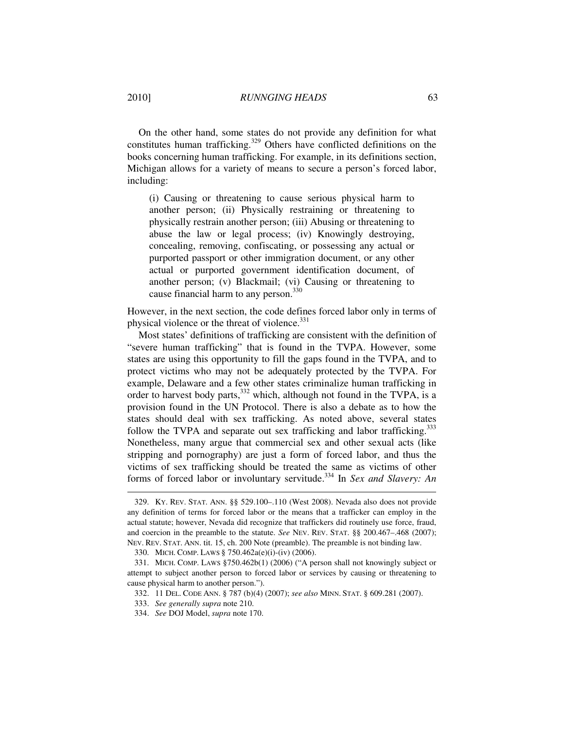On the other hand, some states do not provide any definition for what constitutes human trafficking.<sup>329</sup> Others have conflicted definitions on the books concerning human trafficking. For example, in its definitions section, Michigan allows for a variety of means to secure a person's forced labor, including:

(i) Causing or threatening to cause serious physical harm to another person; (ii) Physically restraining or threatening to physically restrain another person; (iii) Abusing or threatening to abuse the law or legal process; (iv) Knowingly destroying, concealing, removing, confiscating, or possessing any actual or purported passport or other immigration document, or any other actual or purported government identification document, of another person; (v) Blackmail; (vi) Causing or threatening to cause financial harm to any person.<sup>330</sup>

However, in the next section, the code defines forced labor only in terms of physical violence or the threat of violence.<sup>331</sup>

Most states' definitions of trafficking are consistent with the definition of "severe human trafficking" that is found in the TVPA. However, some states are using this opportunity to fill the gaps found in the TVPA, and to protect victims who may not be adequately protected by the TVPA. For example, Delaware and a few other states criminalize human trafficking in order to harvest body parts,  $332$  which, although not found in the TVPA, is a provision found in the UN Protocol. There is also a debate as to how the states should deal with sex trafficking. As noted above, several states follow the TVPA and separate out sex trafficking and labor trafficking.<sup>333</sup> Nonetheless, many argue that commercial sex and other sexual acts (like stripping and pornography) are just a form of forced labor, and thus the victims of sex trafficking should be treated the same as victims of other forms of forced labor or involuntary servitude.<sup>334</sup> In *Sex and Slavery: An* 

 <sup>329.</sup> KY. REV. STAT. ANN. §§ 529.100–.110 (West 2008). Nevada also does not provide any definition of terms for forced labor or the means that a trafficker can employ in the actual statute; however, Nevada did recognize that traffickers did routinely use force, fraud, and coercion in the preamble to the statute. *See* NEV. REV. STAT. §§ 200.467–.468 (2007); NEV. REV. STAT. ANN. tit. 15, ch. 200 Note (preamble). The preamble is not binding law.

 <sup>330.</sup> MICH. COMP. LAWS § 750.462a(e)(i)-(iv) (2006).

 <sup>331.</sup> MICH. COMP. LAWS §750.462b(1) (2006) ("A person shall not knowingly subject or attempt to subject another person to forced labor or services by causing or threatening to cause physical harm to another person.").

 <sup>332. 11</sup> DEL. CODE ANN. § 787 (b)(4) (2007); *see also* MINN. STAT. § 609.281 (2007).

 <sup>333.</sup> *See generally supra* note 210.

 <sup>334.</sup> *See* DOJ Model, *supra* note 170.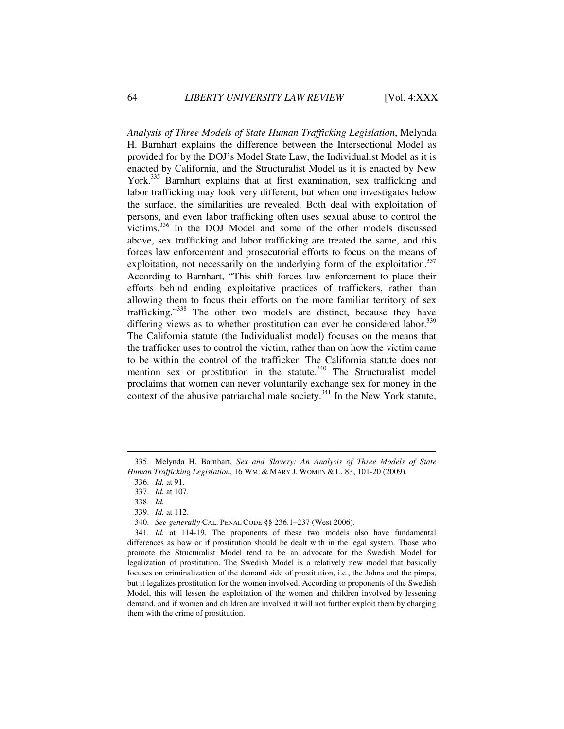*Analysis of Three Models of State Human Trafficking Legislation*, Melynda H. Barnhart explains the difference between the Intersectional Model as provided for by the DOJ's Model State Law, the Individualist Model as it is enacted by California, and the Structuralist Model as it is enacted by New York.<sup>335</sup> Barnhart explains that at first examination, sex trafficking and labor trafficking may look very different, but when one investigates below the surface, the similarities are revealed. Both deal with exploitation of persons, and even labor trafficking often uses sexual abuse to control the victims.<sup>336</sup> In the DOJ Model and some of the other models discussed above, sex trafficking and labor trafficking are treated the same, and this forces law enforcement and prosecutorial efforts to focus on the means of exploitation, not necessarily on the underlying form of the exploitation.<sup>337</sup> According to Barnhart, "This shift forces law enforcement to place their efforts behind ending exploitative practices of traffickers, rather than allowing them to focus their efforts on the more familiar territory of sex trafficking."<sup>338</sup> The other two models are distinct, because they have differing views as to whether prostitution can ever be considered labor.<sup>339</sup> The California statute (the Individualist model) focuses on the means that the trafficker uses to control the victim, rather than on how the victim came to be within the control of the trafficker. The California statute does not mention sex or prostitution in the statute. $340$  The Structuralist model proclaims that women can never voluntarily exchange sex for money in the context of the abusive patriarchal male society. $341$  In the New York statute,

 <sup>335.</sup> Melynda H. Barnhart, *Sex and Slavery: An Analysis of Three Models of State Human Trafficking Legislation*, 16 WM. & MARY J. WOMEN & L. 83, 101-20 (2009).

 <sup>336.</sup> *Id.* at 91.

 <sup>337.</sup> *Id.* at 107.

 <sup>338.</sup> *Id.*

 <sup>339.</sup> *Id.* at 112.

 <sup>340.</sup> *See generally* CAL. PENAL CODE §§ 236.1–237 (West 2006).

 <sup>341.</sup> *Id.* at 114-19. The proponents of these two models also have fundamental differences as how or if prostitution should be dealt with in the legal system. Those who promote the Structuralist Model tend to be an advocate for the Swedish Model for legalization of prostitution. The Swedish Model is a relatively new model that basically focuses on criminalization of the demand side of prostitution, i.e., the Johns and the pimps, but it legalizes prostitution for the women involved. According to proponents of the Swedish Model, this will lessen the exploitation of the women and children involved by lessening demand, and if women and children are involved it will not further exploit them by charging them with the crime of prostitution.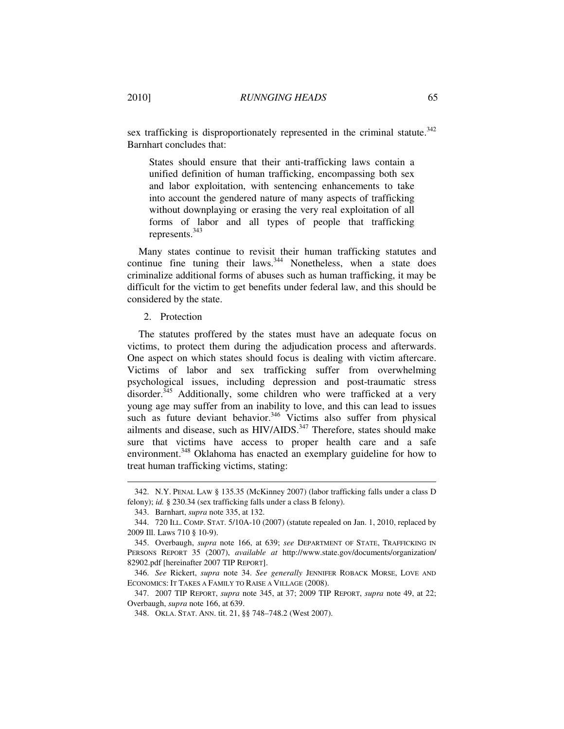sex trafficking is disproportionately represented in the criminal statute.<sup>342</sup>

Barnhart concludes that:

States should ensure that their anti-trafficking laws contain a unified definition of human trafficking, encompassing both sex and labor exploitation, with sentencing enhancements to take into account the gendered nature of many aspects of trafficking without downplaying or erasing the very real exploitation of all forms of labor and all types of people that trafficking represents.<sup>343</sup>

Many states continue to revisit their human trafficking statutes and continue fine tuning their laws.<sup>344</sup> Nonetheless, when a state does criminalize additional forms of abuses such as human trafficking, it may be difficult for the victim to get benefits under federal law, and this should be considered by the state.

2. Protection

The statutes proffered by the states must have an adequate focus on victims, to protect them during the adjudication process and afterwards. One aspect on which states should focus is dealing with victim aftercare. Victims of labor and sex trafficking suffer from overwhelming psychological issues, including depression and post-traumatic stress disorder.<sup>345</sup> Additionally, some children who were trafficked at a very young age may suffer from an inability to love, and this can lead to issues such as future deviant behavior.<sup>346</sup> Victims also suffer from physical ailments and disease, such as HIV/AIDS.<sup>347</sup> Therefore, states should make sure that victims have access to proper health care and a safe environment.<sup>348</sup> Oklahoma has enacted an exemplary guideline for how to treat human trafficking victims, stating:

 $\overline{a}$ 

 347. 2007 TIP REPORT, *supra* note 345, at 37; 2009 TIP REPORT, *supra* note 49, at 22; Overbaugh, *supra* note 166, at 639.

 <sup>342.</sup> N.Y. PENAL LAW § 135.35 (McKinney 2007) (labor trafficking falls under a class D felony); *id.* § 230.34 (sex trafficking falls under a class B felony).

 <sup>343.</sup> Barnhart, *supra* note 335, at 132.

 <sup>344. 720</sup> ILL. COMP. STAT. 5/10A-10 (2007) (statute repealed on Jan. 1, 2010, replaced by 2009 Ill. Laws 710 § 10-9).

 <sup>345.</sup> Overbaugh, *supra* note 166, at 639; *see* DEPARTMENT OF STATE, TRAFFICKING IN PERSONS REPORT 35 (2007), *available at* http://www.state.gov/documents/organization/ 82902.pdf [hereinafter 2007 TIP REPORT].

 <sup>346.</sup> *See* Rickert, *supra* note 34. *See generally* JENNIFER ROBACK MORSE, LOVE AND ECONOMICS: IT TAKES A FAMILY TO RAISE A VILLAGE (2008).

 <sup>348.</sup> OKLA. STAT. ANN. tit. 21, §§ 748–748.2 (West 2007).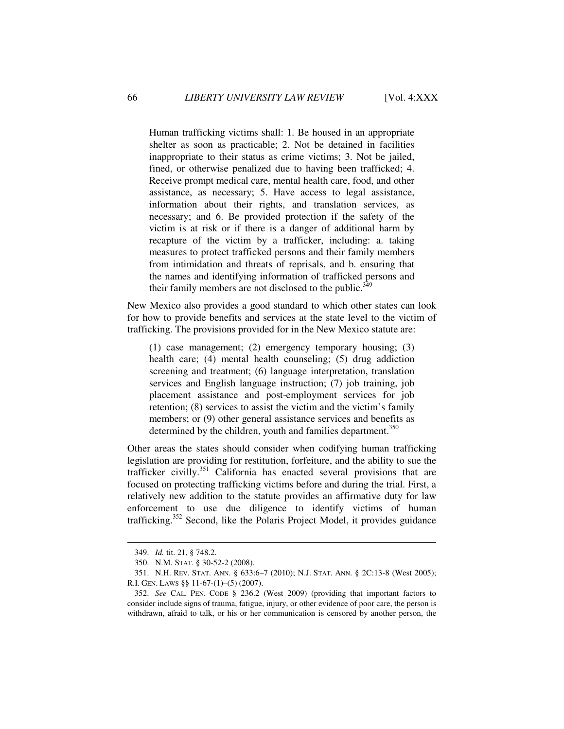Human trafficking victims shall: 1. Be housed in an appropriate shelter as soon as practicable; 2. Not be detained in facilities inappropriate to their status as crime victims; 3. Not be jailed, fined, or otherwise penalized due to having been trafficked; 4. Receive prompt medical care, mental health care, food, and other assistance, as necessary; 5. Have access to legal assistance, information about their rights, and translation services, as necessary; and 6. Be provided protection if the safety of the victim is at risk or if there is a danger of additional harm by recapture of the victim by a trafficker, including: a. taking measures to protect trafficked persons and their family members from intimidation and threats of reprisals, and b. ensuring that the names and identifying information of trafficked persons and their family members are not disclosed to the public.<sup>349</sup>

New Mexico also provides a good standard to which other states can look for how to provide benefits and services at the state level to the victim of trafficking. The provisions provided for in the New Mexico statute are:

(1) case management; (2) emergency temporary housing; (3) health care; (4) mental health counseling; (5) drug addiction screening and treatment; (6) language interpretation, translation services and English language instruction; (7) job training, job placement assistance and post-employment services for job retention; (8) services to assist the victim and the victim's family members; or (9) other general assistance services and benefits as determined by the children, youth and families department.<sup>350</sup>

Other areas the states should consider when codifying human trafficking legislation are providing for restitution, forfeiture, and the ability to sue the trafficker civilly.<sup>351</sup> California has enacted several provisions that are focused on protecting trafficking victims before and during the trial. First, a relatively new addition to the statute provides an affirmative duty for law enforcement to use due diligence to identify victims of human trafficking.<sup>352</sup> Second, like the Polaris Project Model, it provides guidance

 <sup>349.</sup> *Id.* tit. 21, § 748.2.

 <sup>350.</sup> N.M. STAT. § 30-52-2 (2008).

 <sup>351.</sup> N.H. REV. STAT. ANN. § 633:6–7 (2010); N.J. STAT. ANN. § 2C:13-8 (West 2005); R.I. GEN. LAWS §§ 11-67-(1)–(5) (2007).

 <sup>352.</sup> *See* CAL. PEN. CODE § 236.2 (West 2009) (providing that important factors to consider include signs of trauma, fatigue, injury, or other evidence of poor care, the person is withdrawn, afraid to talk, or his or her communication is censored by another person, the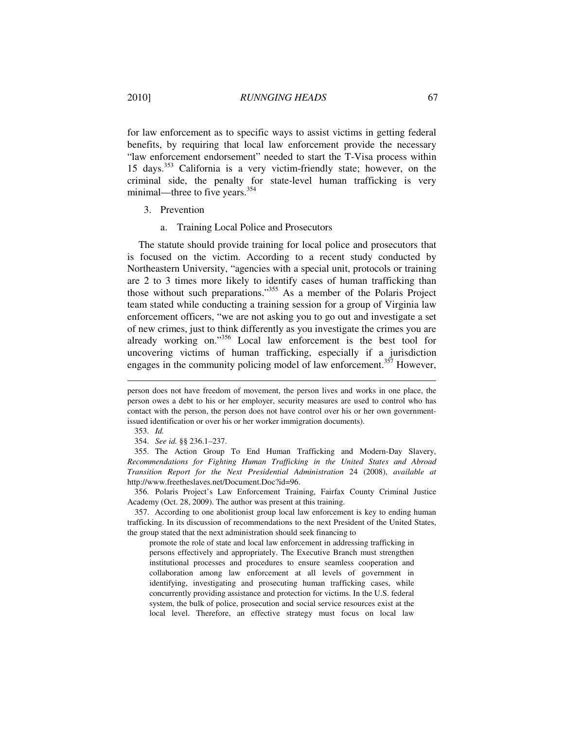for law enforcement as to specific ways to assist victims in getting federal benefits, by requiring that local law enforcement provide the necessary "law enforcement endorsement" needed to start the T-Visa process within 15 days.<sup>353</sup> California is a very victim-friendly state; however, on the criminal side, the penalty for state-level human trafficking is very minimal—three to five years.<sup>354</sup>

- 3. Prevention
	- a. Training Local Police and Prosecutors

The statute should provide training for local police and prosecutors that is focused on the victim. According to a recent study conducted by Northeastern University, "agencies with a special unit, protocols or training are 2 to 3 times more likely to identify cases of human trafficking than those without such preparations."<sup>355</sup> As a member of the Polaris Project team stated while conducting a training session for a group of Virginia law enforcement officers, "we are not asking you to go out and investigate a set of new crimes, just to think differently as you investigate the crimes you are already working on."<sup>356</sup> Local law enforcement is the best tool for uncovering victims of human trafficking, especially if a jurisdiction engages in the community policing model of law enforcement.<sup>357</sup> However,

person does not have freedom of movement, the person lives and works in one place, the person owes a debt to his or her employer, security measures are used to control who has contact with the person, the person does not have control over his or her own governmentissued identification or over his or her worker immigration documents).

 <sup>353.</sup> *Id.*

 <sup>354.</sup> *See id.* §§ 236.1–237.

 <sup>355.</sup> The Action Group To End Human Trafficking and Modern-Day Slavery, *Recommendations for Fighting Human Trafficking in the United States and Abroad Transition Report for the Next Presidential Administration* 24 (2008), *available at* http://www.freetheslaves.net/Document.Doc?id=96.

 <sup>356.</sup> Polaris Project's Law Enforcement Training, Fairfax County Criminal Justice Academy (Oct. 28, 2009). The author was present at this training.

 <sup>357.</sup> According to one abolitionist group local law enforcement is key to ending human trafficking. In its discussion of recommendations to the next President of the United States, the group stated that the next administration should seek financing to

promote the role of state and local law enforcement in addressing trafficking in persons effectively and appropriately. The Executive Branch must strengthen institutional processes and procedures to ensure seamless cooperation and collaboration among law enforcement at all levels of government in identifying, investigating and prosecuting human trafficking cases, while concurrently providing assistance and protection for victims. In the U.S. federal system, the bulk of police, prosecution and social service resources exist at the local level. Therefore, an effective strategy must focus on local law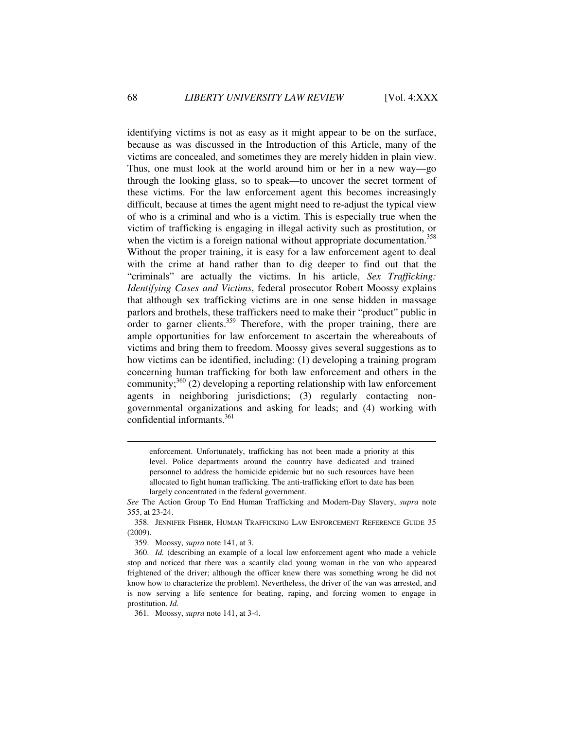identifying victims is not as easy as it might appear to be on the surface, because as was discussed in the Introduction of this Article, many of the victims are concealed, and sometimes they are merely hidden in plain view. Thus, one must look at the world around him or her in a new way—go through the looking glass, so to speak—to uncover the secret torment of these victims. For the law enforcement agent this becomes increasingly difficult, because at times the agent might need to re-adjust the typical view of who is a criminal and who is a victim. This is especially true when the victim of trafficking is engaging in illegal activity such as prostitution, or when the victim is a foreign national without appropriate documentation.<sup>358</sup> Without the proper training, it is easy for a law enforcement agent to deal with the crime at hand rather than to dig deeper to find out that the "criminals" are actually the victims. In his article, *Sex Trafficking: Identifying Cases and Victims*, federal prosecutor Robert Moossy explains that although sex trafficking victims are in one sense hidden in massage parlors and brothels, these traffickers need to make their "product" public in order to garner clients.<sup>359</sup> Therefore, with the proper training, there are ample opportunities for law enforcement to ascertain the whereabouts of victims and bring them to freedom. Moossy gives several suggestions as to how victims can be identified, including: (1) developing a training program concerning human trafficking for both law enforcement and others in the community; $360$  (2) developing a reporting relationship with law enforcement agents in neighboring jurisdictions; (3) regularly contacting nongovernmental organizations and asking for leads; and (4) working with confidential informants.<sup>361</sup>

enforcement. Unfortunately, trafficking has not been made a priority at this level. Police departments around the country have dedicated and trained personnel to address the homicide epidemic but no such resources have been allocated to fight human trafficking. The anti-trafficking effort to date has been largely concentrated in the federal government.

*See* The Action Group To End Human Trafficking and Modern-Day Slavery, *supra* note 355, at 23-24.

 <sup>358.</sup> JENNIFER FISHER, HUMAN TRAFFICKING LAW ENFORCEMENT REFERENCE GUIDE 35 (2009).

 <sup>359.</sup> Moossy, *supra* note 141, at 3.

 <sup>360.</sup> *Id.* (describing an example of a local law enforcement agent who made a vehicle stop and noticed that there was a scantily clad young woman in the van who appeared frightened of the driver; although the officer knew there was something wrong he did not know how to characterize the problem). Nevertheless, the driver of the van was arrested, and is now serving a life sentence for beating, raping, and forcing women to engage in prostitution. *Id.*

 <sup>361.</sup> Moossy, *supra* note 141, at 3-4.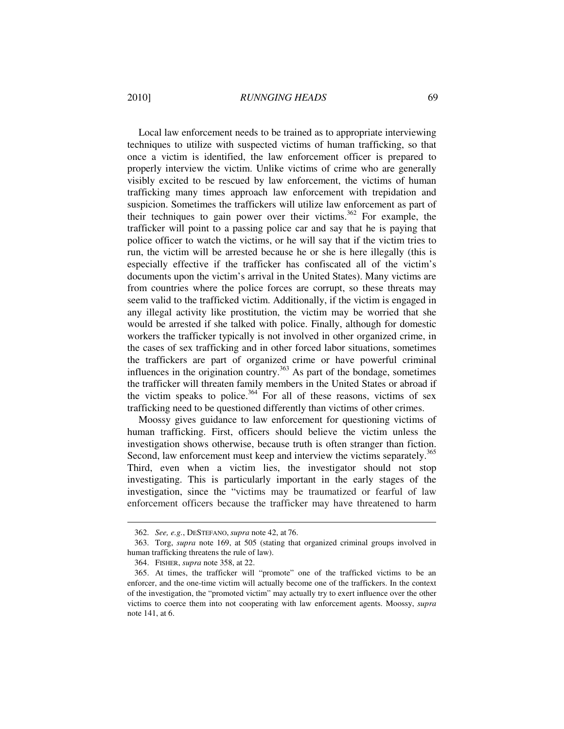Local law enforcement needs to be trained as to appropriate interviewing techniques to utilize with suspected victims of human trafficking, so that once a victim is identified, the law enforcement officer is prepared to properly interview the victim. Unlike victims of crime who are generally visibly excited to be rescued by law enforcement, the victims of human trafficking many times approach law enforcement with trepidation and suspicion. Sometimes the traffickers will utilize law enforcement as part of their techniques to gain power over their victims.<sup>362</sup> For example, the trafficker will point to a passing police car and say that he is paying that police officer to watch the victims, or he will say that if the victim tries to run, the victim will be arrested because he or she is here illegally (this is especially effective if the trafficker has confiscated all of the victim's documents upon the victim's arrival in the United States). Many victims are from countries where the police forces are corrupt, so these threats may seem valid to the trafficked victim. Additionally, if the victim is engaged in any illegal activity like prostitution, the victim may be worried that she would be arrested if she talked with police. Finally, although for domestic workers the trafficker typically is not involved in other organized crime, in the cases of sex trafficking and in other forced labor situations, sometimes the traffickers are part of organized crime or have powerful criminal influences in the origination country. $363$  As part of the bondage, sometimes the trafficker will threaten family members in the United States or abroad if the victim speaks to police.<sup>364</sup> For all of these reasons, victims of sex trafficking need to be questioned differently than victims of other crimes.

Moossy gives guidance to law enforcement for questioning victims of human trafficking. First, officers should believe the victim unless the investigation shows otherwise, because truth is often stranger than fiction. Second, law enforcement must keep and interview the victims separately.<sup>365</sup> Third, even when a victim lies, the investigator should not stop investigating. This is particularly important in the early stages of the investigation, since the "victims may be traumatized or fearful of law enforcement officers because the trafficker may have threatened to harm

 <sup>362.</sup> *See, e.g.*, DESTEFANO, *supra* note 42, at 76.

 <sup>363.</sup> Torg, *supra* note 169, at 505 (stating that organized criminal groups involved in human trafficking threatens the rule of law).

 <sup>364.</sup> FISHER, *supra* note 358, at 22.

 <sup>365.</sup> At times, the trafficker will "promote" one of the trafficked victims to be an enforcer, and the one-time victim will actually become one of the traffickers. In the context of the investigation, the "promoted victim" may actually try to exert influence over the other victims to coerce them into not cooperating with law enforcement agents. Moossy, *supra* note 141, at 6.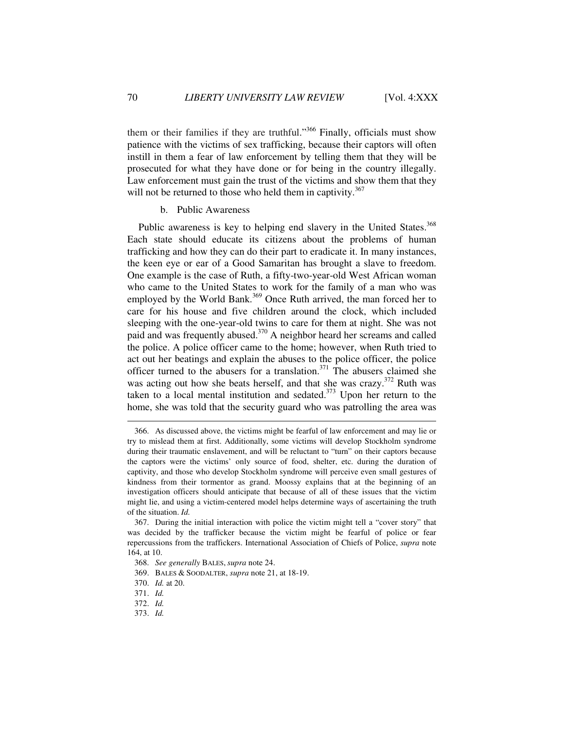them or their families if they are truthful."<sup>366</sup> Finally, officials must show patience with the victims of sex trafficking, because their captors will often instill in them a fear of law enforcement by telling them that they will be prosecuted for what they have done or for being in the country illegally. Law enforcement must gain the trust of the victims and show them that they will not be returned to those who held them in captivity.<sup>367</sup>

## b. Public Awareness

Public awareness is key to helping end slavery in the United States.<sup>368</sup> Each state should educate its citizens about the problems of human trafficking and how they can do their part to eradicate it. In many instances, the keen eye or ear of a Good Samaritan has brought a slave to freedom. One example is the case of Ruth, a fifty-two-year-old West African woman who came to the United States to work for the family of a man who was employed by the World Bank.<sup>369</sup> Once Ruth arrived, the man forced her to care for his house and five children around the clock, which included sleeping with the one-year-old twins to care for them at night. She was not paid and was frequently abused.<sup>370</sup> A neighbor heard her screams and called the police. A police officer came to the home; however, when Ruth tried to act out her beatings and explain the abuses to the police officer, the police officer turned to the abusers for a translation.<sup>371</sup> The abusers claimed she was acting out how she beats herself, and that she was crazy. $372$  Ruth was taken to a local mental institution and sedated. $373$  Upon her return to the home, she was told that the security guard who was patrolling the area was

 <sup>366.</sup> As discussed above, the victims might be fearful of law enforcement and may lie or try to mislead them at first. Additionally, some victims will develop Stockholm syndrome during their traumatic enslavement, and will be reluctant to "turn" on their captors because the captors were the victims' only source of food, shelter, etc. during the duration of captivity, and those who develop Stockholm syndrome will perceive even small gestures of kindness from their tormentor as grand. Moossy explains that at the beginning of an investigation officers should anticipate that because of all of these issues that the victim might lie, and using a victim-centered model helps determine ways of ascertaining the truth of the situation. *Id.*

 <sup>367.</sup> During the initial interaction with police the victim might tell a "cover story" that was decided by the trafficker because the victim might be fearful of police or fear repercussions from the traffickers. International Association of Chiefs of Police, *supra* note 164, at 10.

 <sup>368.</sup> *See generally* BALES, *supra* note 24.

 <sup>369.</sup> BALES & SOODALTER, *supra* note 21, at 18-19.

 <sup>370.</sup> *Id.* at 20.

 <sup>371.</sup> *Id.*

 <sup>372.</sup> *Id.*

 <sup>373.</sup> *Id.*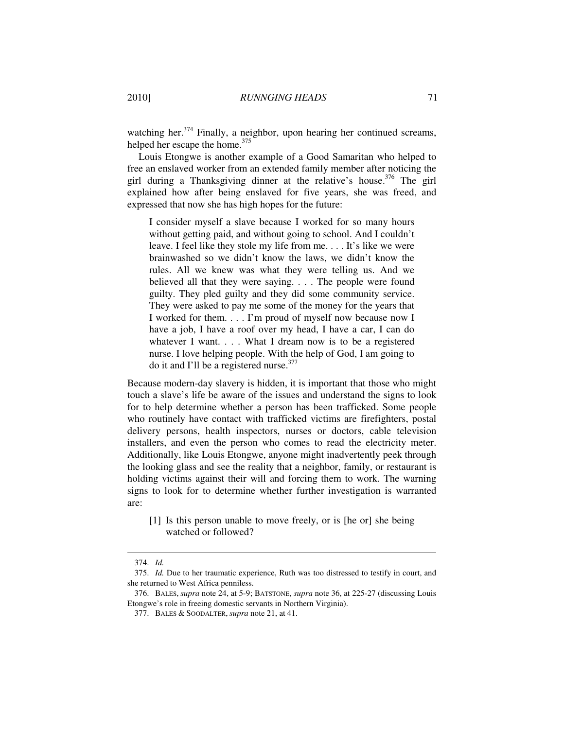watching her.<sup>374</sup> Finally, a neighbor, upon hearing her continued screams, helped her escape the home.<sup>375</sup>

Louis Etongwe is another example of a Good Samaritan who helped to free an enslaved worker from an extended family member after noticing the girl during a Thanksgiving dinner at the relative's house.<sup>376</sup> The girl explained how after being enslaved for five years, she was freed, and expressed that now she has high hopes for the future:

I consider myself a slave because I worked for so many hours without getting paid, and without going to school. And I couldn't leave. I feel like they stole my life from me. . . . It's like we were brainwashed so we didn't know the laws, we didn't know the rules. All we knew was what they were telling us. And we believed all that they were saying. . . . The people were found guilty. They pled guilty and they did some community service. They were asked to pay me some of the money for the years that I worked for them. . . . I'm proud of myself now because now I have a job, I have a roof over my head, I have a car, I can do whatever I want. . . . What I dream now is to be a registered nurse. I love helping people. With the help of God, I am going to do it and I'll be a registered nurse.<sup>377</sup>

Because modern-day slavery is hidden, it is important that those who might touch a slave's life be aware of the issues and understand the signs to look for to help determine whether a person has been trafficked. Some people who routinely have contact with trafficked victims are firefighters, postal delivery persons, health inspectors, nurses or doctors, cable television installers, and even the person who comes to read the electricity meter. Additionally, like Louis Etongwe, anyone might inadvertently peek through the looking glass and see the reality that a neighbor, family, or restaurant is holding victims against their will and forcing them to work. The warning signs to look for to determine whether further investigation is warranted are:

[1] Is this person unable to move freely, or is [he or] she being watched or followed?

 $\ddot{\phantom{a}}$ 

 <sup>374.</sup> *Id.*

 <sup>375.</sup> *Id.* Due to her traumatic experience, Ruth was too distressed to testify in court, and she returned to West Africa penniless.

 <sup>376.</sup> BALES, *supra* note 24, at 5-9; BATSTONE, *supra* note 36, at 225-27 (discussing Louis Etongwe's role in freeing domestic servants in Northern Virginia).

 <sup>377.</sup> BALES & SOODALTER, *supra* note 21, at 41.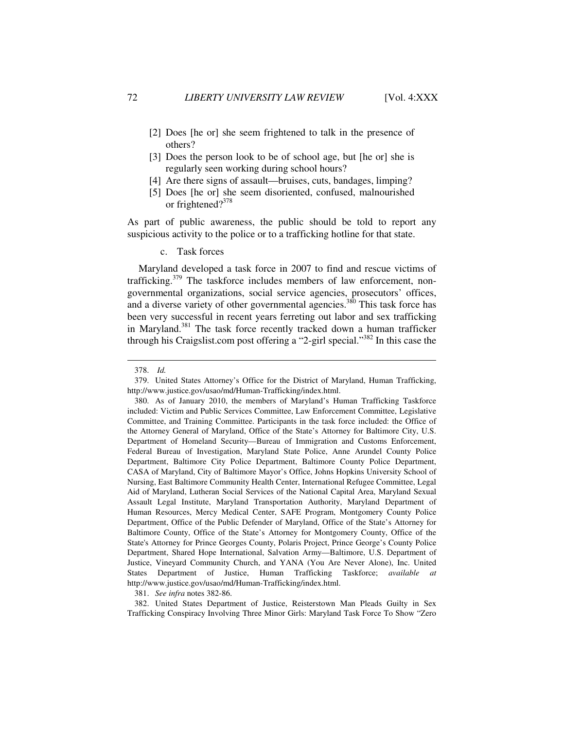- [2] Does [he or] she seem frightened to talk in the presence of others?
- [3] Does the person look to be of school age, but [he or] she is regularly seen working during school hours?
- [4] Are there signs of assault—bruises, cuts, bandages, limping?
- [5] Does [he or] she seem disoriented, confused, malnourished or frightened?<sup>378</sup>

As part of public awareness, the public should be told to report any suspicious activity to the police or to a trafficking hotline for that state.

c. Task forces

Maryland developed a task force in 2007 to find and rescue victims of trafficking. $379$  The taskforce includes members of law enforcement, nongovernmental organizations, social service agencies, prosecutors' offices, and a diverse variety of other governmental agencies.<sup>380</sup> This task force has been very successful in recent years ferreting out labor and sex trafficking in Maryland.<sup>381</sup> The task force recently tracked down a human trafficker through his Craigslist.com post offering a "2-girl special."<sup>382</sup> In this case the

 $\overline{a}$ 

381. *See infra* notes 382-86.

 382. United States Department of Justice, Reisterstown Man Pleads Guilty in Sex Trafficking Conspiracy Involving Three Minor Girls: Maryland Task Force To Show "Zero

 <sup>378.</sup> *Id.*

 <sup>379.</sup> United States Attorney's Office for the District of Maryland, Human Trafficking, http://www.justice.gov/usao/md/Human-Trafficking/index.html.

 <sup>380.</sup> As of January 2010, the members of Maryland's Human Trafficking Taskforce included: Victim and Public Services Committee, Law Enforcement Committee, Legislative Committee, and Training Committee. Participants in the task force included: the Office of the Attorney General of Maryland, Office of the State's Attorney for Baltimore City, U.S. Department of Homeland Security—Bureau of Immigration and Customs Enforcement, Federal Bureau of Investigation, Maryland State Police, Anne Arundel County Police Department, Baltimore City Police Department, Baltimore County Police Department, CASA of Maryland, City of Baltimore Mayor's Office, Johns Hopkins University School of Nursing, East Baltimore Community Health Center, International Refugee Committee, Legal Aid of Maryland, Lutheran Social Services of the National Capital Area, Maryland Sexual Assault Legal Institute, Maryland Transportation Authority, Maryland Department of Human Resources, Mercy Medical Center, SAFE Program, Montgomery County Police Department, Office of the Public Defender of Maryland, Office of the State's Attorney for Baltimore County, Office of the State's Attorney for Montgomery County, Office of the State's Attorney for Prince Georges County, Polaris Project, Prince George's County Police Department, Shared Hope International, Salvation Army—Baltimore, U.S. Department of Justice, Vineyard Community Church, and YANA (You Are Never Alone), Inc. United States Department of Justice, Human Trafficking Taskforce; *available at* http://www.justice.gov/usao/md/Human-Trafficking/index.html.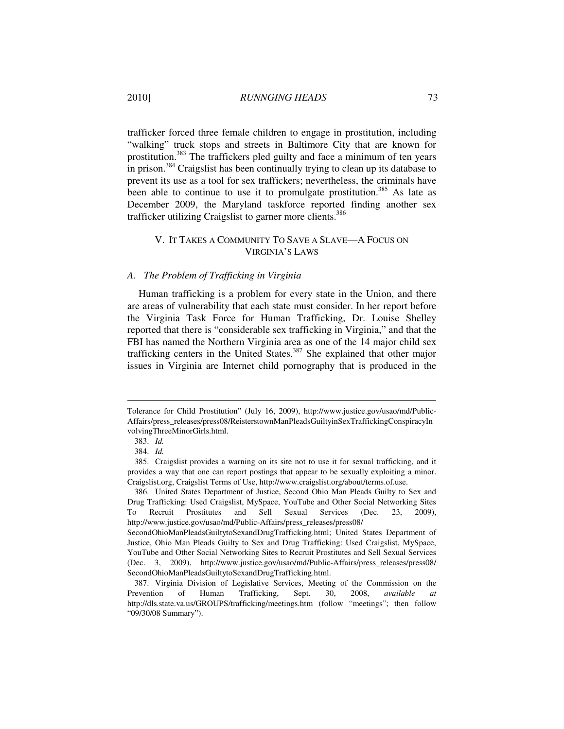trafficker forced three female children to engage in prostitution, including "walking" truck stops and streets in Baltimore City that are known for prostitution.<sup>383</sup> The traffickers pled guilty and face a minimum of ten years in prison.<sup>384</sup> Craigslist has been continually trying to clean up its database to prevent its use as a tool for sex traffickers; nevertheless, the criminals have been able to continue to use it to promulgate prostitution.<sup>385</sup> As late as December 2009, the Maryland taskforce reported finding another sex trafficker utilizing Craigslist to garner more clients.<sup>386</sup>

## V. IT TAKES A COMMUNITY TO SAVE A SLAVE—A FOCUS ON VIRGINIA'S LAWS

### *A. The Problem of Trafficking in Virginia*

Human trafficking is a problem for every state in the Union, and there are areas of vulnerability that each state must consider. In her report before the Virginia Task Force for Human Trafficking, Dr. Louise Shelley reported that there is "considerable sex trafficking in Virginia," and that the FBI has named the Northern Virginia area as one of the 14 major child sex trafficking centers in the United States.<sup>387</sup> She explained that other major issues in Virginia are Internet child pornography that is produced in the

Tolerance for Child Prostitution" (July 16, 2009), http://www.justice.gov/usao/md/Public-Affairs/press\_releases/press08/ReisterstownManPleadsGuiltyinSexTraffickingConspiracyIn volvingThreeMinorGirls.html.

 <sup>383.</sup> *Id.*

 <sup>384.</sup> *Id.*

 <sup>385.</sup> Craigslist provides a warning on its site not to use it for sexual trafficking, and it provides a way that one can report postings that appear to be sexually exploiting a minor. Craigslist.org, Craigslist Terms of Use, http://www.craigslist.org/about/terms.of.use.

 <sup>386.</sup> United States Department of Justice, Second Ohio Man Pleads Guilty to Sex and Drug Trafficking: Used Craigslist, MySpace, YouTube and Other Social Networking Sites To Recruit Prostitutes and Sell Sexual Services (Dec. 23, 2009), http://www.justice.gov/usao/md/Public-Affairs/press\_releases/press08/

SecondOhioManPleadsGuiltytoSexandDrugTrafficking.html; United States Department of Justice, Ohio Man Pleads Guilty to Sex and Drug Trafficking: Used Craigslist, MySpace, YouTube and Other Social Networking Sites to Recruit Prostitutes and Sell Sexual Services (Dec. 3, 2009), http://www.justice.gov/usao/md/Public-Affairs/press\_releases/press08/ SecondOhioManPleadsGuiltytoSexandDrugTrafficking.html.

 <sup>387.</sup> Virginia Division of Legislative Services, Meeting of the Commission on the Prevention of Human Trafficking, Sept. 30, 2008, *available at*  http://dls.state.va.us/GROUPS/trafficking/meetings.htm (follow "meetings"; then follow "09/30/08 Summary").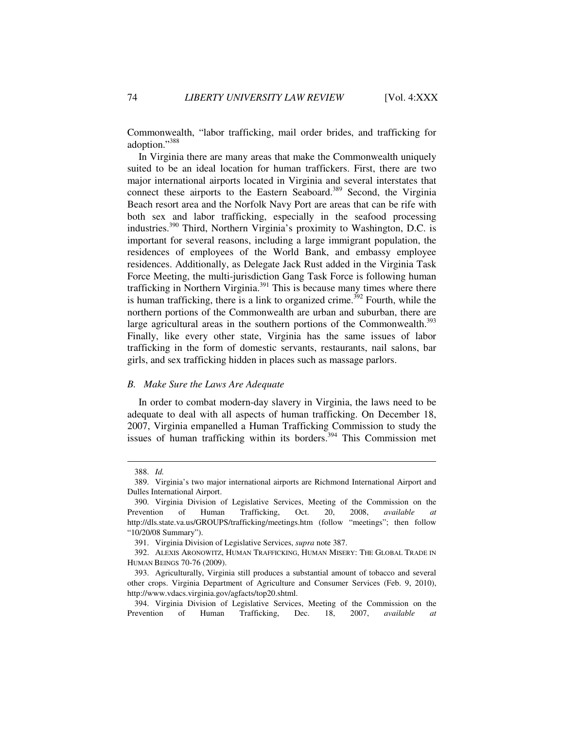Commonwealth, "labor trafficking, mail order brides, and trafficking for adoption."<sup>388</sup>

In Virginia there are many areas that make the Commonwealth uniquely suited to be an ideal location for human traffickers. First, there are two major international airports located in Virginia and several interstates that connect these airports to the Eastern Seaboard.<sup>389</sup> Second, the Virginia Beach resort area and the Norfolk Navy Port are areas that can be rife with both sex and labor trafficking, especially in the seafood processing industries.<sup>390</sup> Third, Northern Virginia's proximity to Washington, D.C. is important for several reasons, including a large immigrant population, the residences of employees of the World Bank, and embassy employee residences. Additionally, as Delegate Jack Rust added in the Virginia Task Force Meeting, the multi-jurisdiction Gang Task Force is following human trafficking in Northern Virginia.<sup>391</sup> This is because many times where there is human trafficking, there is a link to organized crime.<sup>392</sup> Fourth, while the northern portions of the Commonwealth are urban and suburban, there are large agricultural areas in the southern portions of the Commonwealth.<sup>393</sup> Finally, like every other state, Virginia has the same issues of labor trafficking in the form of domestic servants, restaurants, nail salons, bar girls, and sex trafficking hidden in places such as massage parlors.

### *B. Make Sure the Laws Are Adequate*

In order to combat modern-day slavery in Virginia, the laws need to be adequate to deal with all aspects of human trafficking. On December 18, 2007, Virginia empanelled a Human Trafficking Commission to study the issues of human trafficking within its borders.<sup>394</sup> This Commission met

 <sup>388.</sup> *Id.*

 <sup>389.</sup> Virginia's two major international airports are Richmond International Airport and Dulles International Airport.

 <sup>390.</sup> Virginia Division of Legislative Services, Meeting of the Commission on the Prevention of Human Trafficking, Oct. 20, 2008, *available at*  http://dls.state.va.us/GROUPS/trafficking/meetings.htm (follow "meetings"; then follow "10/20/08 Summary").

 <sup>391.</sup> Virginia Division of Legislative Services, *supra* note 387.

 <sup>392.</sup> ALEXIS ARONOWITZ, HUMAN TRAFFICKING, HUMAN MISERY: THE GLOBAL TRADE IN HUMAN BEINGS 70-76 (2009).

 <sup>393.</sup> Agriculturally, Virginia still produces a substantial amount of tobacco and several other crops. Virginia Department of Agriculture and Consumer Services (Feb. 9, 2010), http://www.vdacs.virginia.gov/agfacts/top20.shtml.

 <sup>394.</sup> Virginia Division of Legislative Services, Meeting of the Commission on the Prevention of Human Trafficking, Dec. 18, 2007, *available at*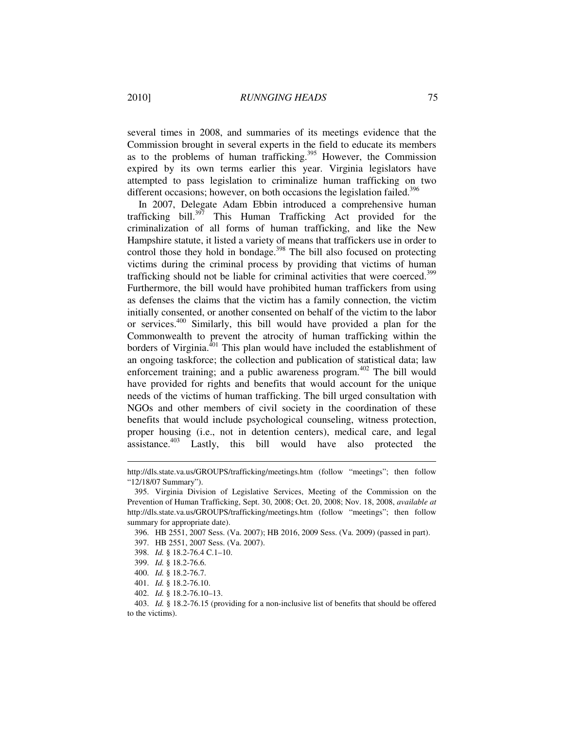several times in 2008, and summaries of its meetings evidence that the Commission brought in several experts in the field to educate its members as to the problems of human trafficking.<sup>395</sup> However, the Commission expired by its own terms earlier this year. Virginia legislators have attempted to pass legislation to criminalize human trafficking on two different occasions; however, on both occasions the legislation failed.<sup>396</sup>

In 2007, Delegate Adam Ebbin introduced a comprehensive human trafficking bill. $3^{57}$  This Human Trafficking Act provided for the criminalization of all forms of human trafficking, and like the New Hampshire statute, it listed a variety of means that traffickers use in order to control those they hold in bondage.<sup>398</sup> The bill also focused on protecting victims during the criminal process by providing that victims of human trafficking should not be liable for criminal activities that were coerced.<sup>399</sup> Furthermore, the bill would have prohibited human traffickers from using as defenses the claims that the victim has a family connection, the victim initially consented, or another consented on behalf of the victim to the labor or services.<sup>400</sup> Similarly, this bill would have provided a plan for the Commonwealth to prevent the atrocity of human trafficking within the borders of Virginia.<sup>401</sup> This plan would have included the establishment of an ongoing taskforce; the collection and publication of statistical data; law enforcement training; and a public awareness program.<sup>402</sup> The bill would have provided for rights and benefits that would account for the unique needs of the victims of human trafficking. The bill urged consultation with NGOs and other members of civil society in the coordination of these benefits that would include psychological counseling, witness protection, proper housing (i.e., not in detention centers), medical care, and legal assistance.<sup>403</sup> Lastly, this bill would have also protected the

- 398. *Id.* § 18.2-76.4 C.1–10.
- 399. *Id.* § 18.2-76.6.

http://dls.state.va.us/GROUPS/trafficking/meetings.htm (follow "meetings"; then follow "12/18/07 Summary").

 <sup>395.</sup> Virginia Division of Legislative Services, Meeting of the Commission on the Prevention of Human Trafficking, Sept. 30, 2008; Oct. 20, 2008; Nov. 18, 2008, *available at*  http://dls.state.va.us/GROUPS/trafficking/meetings.htm (follow "meetings"; then follow summary for appropriate date).

 <sup>396.</sup> HB 2551, 2007 Sess. (Va. 2007); HB 2016, 2009 Sess. (Va. 2009) (passed in part).

 <sup>397.</sup> HB 2551, 2007 Sess. (Va. 2007).

 <sup>400.</sup> *Id.* § 18.2-76.7.

 <sup>401.</sup> *Id.* § 18.2-76.10.

 <sup>402.</sup> *Id.* § 18.2-76.10–13.

 <sup>403.</sup> *Id.* § 18.2-76.15 (providing for a non-inclusive list of benefits that should be offered to the victims).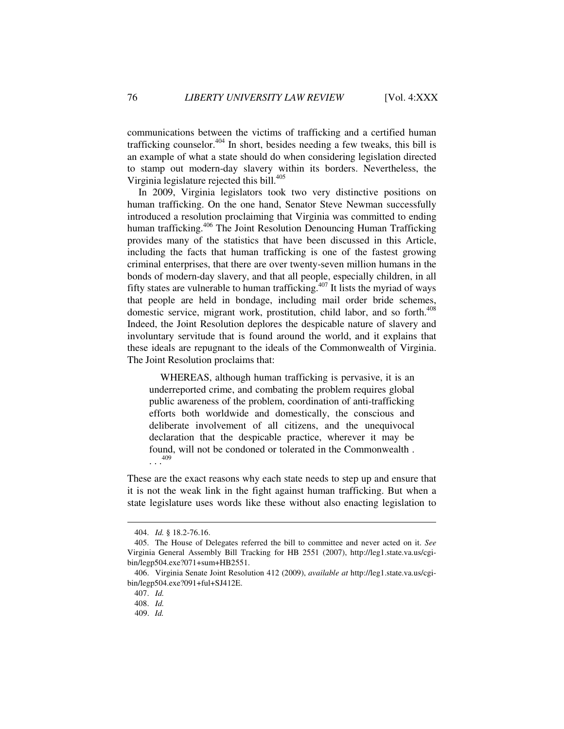communications between the victims of trafficking and a certified human trafficking counselor.<sup> $404$ </sup> In short, besides needing a few tweaks, this bill is an example of what a state should do when considering legislation directed to stamp out modern-day slavery within its borders. Nevertheless, the Virginia legislature rejected this bill.<sup>405</sup>

In 2009, Virginia legislators took two very distinctive positions on human trafficking. On the one hand, Senator Steve Newman successfully introduced a resolution proclaiming that Virginia was committed to ending human trafficking.<sup>406</sup> The Joint Resolution Denouncing Human Trafficking provides many of the statistics that have been discussed in this Article, including the facts that human trafficking is one of the fastest growing criminal enterprises, that there are over twenty-seven million humans in the bonds of modern-day slavery, and that all people, especially children, in all fifty states are vulnerable to human trafficking.<sup>407</sup> It lists the myriad of ways that people are held in bondage, including mail order bride schemes, domestic service, migrant work, prostitution, child labor, and so forth.<sup>408</sup> Indeed, the Joint Resolution deplores the despicable nature of slavery and involuntary servitude that is found around the world, and it explains that these ideals are repugnant to the ideals of the Commonwealth of Virginia. The Joint Resolution proclaims that:

WHEREAS, although human trafficking is pervasive, it is an underreported crime, and combating the problem requires global public awareness of the problem, coordination of anti-trafficking efforts both worldwide and domestically, the conscious and deliberate involvement of all citizens, and the unequivocal declaration that the despicable practice, wherever it may be found, will not be condoned or tolerated in the Commonwealth .  $\ldots$ <sup>409</sup>

These are the exact reasons why each state needs to step up and ensure that it is not the weak link in the fight against human trafficking. But when a state legislature uses words like these without also enacting legislation to

 <sup>404.</sup> *Id.* § 18.2-76.16.

 <sup>405.</sup> The House of Delegates referred the bill to committee and never acted on it. *See* Virginia General Assembly Bill Tracking for HB 2551 (2007), http://leg1.state.va.us/cgibin/legp504.exe?071+sum+HB2551.

 <sup>406.</sup> Virginia Senate Joint Resolution 412 (2009), *available at* http://leg1.state.va.us/cgibin/legp504.exe?091+ful+SJ412E.

 <sup>407.</sup> *Id.*

 <sup>408.</sup> *Id.*

 <sup>409.</sup> *Id.*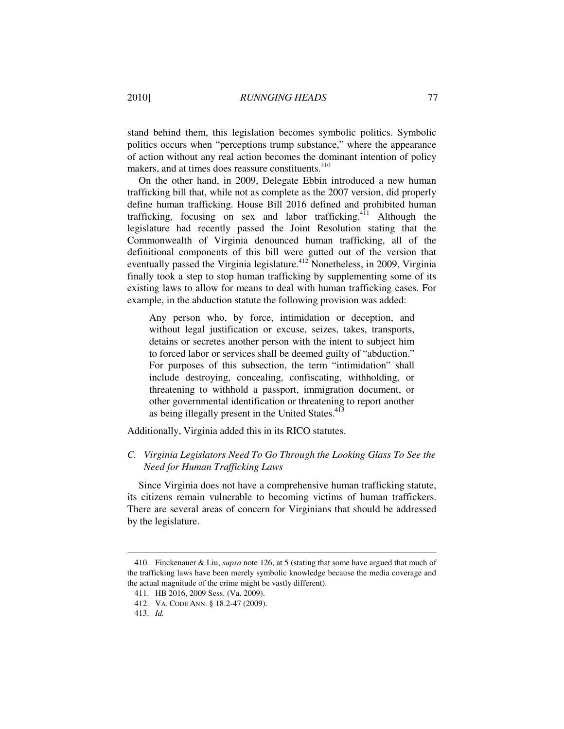stand behind them, this legislation becomes symbolic politics. Symbolic politics occurs when "perceptions trump substance," where the appearance of action without any real action becomes the dominant intention of policy makers, and at times does reassure constituents.<sup>410</sup>

On the other hand, in 2009, Delegate Ebbin introduced a new human trafficking bill that, while not as complete as the 2007 version, did properly define human trafficking. House Bill 2016 defined and prohibited human trafficking, focusing on sex and labor trafficking.<sup>411</sup> Although the legislature had recently passed the Joint Resolution stating that the Commonwealth of Virginia denounced human trafficking, all of the definitional components of this bill were gutted out of the version that eventually passed the Virginia legislature.<sup>412</sup> Nonetheless, in 2009, Virginia finally took a step to stop human trafficking by supplementing some of its existing laws to allow for means to deal with human trafficking cases. For example, in the abduction statute the following provision was added:

Any person who, by force, intimidation or deception, and without legal justification or excuse, seizes, takes, transports, detains or secretes another person with the intent to subject him to forced labor or services shall be deemed guilty of "abduction." For purposes of this subsection, the term "intimidation" shall include destroying, concealing, confiscating, withholding, or threatening to withhold a passport, immigration document, or other governmental identification or threatening to report another as being illegally present in the United States.<sup>413</sup>

Additionally, Virginia added this in its RICO statutes.

# *C. Virginia Legislators Need To Go Through the Looking Glass To See the Need for Human Trafficking Laws*

Since Virginia does not have a comprehensive human trafficking statute, its citizens remain vulnerable to becoming victims of human traffickers. There are several areas of concern for Virginians that should be addressed by the legislature.

 <sup>410.</sup> Finckenauer & Liu, *supra* note 126, at 5 (stating that some have argued that much of the trafficking laws have been merely symbolic knowledge because the media coverage and the actual magnitude of the crime might be vastly different).

 <sup>411.</sup> HB 2016, 2009 Sess. (Va. 2009).

 <sup>412.</sup> VA. CODE ANN. § 18.2-47 (2009).

 <sup>413.</sup> *Id.*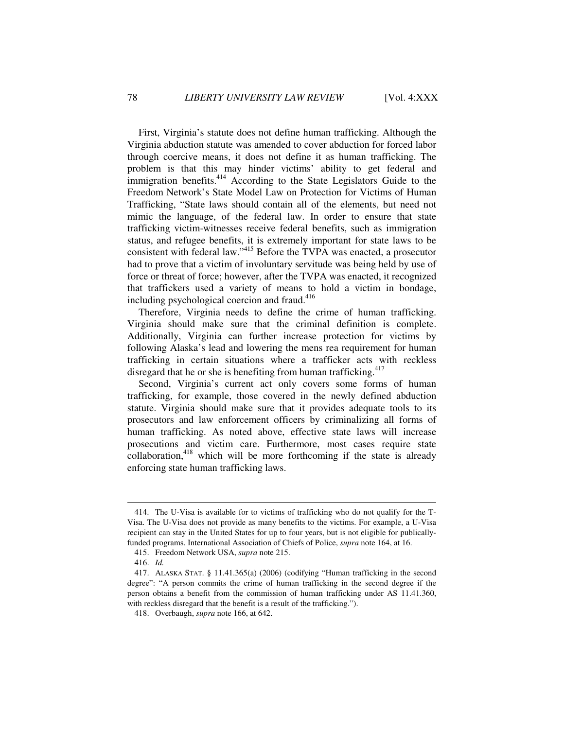First, Virginia's statute does not define human trafficking. Although the Virginia abduction statute was amended to cover abduction for forced labor through coercive means, it does not define it as human trafficking. The problem is that this may hinder victims' ability to get federal and immigration benefits.<sup>414</sup> According to the State Legislators Guide to the Freedom Network's State Model Law on Protection for Victims of Human Trafficking, "State laws should contain all of the elements, but need not mimic the language, of the federal law. In order to ensure that state trafficking victim-witnesses receive federal benefits, such as immigration status, and refugee benefits, it is extremely important for state laws to be consistent with federal law."<sup>415</sup> Before the TVPA was enacted, a prosecutor had to prove that a victim of involuntary servitude was being held by use of force or threat of force; however, after the TVPA was enacted, it recognized that traffickers used a variety of means to hold a victim in bondage, including psychological coercion and fraud.<sup>416</sup>

Therefore, Virginia needs to define the crime of human trafficking. Virginia should make sure that the criminal definition is complete. Additionally, Virginia can further increase protection for victims by following Alaska's lead and lowering the mens rea requirement for human trafficking in certain situations where a trafficker acts with reckless disregard that he or she is benefiting from human trafficking.<sup>417</sup>

Second, Virginia's current act only covers some forms of human trafficking, for example, those covered in the newly defined abduction statute. Virginia should make sure that it provides adequate tools to its prosecutors and law enforcement officers by criminalizing all forms of human trafficking. As noted above, effective state laws will increase prosecutions and victim care. Furthermore, most cases require state collaboration, $418$  which will be more forthcoming if the state is already enforcing state human trafficking laws.

 <sup>414.</sup> The U-Visa is available for to victims of trafficking who do not qualify for the T-Visa. The U-Visa does not provide as many benefits to the victims. For example, a U-Visa recipient can stay in the United States for up to four years, but is not eligible for publicallyfunded programs. International Association of Chiefs of Police, *supra* note 164, at 16.

 <sup>415.</sup> Freedom Network USA, *supra* note 215.

 <sup>416.</sup> *Id.*

 <sup>417.</sup> ALASKA STAT. § 11.41.365(a) (2006) (codifying "Human trafficking in the second degree": "A person commits the crime of human trafficking in the second degree if the person obtains a benefit from the commission of human trafficking under AS 11.41.360, with reckless disregard that the benefit is a result of the trafficking.").

 <sup>418.</sup> Overbaugh, *supra* note 166, at 642.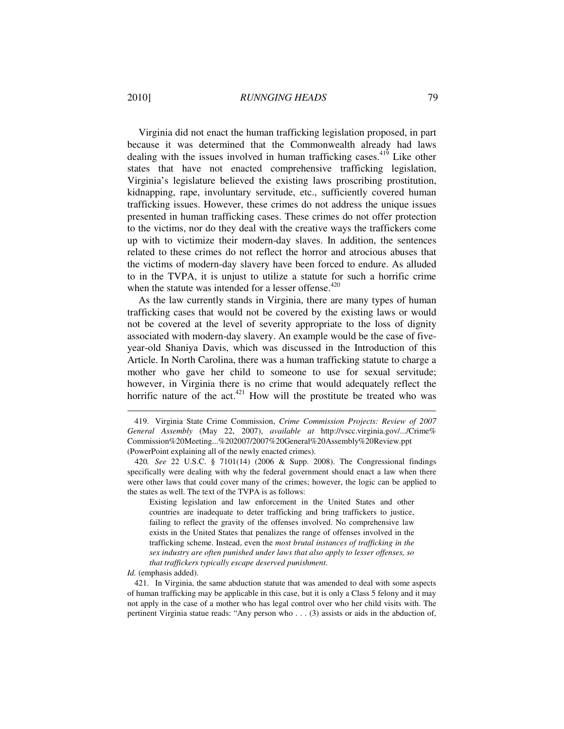Virginia did not enact the human trafficking legislation proposed, in part because it was determined that the Commonwealth already had laws dealing with the issues involved in human trafficking cases.<sup>419</sup> Like other states that have not enacted comprehensive trafficking legislation, Virginia's legislature believed the existing laws proscribing prostitution, kidnapping, rape, involuntary servitude, etc., sufficiently covered human trafficking issues. However, these crimes do not address the unique issues presented in human trafficking cases. These crimes do not offer protection to the victims, nor do they deal with the creative ways the traffickers come up with to victimize their modern-day slaves. In addition, the sentences related to these crimes do not reflect the horror and atrocious abuses that the victims of modern-day slavery have been forced to endure. As alluded to in the TVPA, it is unjust to utilize a statute for such a horrific crime when the statute was intended for a lesser offense. $420$ 

As the law currently stands in Virginia, there are many types of human trafficking cases that would not be covered by the existing laws or would not be covered at the level of severity appropriate to the loss of dignity associated with modern-day slavery. An example would be the case of fiveyear-old Shaniya Davis, which was discussed in the Introduction of this Article. In North Carolina, there was a human trafficking statute to charge a mother who gave her child to someone to use for sexual servitude; however, in Virginia there is no crime that would adequately reflect the horrific nature of the  $act^{421}$  How will the prostitute be treated who was

Existing legislation and law enforcement in the United States and other countries are inadequate to deter trafficking and bring traffickers to justice, failing to reflect the gravity of the offenses involved. No comprehensive law exists in the United States that penalizes the range of offenses involved in the trafficking scheme. Instead, even the *most brutal instances of trafficking in the sex industry are often punished under laws that also apply to lesser offenses, so that traffickers typically escape deserved punishment*.

*Id.* (emphasis added).

 $\overline{a}$ 

 421. In Virginia, the same abduction statute that was amended to deal with some aspects of human trafficking may be applicable in this case, but it is only a Class 5 felony and it may not apply in the case of a mother who has legal control over who her child visits with. The pertinent Virginia statue reads: "Any person who . . . (3) assists or aids in the abduction of,

 <sup>419.</sup> Virginia State Crime Commission, *Crime Commission Projects: Review of 2007 General Assembly* (May 22, 2007), *available at* http://vscc.virginia.gov/.../Crime% Commission%20Meeting...%202007/2007%20General%20Assembly%20Review.ppt (PowerPoint explaining all of the newly enacted crimes).

<sup>420</sup>*. See* 22 U.S.C. § 7101(14) (2006 & Supp. 2008). The Congressional findings specifically were dealing with why the federal government should enact a law when there were other laws that could cover many of the crimes; however, the logic can be applied to the states as well. The text of the TVPA is as follows: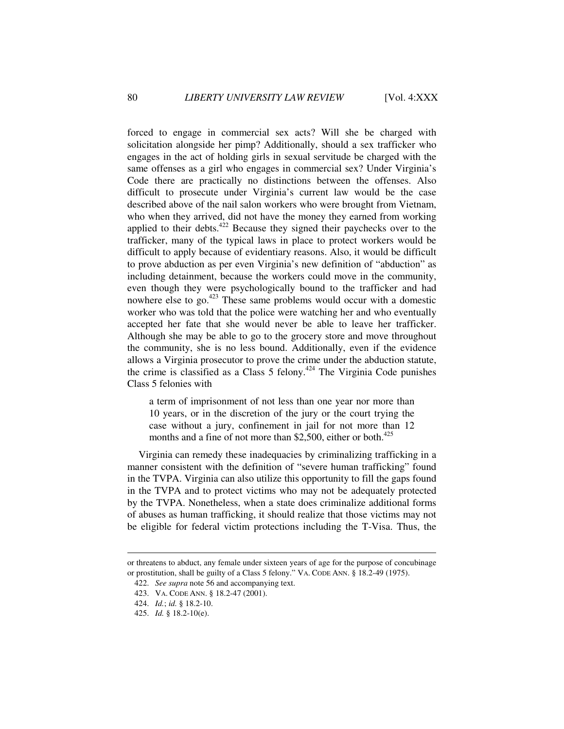forced to engage in commercial sex acts? Will she be charged with solicitation alongside her pimp? Additionally, should a sex trafficker who engages in the act of holding girls in sexual servitude be charged with the same offenses as a girl who engages in commercial sex? Under Virginia's Code there are practically no distinctions between the offenses. Also difficult to prosecute under Virginia's current law would be the case described above of the nail salon workers who were brought from Vietnam, who when they arrived, did not have the money they earned from working applied to their debts. $422$  Because they signed their paychecks over to the trafficker, many of the typical laws in place to protect workers would be difficult to apply because of evidentiary reasons. Also, it would be difficult to prove abduction as per even Virginia's new definition of "abduction" as including detainment, because the workers could move in the community, even though they were psychologically bound to the trafficker and had nowhere else to go.<sup>423</sup> These same problems would occur with a domestic worker who was told that the police were watching her and who eventually accepted her fate that she would never be able to leave her trafficker. Although she may be able to go to the grocery store and move throughout the community, she is no less bound. Additionally, even if the evidence allows a Virginia prosecutor to prove the crime under the abduction statute, the crime is classified as a Class 5 felony.<sup> $424$ </sup> The Virginia Code punishes Class 5 felonies with

a term of imprisonment of not less than one year nor more than 10 years, or in the discretion of the jury or the court trying the case without a jury, confinement in jail for not more than 12 months and a fine of not more than \$2,500, either or both. $425$ 

Virginia can remedy these inadequacies by criminalizing trafficking in a manner consistent with the definition of "severe human trafficking" found in the TVPA. Virginia can also utilize this opportunity to fill the gaps found in the TVPA and to protect victims who may not be adequately protected by the TVPA. Nonetheless, when a state does criminalize additional forms of abuses as human trafficking, it should realize that those victims may not be eligible for federal victim protections including the T-Visa. Thus, the

or threatens to abduct, any female under sixteen years of age for the purpose of concubinage or prostitution, shall be guilty of a Class 5 felony." VA. CODE ANN. § 18.2-49 (1975).

 <sup>422.</sup> *See supra* note 56 and accompanying text.

 <sup>423.</sup> VA. CODE ANN. § 18.2-47 (2001).

 <sup>424.</sup> *Id.*; *id.* § 18.2-10.

 <sup>425.</sup> *Id.* § 18.2-10(e).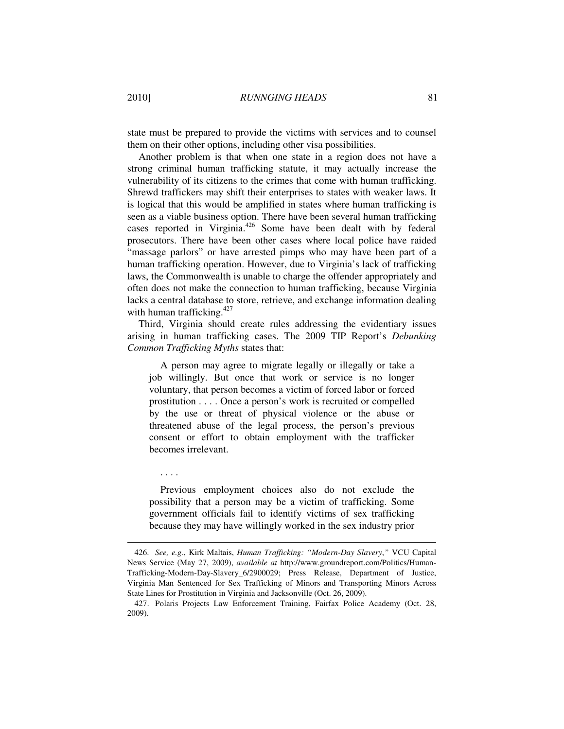state must be prepared to provide the victims with services and to counsel them on their other options, including other visa possibilities.

Another problem is that when one state in a region does not have a strong criminal human trafficking statute, it may actually increase the vulnerability of its citizens to the crimes that come with human trafficking. Shrewd traffickers may shift their enterprises to states with weaker laws. It is logical that this would be amplified in states where human trafficking is seen as a viable business option. There have been several human trafficking cases reported in Virginia.<sup>426</sup> Some have been dealt with by federal prosecutors. There have been other cases where local police have raided "massage parlors" or have arrested pimps who may have been part of a human trafficking operation. However, due to Virginia's lack of trafficking laws, the Commonwealth is unable to charge the offender appropriately and often does not make the connection to human trafficking, because Virginia lacks a central database to store, retrieve, and exchange information dealing with human trafficking.<sup>427</sup>

Third, Virginia should create rules addressing the evidentiary issues arising in human trafficking cases. The 2009 TIP Report's *Debunking Common Trafficking Myths* states that:

A person may agree to migrate legally or illegally or take a job willingly. But once that work or service is no longer voluntary, that person becomes a victim of forced labor or forced prostitution . . . . Once a person's work is recruited or compelled by the use or threat of physical violence or the abuse or threatened abuse of the legal process, the person's previous consent or effort to obtain employment with the trafficker becomes irrelevant.

Previous employment choices also do not exclude the possibility that a person may be a victim of trafficking. Some government officials fail to identify victims of sex trafficking because they may have willingly worked in the sex industry prior

. . . .

 <sup>426.</sup> *See, e.g.*, Kirk Maltais, *Human Trafficking: "Modern-Day Slavery*,*"* VCU Capital News Service (May 27, 2009), *available at* http://www.groundreport.com/Politics/Human-Trafficking-Modern-Day-Slavery\_6/2900029; Press Release, Department of Justice, Virginia Man Sentenced for Sex Trafficking of Minors and Transporting Minors Across State Lines for Prostitution in Virginia and Jacksonville (Oct. 26, 2009).

 <sup>427.</sup> Polaris Projects Law Enforcement Training, Fairfax Police Academy (Oct. 28, 2009).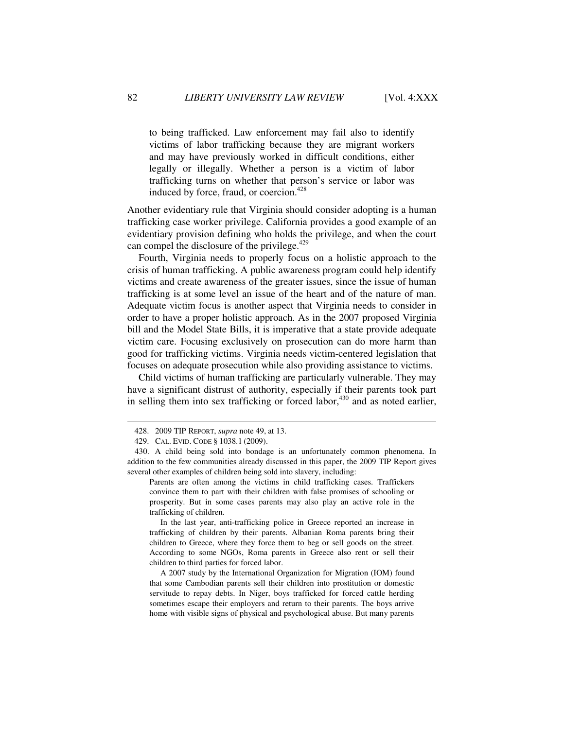to being trafficked. Law enforcement may fail also to identify victims of labor trafficking because they are migrant workers and may have previously worked in difficult conditions, either legally or illegally. Whether a person is a victim of labor trafficking turns on whether that person's service or labor was induced by force, fraud, or coercion.<sup>428</sup>

Another evidentiary rule that Virginia should consider adopting is a human trafficking case worker privilege. California provides a good example of an evidentiary provision defining who holds the privilege, and when the court can compel the disclosure of the privilege.<sup>429</sup>

Fourth, Virginia needs to properly focus on a holistic approach to the crisis of human trafficking. A public awareness program could help identify victims and create awareness of the greater issues, since the issue of human trafficking is at some level an issue of the heart and of the nature of man. Adequate victim focus is another aspect that Virginia needs to consider in order to have a proper holistic approach. As in the 2007 proposed Virginia bill and the Model State Bills, it is imperative that a state provide adequate victim care. Focusing exclusively on prosecution can do more harm than good for trafficking victims. Virginia needs victim-centered legislation that focuses on adequate prosecution while also providing assistance to victims.

Child victims of human trafficking are particularly vulnerable. They may have a significant distrust of authority, especially if their parents took part in selling them into sex trafficking or forced labor,<sup>430</sup> and as noted earlier,

Parents are often among the victims in child trafficking cases. Traffickers convince them to part with their children with false promises of schooling or prosperity. But in some cases parents may also play an active role in the trafficking of children.

 In the last year, anti-trafficking police in Greece reported an increase in trafficking of children by their parents. Albanian Roma parents bring their children to Greece, where they force them to beg or sell goods on the street. According to some NGOs, Roma parents in Greece also rent or sell their children to third parties for forced labor.

 A 2007 study by the International Organization for Migration (IOM) found that some Cambodian parents sell their children into prostitution or domestic servitude to repay debts. In Niger, boys trafficked for forced cattle herding sometimes escape their employers and return to their parents. The boys arrive home with visible signs of physical and psychological abuse. But many parents

 <sup>428. 2009</sup> TIP REPORT, *supra* note 49, at 13.

 <sup>429.</sup> CAL. EVID. CODE § 1038.1 (2009).

 <sup>430.</sup> A child being sold into bondage is an unfortunately common phenomena. In addition to the few communities already discussed in this paper, the 2009 TIP Report gives several other examples of children being sold into slavery, including: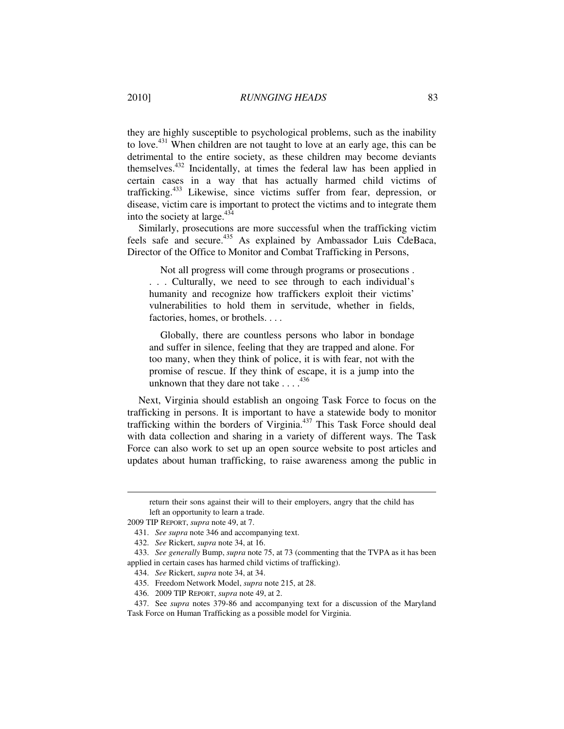they are highly susceptible to psychological problems, such as the inability to love.<sup>431</sup> When children are not taught to love at an early age, this can be detrimental to the entire society, as these children may become deviants themselves.<sup>432</sup> Incidentally, at times the federal law has been applied in certain cases in a way that has actually harmed child victims of trafficking.<sup>433</sup> Likewise, since victims suffer from fear, depression, or disease, victim care is important to protect the victims and to integrate them into the society at large. $434$ 

Similarly, prosecutions are more successful when the trafficking victim feels safe and secure.<sup>435</sup> As explained by Ambassador Luis CdeBaca, Director of the Office to Monitor and Combat Trafficking in Persons,

Not all progress will come through programs or prosecutions .

. . . Culturally, we need to see through to each individual's humanity and recognize how traffickers exploit their victims' vulnerabilities to hold them in servitude, whether in fields, factories, homes, or brothels. . . .

Globally, there are countless persons who labor in bondage and suffer in silence, feeling that they are trapped and alone. For too many, when they think of police, it is with fear, not with the promise of rescue. If they think of escape, it is a jump into the unknown that they dare not take  $\ldots$ .<sup>436</sup>

Next, Virginia should establish an ongoing Task Force to focus on the trafficking in persons. It is important to have a statewide body to monitor trafficking within the borders of Virginia. $437$  This Task Force should deal with data collection and sharing in a variety of different ways. The Task Force can also work to set up an open source website to post articles and updates about human trafficking, to raise awareness among the public in

return their sons against their will to their employers, angry that the child has left an opportunity to learn a trade.

<sup>2009</sup> TIP REPORT, *supra* note 49, at 7.

 <sup>431.</sup> *See supra* note 346 and accompanying text.

 <sup>432.</sup> *See* Rickert, *supra* note 34, at 16.

 <sup>433.</sup> *See generally* Bump, *supra* note 75, at 73 (commenting that the TVPA as it has been applied in certain cases has harmed child victims of trafficking).

 <sup>434.</sup> *See* Rickert, *supra* note 34, at 34.

 <sup>435.</sup> Freedom Network Model, *supra* note 215, at 28.

 <sup>436. 2009</sup> TIP REPORT, *supra* note 49, at 2.

 <sup>437.</sup> See *supra* notes 379-86 and accompanying text for a discussion of the Maryland Task Force on Human Trafficking as a possible model for Virginia.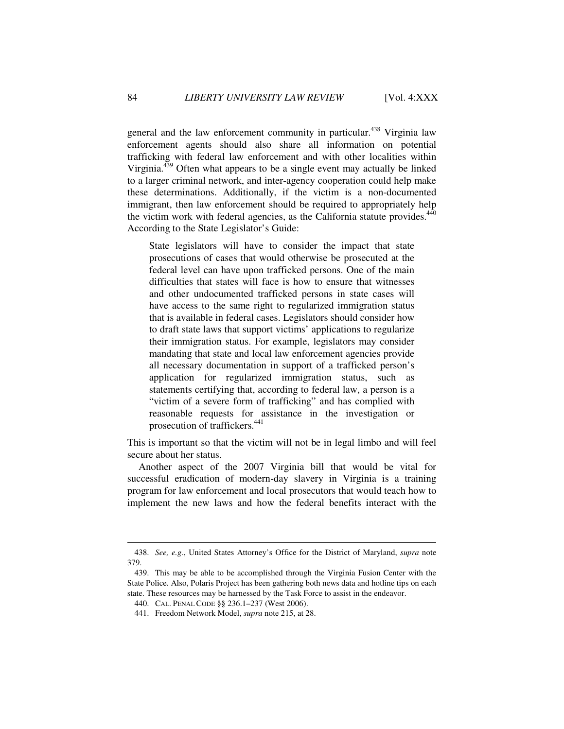general and the law enforcement community in particular.<sup>438</sup> Virginia law enforcement agents should also share all information on potential trafficking with federal law enforcement and with other localities within Virginia. $439$  Often what appears to be a single event may actually be linked to a larger criminal network, and inter-agency cooperation could help make these determinations. Additionally, if the victim is a non-documented immigrant, then law enforcement should be required to appropriately help the victim work with federal agencies, as the California statute provides.<sup>440</sup> According to the State Legislator's Guide:

State legislators will have to consider the impact that state prosecutions of cases that would otherwise be prosecuted at the federal level can have upon trafficked persons. One of the main difficulties that states will face is how to ensure that witnesses and other undocumented trafficked persons in state cases will have access to the same right to regularized immigration status that is available in federal cases. Legislators should consider how to draft state laws that support victims' applications to regularize their immigration status. For example, legislators may consider mandating that state and local law enforcement agencies provide all necessary documentation in support of a trafficked person's application for regularized immigration status, such as statements certifying that, according to federal law, a person is a "victim of a severe form of trafficking" and has complied with reasonable requests for assistance in the investigation or prosecution of traffickers.<sup>441</sup>

This is important so that the victim will not be in legal limbo and will feel secure about her status.

Another aspect of the 2007 Virginia bill that would be vital for successful eradication of modern-day slavery in Virginia is a training program for law enforcement and local prosecutors that would teach how to implement the new laws and how the federal benefits interact with the

 <sup>438.</sup> *See, e.g.*, United States Attorney's Office for the District of Maryland, *supra* note 379.

 <sup>439.</sup> This may be able to be accomplished through the Virginia Fusion Center with the State Police. Also, Polaris Project has been gathering both news data and hotline tips on each state. These resources may be harnessed by the Task Force to assist in the endeavor.

 <sup>440.</sup> CAL. PENAL CODE §§ 236.1–237 (West 2006).

 <sup>441.</sup> Freedom Network Model, *supra* note 215, at 28.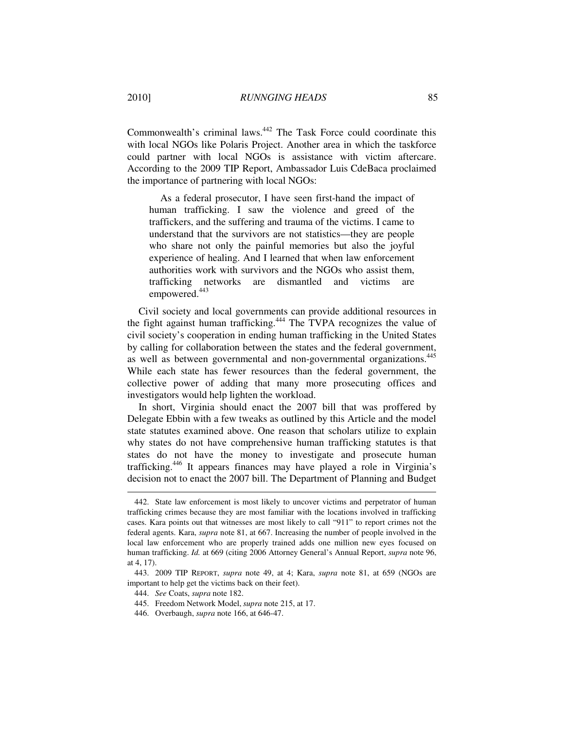Commonwealth's criminal laws.<sup>442</sup> The Task Force could coordinate this with local NGOs like Polaris Project. Another area in which the taskforce could partner with local NGOs is assistance with victim aftercare. According to the 2009 TIP Report, Ambassador Luis CdeBaca proclaimed the importance of partnering with local NGOs:

As a federal prosecutor, I have seen first-hand the impact of human trafficking. I saw the violence and greed of the traffickers, and the suffering and trauma of the victims. I came to understand that the survivors are not statistics—they are people who share not only the painful memories but also the joyful experience of healing. And I learned that when law enforcement authorities work with survivors and the NGOs who assist them, trafficking networks are dismantled and victims are empowered.<sup>443</sup>

Civil society and local governments can provide additional resources in the fight against human trafficking.<sup>444</sup> The TVPA recognizes the value of civil society's cooperation in ending human trafficking in the United States by calling for collaboration between the states and the federal government, as well as between governmental and non-governmental organizations.<sup>445</sup> While each state has fewer resources than the federal government, the collective power of adding that many more prosecuting offices and investigators would help lighten the workload.

In short, Virginia should enact the 2007 bill that was proffered by Delegate Ebbin with a few tweaks as outlined by this Article and the model state statutes examined above. One reason that scholars utilize to explain why states do not have comprehensive human trafficking statutes is that states do not have the money to investigate and prosecute human trafficking.<sup>446</sup> It appears finances may have played a role in Virginia's decision not to enact the 2007 bill. The Department of Planning and Budget

 <sup>442.</sup> State law enforcement is most likely to uncover victims and perpetrator of human trafficking crimes because they are most familiar with the locations involved in trafficking cases. Kara points out that witnesses are most likely to call "911" to report crimes not the federal agents. Kara, *supra* note 81, at 667. Increasing the number of people involved in the local law enforcement who are properly trained adds one million new eyes focused on human trafficking. *Id.* at 669 (citing 2006 Attorney General's Annual Report, *supra* note 96, at 4, 17).

 <sup>443. 2009</sup> TIP REPORT, *supra* note 49, at 4; Kara, *supra* note 81, at 659 (NGOs are important to help get the victims back on their feet).

 <sup>444.</sup> *See* Coats, *supra* note 182.

 <sup>445.</sup> Freedom Network Model, *supra* note 215, at 17.

 <sup>446.</sup> Overbaugh, *supra* note 166, at 646-47.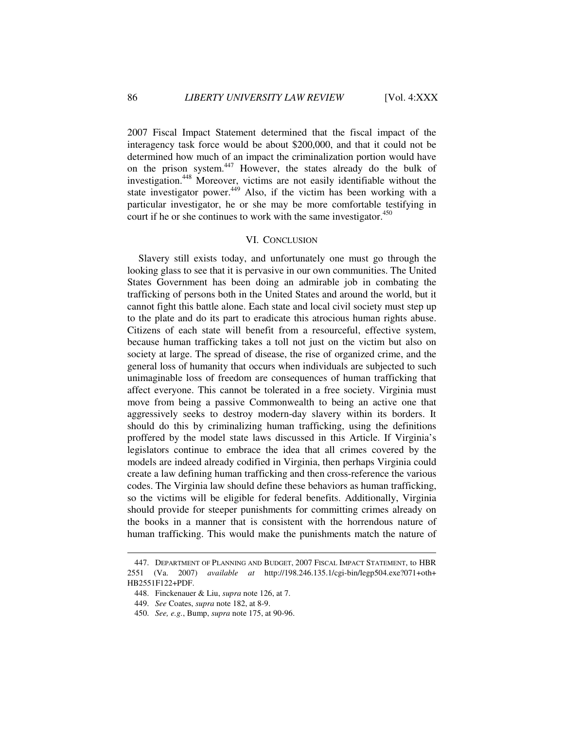2007 Fiscal Impact Statement determined that the fiscal impact of the interagency task force would be about \$200,000, and that it could not be determined how much of an impact the criminalization portion would have on the prison system.<sup>447</sup> However, the states already do the bulk of investigation.<sup>448</sup> Moreover, victims are not easily identifiable without the state investigator power.<sup>449</sup> Also, if the victim has been working with a particular investigator, he or she may be more comfortable testifying in court if he or she continues to work with the same investigator. $450$ 

### VI. CONCLUSION

Slavery still exists today, and unfortunately one must go through the looking glass to see that it is pervasive in our own communities. The United States Government has been doing an admirable job in combating the trafficking of persons both in the United States and around the world, but it cannot fight this battle alone. Each state and local civil society must step up to the plate and do its part to eradicate this atrocious human rights abuse. Citizens of each state will benefit from a resourceful, effective system, because human trafficking takes a toll not just on the victim but also on society at large. The spread of disease, the rise of organized crime, and the general loss of humanity that occurs when individuals are subjected to such unimaginable loss of freedom are consequences of human trafficking that affect everyone. This cannot be tolerated in a free society. Virginia must move from being a passive Commonwealth to being an active one that aggressively seeks to destroy modern-day slavery within its borders. It should do this by criminalizing human trafficking, using the definitions proffered by the model state laws discussed in this Article. If Virginia's legislators continue to embrace the idea that all crimes covered by the models are indeed already codified in Virginia, then perhaps Virginia could create a law defining human trafficking and then cross-reference the various codes. The Virginia law should define these behaviors as human trafficking, so the victims will be eligible for federal benefits. Additionally, Virginia should provide for steeper punishments for committing crimes already on the books in a manner that is consistent with the horrendous nature of human trafficking. This would make the punishments match the nature of

 <sup>447.</sup> DEPARTMENT OF PLANNING AND BUDGET, 2007 FISCAL IMPACT STATEMENT, to HBR 2551 (Va. 2007) *available at* http://198.246.135.1/cgi-bin/legp504.exe?071+oth+ HB2551F122+PDF.

 <sup>448.</sup> Finckenauer & Liu, *supra* note 126, at 7.

 <sup>449.</sup> *See* Coates, *supra* note 182, at 8-9.

 <sup>450.</sup> *See, e.g.*, Bump, *supra* note 175, at 90-96.